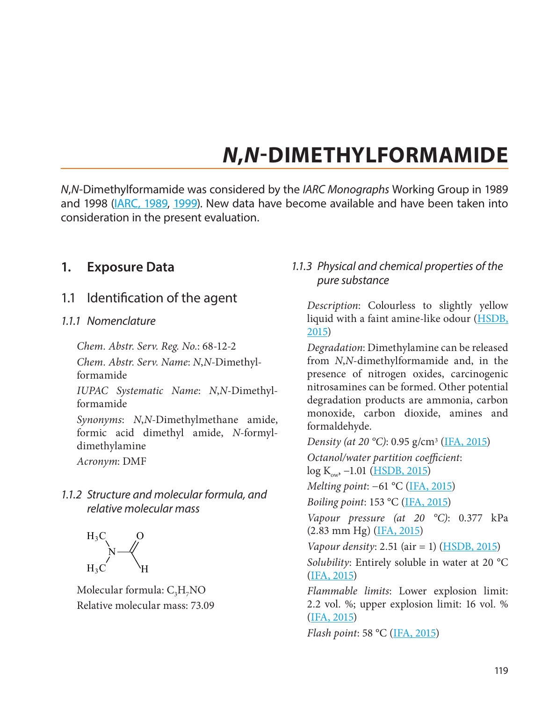# *N***,***N***-DIMETHYLFORMAMIDE**

*N*,*N*-Dimethylformamide was considered by the *IARC Monographs* Working Group in 1989 and 1998 [\(IARC, 1989](#page-46-1), [1999](#page-46-2)). New data have become available and have been taken into consideration in the present evaluation.

# **1. Exposure Data**

1.1 Identification of the agent

### *1.1.1 Nomenclature*

*Chem. Abstr. Serv. Reg. No.*: 68-12-2

*Chem. Abstr. Serv. Name*: *N*,*N*-Dimethylformamide

*IUPAC Systematic Name*: *N*,*N*-Dimethylformamide

*Synonyms*: *N*,*N*-Dimethylmethane amide, formic acid dimethyl amide, *N*-formyldimethylamine

*Acronym*: DMF

*1.1.2 Structure and molecular formula, and relative molecular mass*



Molecular formula:  $C_3H_7NO$ Relative molecular mass: 73.09

# *1.1.3 Physical and chemical properties of the pure substance*

*Description*: Colourless to slightly yellow liquid with a faint amine-like odour [\(HSDB,](#page-45-0) [2015\)](#page-45-0)

*Degradation*: Dimethylamine can be released from *N*,*N*-dimethylformamide and, in the presence of nitrogen oxides, carcinogenic nitrosamines can be formed. Other potential degradation products are ammonia, carbon monoxide, carbon dioxide, amines and formaldehyde.

*Density (at 20 °C)*: 0.95 g/cm3 ([IFA, 2015](#page-46-0)) *Octanol/water partition coefficient*:  $log K_{ow}$ , -1.01 ([HSDB, 2015](#page-45-0)) *Melting point*: −61 °C [\(IFA, 2015\)](#page-46-0) *Boiling point*: 153 °C ([IFA, 2015](#page-46-0)) *Vapour pressure (at 20 °C)*: 0.377 kPa (2.83 mm Hg) ([IFA, 2015](#page-46-0)) *Vapour density*: 2.51 (air = 1) [\(HSDB, 2015](#page-45-0)) *Solubility*: Entirely soluble in water at 20 °C [\(IFA, 2015](#page-46-0)) *Flammable limits*: Lower explosion limit: 2.2 vol. %; upper explosion limit: 16 vol. % [\(IFA, 2015](#page-46-0))

*Flash point*: 58 °C [\(IFA, 2015](#page-46-0))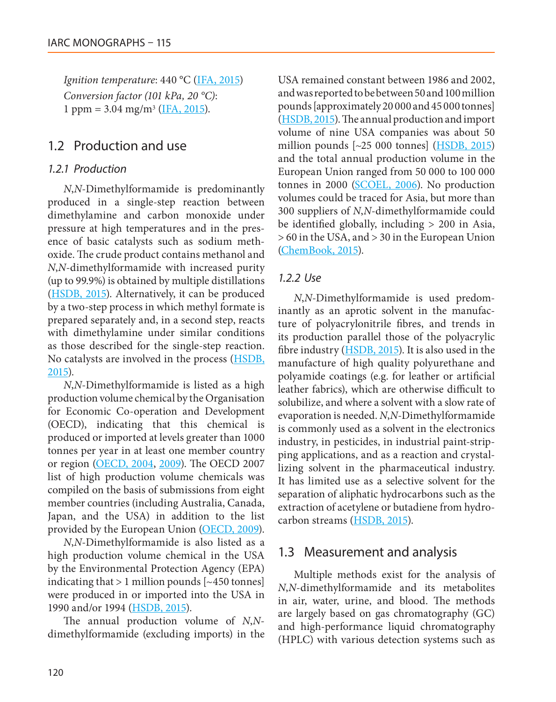*Ignition temperature*: 440 °C [\(IFA, 2015](#page-46-0)) *Conversion factor (101 kPa, 20 °C)*: 1 ppm =  $3.04 \text{ mg/m}^3$  [\(IFA, 2015\)](#page-46-0).

# 1.2 Production and use

### *1.2.1 Production*

*N*,*N*-Dimethylformamide is predominantly produced in a single-step reaction between dimethylamine and carbon monoxide under pressure at high temperatures and in the presence of basic catalysts such as sodium methoxide. The crude product contains methanol and *N*,*N*-dimethylformamide with increased purity (up to 99.9%) is obtained by multiple distillations [\(HSDB, 2015](#page-45-0)). Alternatively, it can be produced by a two-step process in which methyl formate is prepared separately and, in a second step, reacts with dimethylamine under similar conditions as those described for the single-step reaction. No catalysts are involved in the process [\(HSDB,](#page-45-0) [2015\)](#page-45-0).

*N*,*N*-Dimethylformamide is listed as a high production volume chemical by the Organisation for Economic Co-operation and Development (OECD), indicating that this chemical is produced or imported at levels greater than 1000 tonnes per year in at least one member country or region [\(OECD, 2004](#page-49-0), [2009](#page-49-1)). The OECD 2007 list of high production volume chemicals was compiled on the basis of submissions from eight member countries (including Australia, Canada, Japan, and the USA) in addition to the list provided by the European Union [\(OECD, 2009\)](#page-49-1).

*N*,*N*-Dimethylformamide is also listed as a high production volume chemical in the USA by the Environmental Protection Agency (EPA) indicating that  $> 1$  million pounds  $[~450$  tonnes] were produced in or imported into the USA in 1990 and/or 1994 (**HSDB**, 2015).

The annual production volume of *N*,*N*dimethylformamide (excluding imports) in the USA remained constant between 1986 and 2002, and was reported to be between 50 and 100 million pounds [approximately 20 000 and 45 000 tonnes] ([HSDB, 2015](#page-45-0)). The annual production and import volume of nine USA companies was about 50 million pounds  $\left[\sim 25\ 000\ \text{tonnes}\right]$  [\(HSDB, 2015\)](#page-45-0) and the total annual production volume in the European Union ranged from 50 000 to 100 000 tonnes in 2000 [\(SCOEL, 2006](#page-50-0)). No production volumes could be traced for Asia, but more than 300 suppliers of *N*,*N*-dimethylformamide could be identified globally, including > 200 in Asia, > 60 in the USA, and > 30 in the European Union [\(ChemBook, 2015](#page-44-0)).

### *1.2.2 Use*

*N*,*N*-Dimethylformamide is used predominantly as an aprotic solvent in the manufacture of polyacrylonitrile fibres, and trends in its production parallel those of the polyacrylic fibre industry [\(HSDB, 2015\)](#page-45-0). It is also used in the manufacture of high quality polyurethane and polyamide coatings (e.g. for leather or artificial leather fabrics), which are otherwise difficult to solubilize, and where a solvent with a slow rate of evaporation is needed. *N*,*N*-Dimethylformamide is commonly used as a solvent in the electronics industry, in pesticides, in industrial paint-stripping applications, and as a reaction and crystallizing solvent in the pharmaceutical industry. It has limited use as a selective solvent for the separation of aliphatic hydrocarbons such as the extraction of acetylene or butadiene from hydrocarbon streams ([HSDB, 2015](#page-45-0)).

# 1.3 Measurement and analysis

Multiple methods exist for the analysis of *N*,*N*-dimethylformamide and its metabolites in air, water, urine, and blood. The methods are largely based on gas chromatography (GC) and high-performance liquid chromatography (HPLC) with various detection systems such as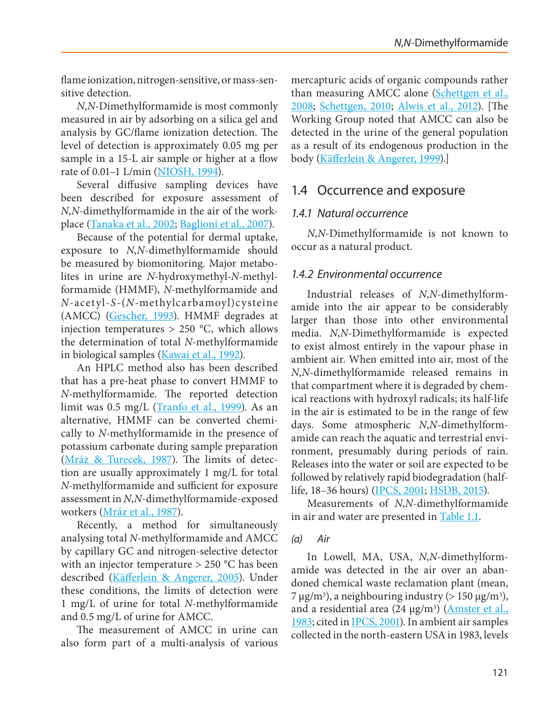flame ionization, nitrogen-sensitive, or mass-sensitive detection.

*N*,*N*-Dimethylformamide is most commonly measured in air by adsorbing on a silica gel and analysis by GC/flame ionization detection. The level of detection is approximately 0.05 mg per sample in a 15-L air sample or higher at a flow rate of 0.01–1 L/min ([NIOSH, 1994](#page-48-0)).

Several diffusive sampling devices have been described for exposure assessment of *N*,*N*-dimethylformamide in the air of the workplace ([Tanaka et al., 2002](#page-50-1); [Baglioni et al., 2007\)](#page-43-0).

Because of the potential for dermal uptake, exposure to *N*,*N*-dimethylformamide should be measured by biomonitoring. Major metabolites in urine are *N*-hydroxymethyl-*N*-methylformamide (HMMF), *N*-methylformamide and *N*-acetyl-*S*-(*N*-methylcarbamoyl)cysteine (AMCC) [\(Gescher, 1993](#page-45-1)). HMMF degrades at injection temperatures > 250 °C, which allows the determination of total *N*-methylformamide in biological samples (*[Kawai et al., 1992](#page-46-3)*).

An HPLC method also has been described that has a pre-heat phase to convert HMMF to *N*-methylformamide. The reported detection limit was 0.5 mg/L ([Tranfo et al., 1999](#page-50-2)). As an alternative, HMMF can be converted chemically to *N*-methylformamide in the presence of potassium carbonate during sample preparation [\(Mráz & Turecek, 1987\)](#page-48-1). The limits of detection are usually approximately 1 mg/L for total *N*-methylformamide and sufficient for exposure assessment in *N*,*N*-dimethylformamide-exposed workers [\(Mráz et al., 1987\)](#page-48-2).

Recently, a method for simultaneously analysing total *N*-methylformamide and AMCC by capillary GC and nitrogen-selective detector with an injector temperature > 250 °C has been described [\(Käfferlein & Angerer, 2005\)](#page-46-4). Under these conditions, the limits of detection were 1 mg/L of urine for total *N*-methylformamide and 0.5 mg/L of urine for AMCC.

The measurement of AMCC in urine can also form part of a multi-analysis of various mercapturic acids of organic compounds rather than measuring AMCC alone [\(Schettgen et al.,](#page-50-3) [2008](#page-50-3); [Schettgen, 2010;](#page-49-2) [Alwis et al., 2012](#page-43-1)). [The Working Group noted that AMCC can also be detected in the urine of the general population as a result of its endogenous production in the body ([Käfferlein & Angerer, 1999](#page-46-5)).]

# 1.4 Occurrence and exposure

# *1.4.1 Natural occurrence*

*N*,*N*-Dimethylformamide is not known to occur as a natural product.

# *1.4.2 Environmental occurrence*

Industrial releases of *N*,*N*-dimethylformamide into the air appear to be considerably larger than those into other environmental media. *N*,*N*-Dimethylformamide is expected to exist almost entirely in the vapour phase in ambient air. When emitted into air, most of the *N*,*N*-dimethylformamide released remains in that compartment where it is degraded by chemical reactions with hydroxyl radicals; its half-life in the air is estimated to be in the range of few days. Some atmospheric *N*,*N*-dimethylformamide can reach the aquatic and terrestrial environment, presumably during periods of rain. Releases into the water or soil are expected to be followed by relatively rapid biodegradation (halflife, 18–36 hours) ([IPCS, 2001;](#page-46-6) [HSDB, 2015\)](#page-45-0).

Measurements of *N*,*N*-dimethylformamide in air and water are presented in [Table 1.1.](#page-3-0)

### *(a) Air*

In Lowell, MA, USA, *N*,*N*-dimethylformamide was detected in the air over an abandoned chemical waste reclamation plant (mean, 7 μg/m<sup>3</sup>), a neighbouring industry (> 150 μg/m<sup>3</sup>), and a residential area (24 μg/m3) [\(Amster et al.,](#page-43-2) [1983](#page-43-2); cited in [IPCS, 2001\)](#page-46-6). In ambient air samples collected in the north-eastern USA in 1983, levels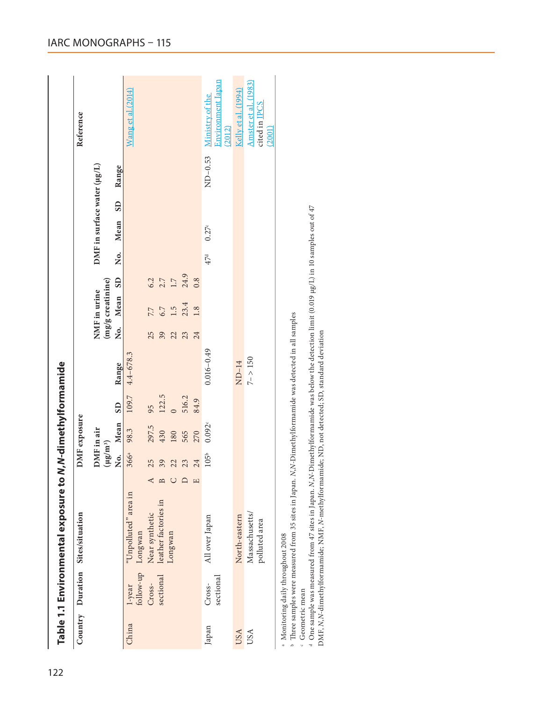|            |                        | Country Duration Sites/situation |         | DMF exposure                |        |       |                |    |                                   |      |                 |                             |       | Reference                                              |
|------------|------------------------|----------------------------------|---------|-----------------------------|--------|-------|----------------|----|-----------------------------------|------|-----------------|-----------------------------|-------|--------------------------------------------------------|
|            |                        |                                  |         | DMF in air<br>$(\mu g/m^3)$ |        |       |                |    | (mg/g creatinine)<br>NMF in urine |      |                 | DMF in surface water (µg/L) |       |                                                        |
|            |                        |                                  |         | No. Mean SD                 |        |       | Range          |    | No. Mean SD                       |      |                 | No. Mean SD                 | Range |                                                        |
| China      | follow-up<br>$1$ -year | "Unpolluted" area in<br>Longwan  |         | 98.3<br>366ª                |        | 109.7 | $4.4 - 678.3$  |    |                                   |      |                 |                             |       | Wang et al.(2014)                                      |
|            | Cross-                 | Near synthetic                   | 25      |                             | 297.5  | 95    |                | 25 | 7.7                               | 6.2  |                 |                             |       |                                                        |
|            |                        | sectional leather factories in   | 39      | 430                         |        | 122.5 |                | 39 | 6.7                               | 2.7  |                 |                             |       |                                                        |
|            |                        | Longwan                          | 22      | 180                         |        |       |                | 22 | $\ddot{5}$                        | 1.7  |                 |                             |       |                                                        |
|            |                        |                                  | 23      | 565                         |        | 516.2 |                | 23 | 23.4                              | 24.9 |                 |                             |       |                                                        |
|            |                        |                                  | 24<br>щ | 270                         |        | 84.9  |                | 24 | 1.8                               | 0.8  |                 |                             |       |                                                        |
| Japan      | sectional<br>Cross-    | All over Japan                   |         | 105 <sup>b</sup>            | 0.092c |       | $0.016 - 0.49$ |    |                                   |      | 47 <sup>d</sup> | 0.27 <sup>c</sup>           |       | Environment Japan<br>ND-0.53 Ministry of the<br>(2012) |
| USA        |                        | North-eastern                    |         |                             |        |       | $ND-14$        |    |                                   |      |                 |                             |       | Kelly et al. (1994)                                    |
| <b>USA</b> |                        | Massachusetts/<br>polluted area  |         |                             |        |       | $7 - 150$      |    |                                   |      |                 |                             |       | Amster et al. (1983)<br>cited in IPCS<br>(2001)        |

<span id="page-3-0"></span>Monitoring daily throughout 2008

" Monuoring aany uurouguout zooo<br>b Three samples were measured from 35 sites in Japan. N,N-Dimethylformamide was detected in all samples Three samples were measured from 35 sites in Japan. *N*,*N*-Dimethylformamide was detected in all samples

 $\cdot$ Geometric mean Geometric mean

<sup>d</sup>One<br>DMF, One sample was measured from 47 sites in Japan. *N*,*N*-Dimethylformamide was below the detection limit (0.019 µg/L) in 10 samples out of 47 *N*,*N*-dimethylformamide; NMF, *N*-methylformamide; ND, not detected; SD, standard deviation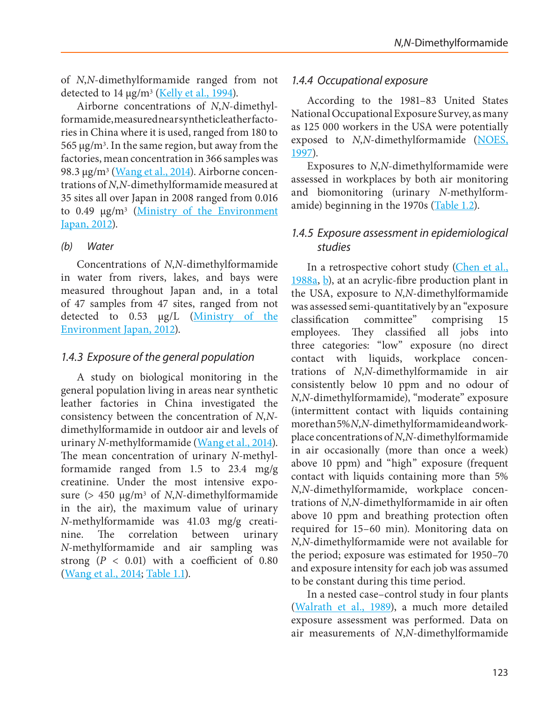of *N*,*N*-dimethylformamide ranged from not detected to  $14 \mu g/m^3$  [\(Kelly et al., 1994\)](#page-46-7).

Airborne concentrations of *N*,*N*-dimethylformamide, measured near synthetic leather factories in China where it is used, ranged from 180 to  $565 \mu$ g/m<sup>3</sup>. In the same region, but away from the factories, mean concentration in 366 samples was 98.3 μg/m<sup>3</sup> [\(Wang et al., 2014](#page-51-0)). Airborne concentrations of *N*,*N*-dimethylformamide measured at 35 sites all over Japan in 2008 ranged from 0.016 to  $0.49 \mu g/m^3$  (Ministry of the Environment [Japan, 2012\)](#page-48-3).

### *(b) Water*

Concentrations of *N*,*N*-dimethylformamide in water from rivers, lakes, and bays were measured throughout Japan and, in a total of 47 samples from 47 sites, ranged from not detected to 0.53 µg/L (Ministry of the [Environment Japan, 2012\)](#page-48-3).

# *1.4.3 Exposure of the general population*

A study on biological monitoring in the general population living in areas near synthetic leather factories in China investigated the consistency between the concentration of *N*,*N*dimethylformamide in outdoor air and levels of urinary *N*-methylformamide [\(Wang et al., 2014](#page-51-0)). The mean concentration of urinary *N*-methylformamide ranged from 1.5 to 23.4 mg/g creatinine. Under the most intensive exposure (> 450 μg/m3 of *N*,*N*-dimethylformamide in the air), the maximum value of urinary *N*-methylformamide was 41.03 mg/g creatinine. The correlation between urinary *N*-methylformamide and air sampling was strong  $(P < 0.01)$  with a coefficient of  $0.80$ [\(Wang et al., 2014](#page-51-0); [Table 1.1\)](#page-3-0).

# *1.4.4 Occupational exposure*

According to the 1981–83 United States National Occupational Exposure Survey, as many as 125 000 workers in the USA were potentially exposed to *N*,*N*-dimethylformamide [\(NOES,](#page-49-3) [1997](#page-49-3)).

Exposures to *N*,*N*-dimethylformamide were assessed in workplaces by both air monitoring and biomonitoring (urinary *N*-methylformamide) beginning in the 1970s [\(Table 1.2](#page-5-0)).

# *1.4.5 Exposure assessment in epidemiological studies*

In a retrospective cohort study [\(Chen et al.,](#page-44-1)  $1988a, b$  $1988a, b$  $1988a, b$ , at an acrylic-fibre production plant in the USA, exposure to *N*,*N*-dimethylformamide was assessed semi-quantitatively by an "exposure classification committee" comprising 15 employees. They classified all jobs into three categories: "low" exposure (no direct contact with liquids, workplace concentrations of *N*,*N*-dimethylformamide in air consistently below 10 ppm and no odour of *N*,*N*-dimethylformamide), "moderate" exposure (intermittent contact with liquids containing more than 5% *N*,*N*-dimethylformamide and workplace concentrations of *N*,*N*-dimethylformamide in air occasionally (more than once a week) above 10 ppm) and "high" exposure (frequent contact with liquids containing more than 5% *N*,*N*-dimethylformamide, workplace concentrations of *N*,*N*-dimethylformamide in air often above 10 ppm and breathing protection often required for 15–60 min). Monitoring data on *N*,*N*-dimethylformamide were not available for the period; exposure was estimated for 1950–70 and exposure intensity for each job was assumed to be constant during this time period.

In a nested case–control study in four plants ([Walrath et al., 1989](#page-51-1)), a much more detailed exposure assessment was performed. Data on air measurements of *N*,*N*-dimethylformamide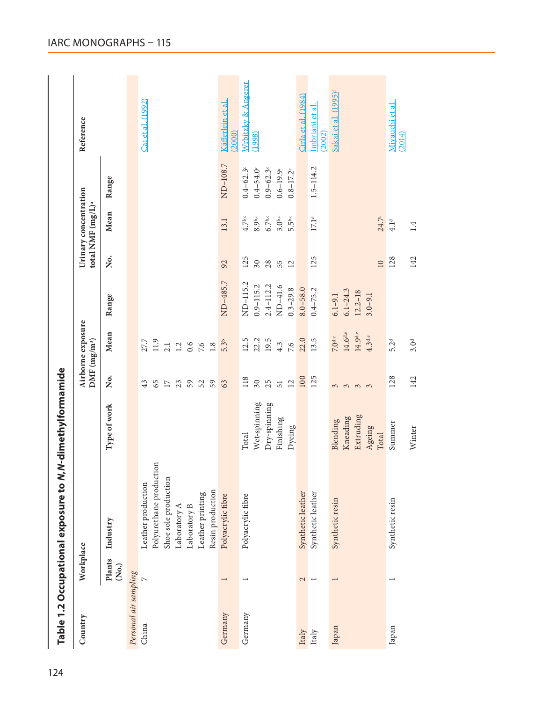<span id="page-5-0"></span>

| Country               | Workplace       |                         |              | DMF (mg/m <sup>3</sup> ) | Airborne exposure     |               |                 | Urinary concentration<br>total NMF (mg/L) <sup>a</sup> |               | Reference                        |
|-----------------------|-----------------|-------------------------|--------------|--------------------------|-----------------------|---------------|-----------------|--------------------------------------------------------|---------------|----------------------------------|
|                       | Plants<br>(So.) | Industry                | Type of work | , Š                      | Mean                  | Range         | Ş.              | Mean                                                   | Range         |                                  |
| Personal air sampling |                 |                         |              |                          |                       |               |                 |                                                        |               |                                  |
| China                 | $\overline{a}$  | Leather production      |              | 43                       | 27.7                  |               |                 |                                                        |               | Cai et al. (1992)                |
|                       |                 | Polyurethane production |              | 65                       | 11.9                  |               |                 |                                                        |               |                                  |
|                       |                 | Shoe sole production    |              | $17\,$                   | 2.1                   |               |                 |                                                        |               |                                  |
|                       |                 | Laboratory A            |              | 23                       | $1.2\,$               |               |                 |                                                        |               |                                  |
|                       |                 | Laboratory B            |              | 59                       | 0.6                   |               |                 |                                                        |               |                                  |
|                       |                 | Leather printing        |              | 52                       | 7.6                   |               |                 |                                                        |               |                                  |
|                       |                 | Resin production        |              | 59                       | 1.8                   |               |                 |                                                        |               |                                  |
| Germany               |                 | Polyacrylic fibre       |              | 63                       | 5.3 <sup>b</sup>      | ND-485.7      | 92              | 13.1                                                   | ND-108.7      | Käfferlein et al<br>(2000)       |
| Germany               |                 | Polyacrylic fibre       | Total        | 118                      | 12.5                  | ND-115.2      | 125             | $4.7^{\mathrm{b,c}}$                                   | $0.4 - 62.3$  | Wrbitzky & Angerer               |
|                       |                 |                         | Wet-spinning | $30\,$                   | 22.2                  | $0.9 - 115.2$ | 30              | 8.9 <sup>b,c</sup>                                     | $0.4 - 54.0$  | (1998)                           |
|                       |                 |                         | Dry-spinning | 25                       | 19.5                  | $2.4 - 112.2$ | $28$            | $6.7^{\mathrm{b,c}}$                                   | $0.9 - 62.3$  |                                  |
|                       |                 |                         | Finishing    | 51                       | 4.3                   | ND-41.6       | 55              | 3.0 <sup>b,c</sup>                                     | $0.6 - 19.9$  |                                  |
|                       |                 |                         | Dyeing       | $\overline{12}$          | 7.6                   | $0.3 - 29.8$  | $\overline{12}$ | $5.5$ <sub>b,c</sub>                                   | $0.8 - 17.2$  |                                  |
| Italy                 | 2               | Synthetic leather       |              | 100                      | 22.0                  | $8.0 - 58.0$  |                 |                                                        |               | Cirla et al. (1984)              |
| $_{\rm Italy}$        |                 | Synthetic leather       |              | 125                      | 13.5                  | $0.4 - 75.2$  | 125             | $17.1^{\rm d}$                                         | $1.5 - 114.2$ | Imbriani et al<br>(2002)         |
| Japan                 |                 | Synthetic resin         | Blending     | 3                        | $7.0$ d,e             | $6.1 - 9.1$   |                 |                                                        |               | Sakai et al. (1995) <sup>r</sup> |
|                       |                 |                         | Kneading     | $\tilde{\xi}$            | $14.6^{\rm d,e}$      | $6.1 - 24.3$  |                 |                                                        |               |                                  |
|                       |                 |                         | Extruding    | $\frac{3}{2}$            | $14.9^{\mathrm{d,e}}$ | $12.2 - 18$   |                 |                                                        |               |                                  |
|                       |                 |                         | Ageing       |                          | 4.3 <sup>de</sup>     | $3.0 - 9.1$   |                 |                                                        |               |                                  |
|                       |                 |                         | Total        |                          |                       |               | $\Box$          | 24.7 <sup>c</sup>                                      |               |                                  |
| Japan                 |                 | Synthetic resin         | Summer       | 128                      | 5.2 <sup>d</sup>      |               | 128             | 4.1 <sup>d</sup>                                       |               | Miyauchi et al.<br>(2014)        |
|                       |                 |                         | Winter       | 142                      | 3.0 <sup>d</sup>      |               | 142             | $1.4\,$                                                |               |                                  |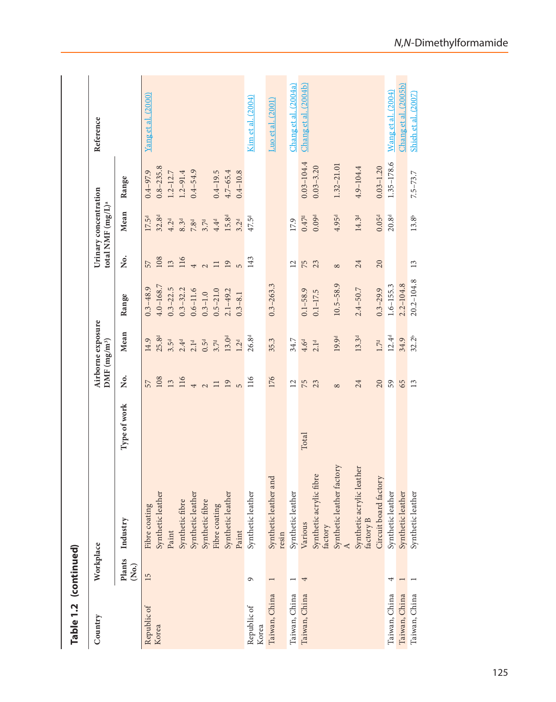| Table 1.2 (continued) |                 |                                          |              |                          |                   |                |                 |                                                        |                |                      |
|-----------------------|-----------------|------------------------------------------|--------------|--------------------------|-------------------|----------------|-----------------|--------------------------------------------------------|----------------|----------------------|
| Country               | Workplace       |                                          |              | DMF (mg/m <sup>3</sup> ) | Airborne exposure |                |                 | Urinary concentration<br>total NMF (mg/L) <sup>a</sup> |                | Reference            |
|                       | Plants<br>(So.) | Industry                                 | Type of work | Σó                       | Mean              | Range          | ,<br>Ž          | Mean                                                   | Range          |                      |
| Republic of           | 15              | Fibre coating                            |              | 57                       | 14.9              | $0.3 - 48.9$   | 57              | 17.5 <sup>d</sup>                                      | $0.4 - 97.9$   | Yang et al. (2000)   |
| Korea                 |                 | Synthetic leather                        |              | 108                      | 25.8 <sup>d</sup> | $4.0 - 168.7$  | 108             | $32.8^{d}$                                             | $0.8 - 235.8$  |                      |
|                       |                 | Paint                                    |              | 13                       | 3.5 <sup>d</sup>  | $0.3 - 22.5$   | 13              | 4.2 <sup>d</sup>                                       | $1.2 - 12.7$   |                      |
|                       |                 | Synthetic fibre                          |              | 116                      | 2.4 <sup>d</sup>  | $0.3 - 32.2$   | 116             | 8.3 <sup>d</sup>                                       | $1.2 - 91.4$   |                      |
|                       |                 | Synthetic leather                        |              | $\overline{4}$           | 2.1 <sup>d</sup>  | $0.6 - 11.6$   | $\overline{4}$  | 7.8 <sup>d</sup>                                       | $0.4 - 54.9$   |                      |
|                       |                 | Synthetic fibre                          |              | $\sim$                   | $0.5^{\rm d}$     | $0.3 - 1.0$    | $\sim$          | 3.7 <sup>d</sup>                                       |                |                      |
|                       |                 | Fibre coating                            |              | $\Box$                   | 3.7 <sup>d</sup>  | $0.5 - 21.0$   | $\Box$          | 4.4 <sup>d</sup>                                       | $0.4 - 19.5$   |                      |
|                       |                 | Synthetic leather                        |              | 19                       | 13.0 <sup>d</sup> | $2.1 - 49.2$   | 19              | 15.8 <sup>d</sup>                                      | $4.7 - 65.4$   |                      |
|                       |                 | Paint                                    |              | L)                       | 1.2 <sup>d</sup>  | $0.3 - 8.1$    | $\overline{5}$  | 3.2 <sup>d</sup>                                       | $0.4 - 10.8$   |                      |
| Republic of<br>Korea  | G               | Synthetic leather                        |              | 116                      | 26.8 <sup>d</sup> |                | 143             | 47.5 <sup>d</sup>                                      |                | Kim et al. (2004)    |
| Taiwan, China         | $\overline{ }$  | and<br>Synthetic leather<br>resin        |              | 176                      | 35.3              | $0.3 - 263.3$  |                 |                                                        |                | Luo et al. (2001)    |
| Taiwan, China         |                 | Synthetic leather                        |              | 12                       | 34.7              |                | $\overline{c}$  | 17.9                                                   |                | Chang et al. (2004a) |
| Taiwan, China         | 4               | Various                                  | Total        | 75                       | 4.6 <sup>d</sup>  | $0.1 - 58.9$   | <b>75</b><br>23 | 0.47 <sup>d</sup>                                      | $0.03 - 104.4$ | Chang et al. (2004b) |
|                       |                 | fibre<br>Synthetic acrylic<br>factory    |              | 23                       | 2.1 <sup>d</sup>  | $0.1 - 17.5$   |                 | 0.09 <sup>d</sup>                                      | $0.03 - 3.20$  |                      |
|                       |                 | Synthetic leather factory                |              | $\infty$                 | 19.9 <sup>d</sup> | $10.5 - 58.9$  | $\infty$        | 4.95 <sup>d</sup>                                      | $1.32 - 21.01$ |                      |
|                       |                 | Synthetic acrylic leather<br>factory $B$ |              | 24                       | 13.3 <sup>d</sup> | $2.4 - 50.7$   | 24              | 14.3 <sup>d</sup>                                      | 4.9-104.4      |                      |
|                       |                 | Circuit board factory                    |              | 20                       | $1.7d$            | $0.3 - 29.9$   | 20              | 0.05 <sup>d</sup>                                      | $0.03 - 1.20$  |                      |
| Taiwan, China         | 4               | Synthetic leather                        |              | 59                       | $12.4^{\rm d}$    | $1.6 - 155.3$  |                 | $20.8^{d}$                                             | 1.35-178.6     | Wang et al. (2004)   |
| Taiwan, China         | $\overline{ }$  | Synthetic leather                        |              | 65                       | 34.9              | $2.2 - 104.8$  |                 |                                                        |                | Chang et al. (2005b) |
| Taiwan, China         |                 | Synthetic leather                        |              | 13                       | 32.2 <sup>b</sup> | $20.2 - 104.8$ | 13              | $13.8^{\mathrm{b}}$                                    | $7.5 - 73.7$   | Shieh et al. (2007)  |

*N*, *N*-Dimethylformamide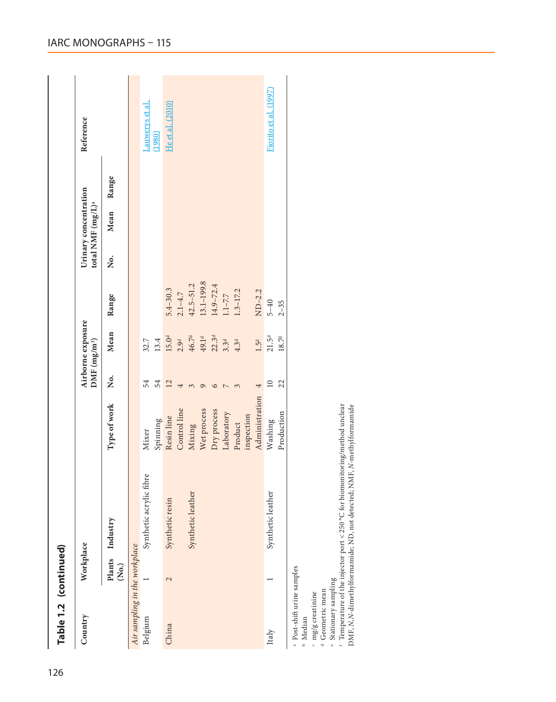| Table 1.2 (continued)         |                   |                         |                |                           |                   |               |                                                        |      |       |                      |
|-------------------------------|-------------------|-------------------------|----------------|---------------------------|-------------------|---------------|--------------------------------------------------------|------|-------|----------------------|
| Country                       | Workplace         |                         |                | $DMF$ (mg/m <sup>3)</sup> | Airborne exposure |               | Urinary concentration<br>total NMF (mg/L) <sup>a</sup> |      |       | Reference            |
|                               | (S <sub>0</sub> ) | Plants Industry         | Type of work   | Ż.                        | Mean              | Range         | Ż.                                                     | Mean | Range |                      |
| Air sampling in the workplace |                   |                         |                |                           |                   |               |                                                        |      |       |                      |
| Belgium                       |                   | Synthetic acrylic fibre | Mixer          | 54                        | 32.7              |               |                                                        |      |       | Lauwerys et al.      |
|                               |                   |                         | Spinning       | 54                        | 13.4              |               |                                                        |      |       | (1980)               |
| China                         | 2                 | Synthetic resin         | Resin line     | 12                        | $15.0d$           | $5.4 - 30.3$  |                                                        |      |       | He et al. (2010)     |
|                               |                   |                         | Control line   | 4                         | 2.9 <sup>d</sup>  | $2.1 - 4.7$   |                                                        |      |       |                      |
|                               |                   | Synthetic leather       | Mixing         | 3                         | $46.7d$           | $42.5 - 51.2$ |                                                        |      |       |                      |
|                               |                   |                         | Wet process    | ᡋ                         | 49.1 <sup>d</sup> | 13.1-199.8    |                                                        |      |       |                      |
|                               |                   |                         | Dry process    | ١C                        | 22.3 <sup>d</sup> | $14.9 - 72.4$ |                                                        |      |       |                      |
|                               |                   |                         | Laboratory     |                           | 3.3 <sup>d</sup>  | $1.1 - 7.7$   |                                                        |      |       |                      |
|                               |                   |                         | Product        |                           | 4.3 <sup>d</sup>  | $1.3 - 17.2$  |                                                        |      |       |                      |
|                               |                   |                         | inspection     |                           |                   |               |                                                        |      |       |                      |
|                               |                   |                         | Administration |                           | 1.5 <sup>d</sup>  | $ND-2.2$      |                                                        |      |       |                      |
| Italy                         |                   | Synthetic leather       | Washing        | $\overline{10}$           | $21.5^{\rm d}$    | $5 - 40$      |                                                        |      |       | Fiorito et al. (1997 |
|                               |                   |                         | Production     | 22                        | $18.7^{\rm d}$    | $2 - 35$      |                                                        |      |       |                      |
| a Post-shift urine samples    |                   |                         |                |                           |                   |               |                                                        |      |       |                      |

**b** Median Median

cdef mg/g creatinine Geometric mean

Stationary sampling

 Temperature of the injector port < 250 °C for biomonitoring/method unclear DMF, *N*,*N*-dimethylformamide; ND, not detected; NMF, *N*-methylformamide

IARC MONOGRAPHS – 115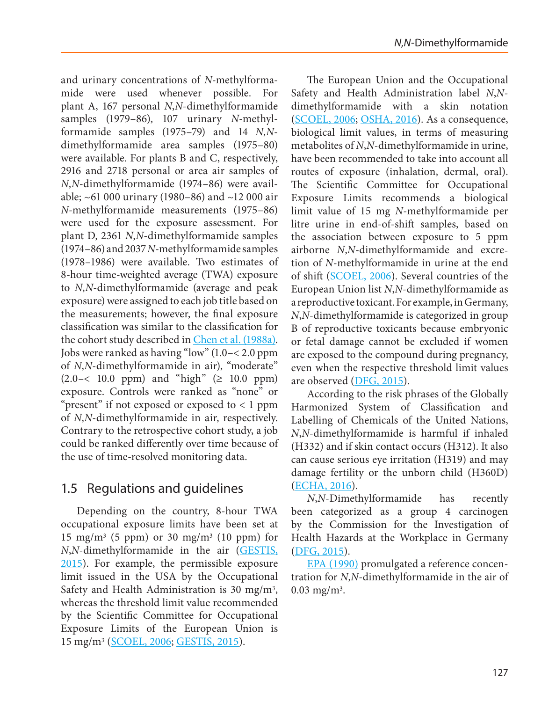and urinary concentrations of *N*-methylformamide were used whenever possible. For plant A, 167 personal *N*,*N*-dimethylformamide samples (1979–86), 107 urinary *N*-methylformamide samples (1975–79) and 14 *N*,*N*dimethylformamide area samples (1975–80) were available. For plants B and C, respectively, 2916 and 2718 personal or area air samples of *N*,*N*-dimethylformamide (1974–86) were available; ~61 000 urinary (1980–86) and ~12 000 air *N*-methylformamide measurements (1975–86) were used for the exposure assessment. For plant D, 2361 *N*,*N*-dimethylformamide samples (1974–86) and 2037 *N*-methylformamide samples (1978–1986) were available. Two estimates of 8-hour time-weighted average (TWA) exposure to *N*,*N*-dimethylformamide (average and peak exposure) were assigned to each job title based on the measurements; however, the final exposure classification was similar to the classification for the cohort study described in [Chen et al. \(1988a\).](#page-44-1) Jobs were ranked as having "low" (1.0–< 2.0 ppm of *N*,*N*-dimethylformamide in air), "moderate"  $(2.0 - < 10.0 \text{ ppm})$  and "high"  $( \geq 10.0 \text{ ppm})$ exposure. Controls were ranked as "none" or "present" if not exposed or exposed to < 1 ppm of *N*,*N*-dimethylformamide in air, respectively. Contrary to the retrospective cohort study, a job could be ranked differently over time because of the use of time-resolved monitoring data.

# 1.5 Regulations and guidelines

Depending on the country, 8-hour TWA occupational exposure limits have been set at 15 mg/m<sup>3</sup> (5 ppm) or 30 mg/m<sup>3</sup> (10 ppm) for *N*,*N*-dimethylformamide in the air ([GESTIS,](#page-45-4)  [2015](#page-45-4)). For example, the permissible exposure limit issued in the USA by the Occupational Safety and Health Administration is 30 mg/m3, whereas the threshold limit value recommended by the Scientific Committee for Occupational Exposure Limits of the European Union is 15 mg/m3 ([SCOEL, 2006](#page-50-0); [GESTIS, 2015\)](#page-45-4).

The European Union and the Occupational Safety and Health Administration label *N*,*N*dimethylformamide with a skin notation ([SCOEL, 2006;](#page-50-0) [OSHA, 2016\)](#page-49-5). As a consequence, biological limit values, in terms of measuring metabolites of *N*,*N*-dimethylformamide in urine, have been recommended to take into account all routes of exposure (inhalation, dermal, oral). The Scientific Committee for Occupational Exposure Limits recommends a biological limit value of 15 mg *N*-methylformamide per litre urine in end-of-shift samples, based on the association between exposure to 5 ppm airborne *N*,*N*-dimethylformamide and excretion of *N*-methylformamide in urine at the end of shift ([SCOEL, 2006\)](#page-50-0). Several countries of the European Union list *N*,*N*-dimethylformamide as a reproductive toxicant. For example, in Germany, *N*,*N*-dimethylformamide is categorized in group B of reproductive toxicants because embryonic or fetal damage cannot be excluded if women are exposed to the compound during pregnancy, even when the respective threshold limit values are observed ([DFG, 2015\)](#page-44-4).

According to the risk phrases of the Globally Harmonized System of Classification and Labelling of Chemicals of the United Nations, *N*,*N*-dimethylformamide is harmful if inhaled (H332) and if skin contact occurs (H312). It also can cause serious eye irritation (H319) and may damage fertility or the unborn child (H360D) ([ECHA, 2016](#page-44-5)).

*N*,*N*-Dimethylformamide has recently been categorized as a group 4 carcinogen by the Commission for the Investigation of Health Hazards at the Workplace in Germany ([DFG, 2015](#page-44-4)).

[EPA \(1990\)](#page-45-5) promulgated a reference concentration for *N*,*N*-dimethylformamide in the air of  $0.03$  mg/m<sup>3</sup>.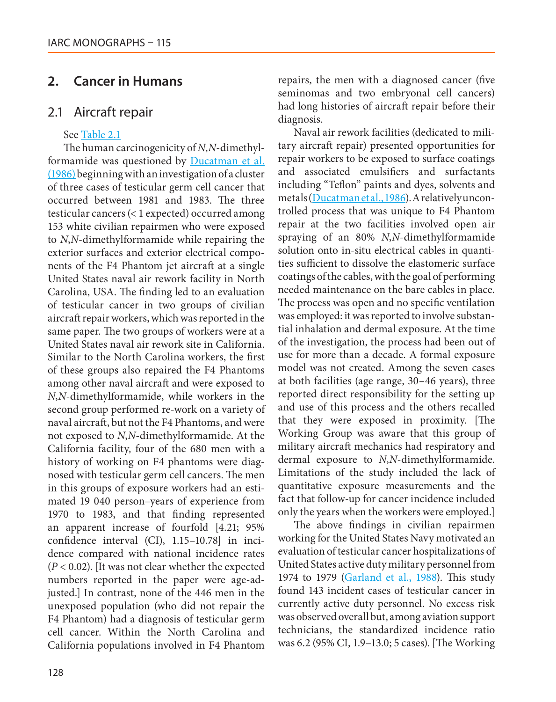# **2. Cancer in Humans**

# 2.1 Aircraft repair

### See [Table 2.1](#page-10-0)

The human carcinogenicity of *N*,*N*-dimethylformamide was questioned by [Ducatman et al.](#page-44-6) [\(1986\)](#page-44-6) beginning with an investigation of a cluster of three cases of testicular germ cell cancer that occurred between 1981 and 1983. The three testicular cancers (< 1 expected) occurred among 153 white civilian repairmen who were exposed to *N*,*N*-dimethylformamide while repairing the exterior surfaces and exterior electrical components of the F4 Phantom jet aircraft at a single United States naval air rework facility in North Carolina, USA. The finding led to an evaluation of testicular cancer in two groups of civilian aircraft repair workers, which was reported in the same paper. The two groups of workers were at a United States naval air rework site in California. Similar to the North Carolina workers, the first of these groups also repaired the F4 Phantoms among other naval aircraft and were exposed to *N*,*N*-dimethylformamide, while workers in the second group performed re-work on a variety of naval aircraft, but not the F4 Phantoms, and were not exposed to *N*,*N*-dimethylformamide. At the California facility, four of the 680 men with a history of working on F4 phantoms were diagnosed with testicular germ cell cancers. The men in this groups of exposure workers had an estimated 19 040 person–years of experience from 1970 to 1983, and that finding represented an apparent increase of fourfold [4.21; 95% confidence interval (CI), 1.15–10.78] in incidence compared with national incidence rates (*P* < 0.02). [It was not clear whether the expected numbers reported in the paper were age-adjusted.] In contrast, none of the 446 men in the unexposed population (who did not repair the F4 Phantom) had a diagnosis of testicular germ cell cancer. Within the North Carolina and California populations involved in F4 Phantom

repairs, the men with a diagnosed cancer (five seminomas and two embryonal cell cancers) had long histories of aircraft repair before their diagnosis.

Naval air rework facilities (dedicated to military aircraft repair) presented opportunities for repair workers to be exposed to surface coatings and associated emulsifiers and surfactants including "Teflon" paints and dyes, solvents and metals [\(Ducatman et al., 1986](#page-44-6)). A relatively uncontrolled process that was unique to F4 Phantom repair at the two facilities involved open air spraying of an 80% *N*,*N*-dimethylformamide solution onto in-situ electrical cables in quantities sufficient to dissolve the elastomeric surface coatings of the cables, with the goal of performing needed maintenance on the bare cables in place. The process was open and no specific ventilation was employed: it was reported to involve substantial inhalation and dermal exposure. At the time of the investigation, the process had been out of use for more than a decade. A formal exposure model was not created. Among the seven cases at both facilities (age range, 30–46 years), three reported direct responsibility for the setting up and use of this process and the others recalled that they were exposed in proximity. [The Working Group was aware that this group of military aircraft mechanics had respiratory and dermal exposure to *N*,*N*-dimethylformamide. Limitations of the study included the lack of quantitative exposure measurements and the fact that follow-up for cancer incidence included only the years when the workers were employed.]

The above findings in civilian repairmen working for the United States Navy motivated an evaluation of testicular cancer hospitalizations of United States active duty military personnel from 1974 to 1979 [\(Garland et al., 1988](#page-45-6)). This study found 143 incident cases of testicular cancer in currently active duty personnel. No excess risk was observed overall but, among aviation support technicians, the standardized incidence ratio was 6.2 (95% CI, 1.9–13.0; 5 cases). [The Working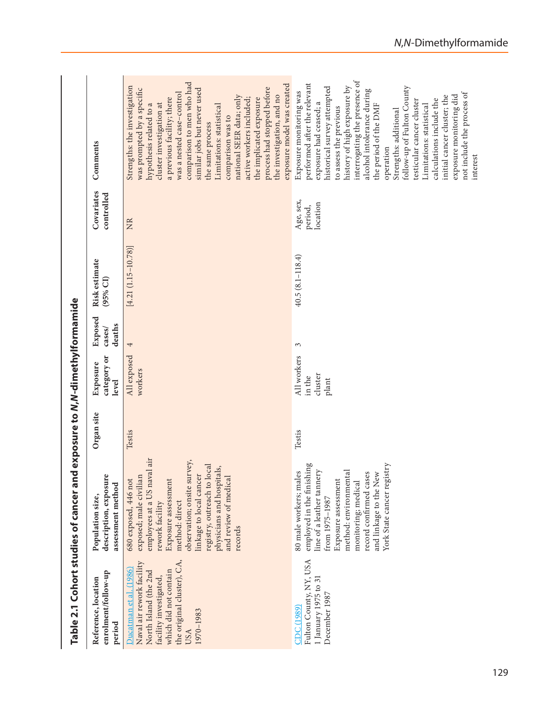<span id="page-10-0"></span>

| Table 2.1 Cohort studies of cancer                                                                                                                                                |                                                                                                                                                                                                                                                                                                        | and exposure to N/N-dimethylformamide |                                           |                             |                             |                                  |                                                                                                                                                                                                                                                                                                                                                                                                                                                                                                                                |
|-----------------------------------------------------------------------------------------------------------------------------------------------------------------------------------|--------------------------------------------------------------------------------------------------------------------------------------------------------------------------------------------------------------------------------------------------------------------------------------------------------|---------------------------------------|-------------------------------------------|-----------------------------|-----------------------------|----------------------------------|--------------------------------------------------------------------------------------------------------------------------------------------------------------------------------------------------------------------------------------------------------------------------------------------------------------------------------------------------------------------------------------------------------------------------------------------------------------------------------------------------------------------------------|
| enrolment/follow-up<br>Reference, location<br>period                                                                                                                              | description, exposure<br>assessment method<br>Population size,                                                                                                                                                                                                                                         | Organ site                            | category or<br>Exposure<br>level          | Exposed<br>deaths<br>cases/ | Risk estimate<br>$(95%$ CI) | Covariates<br>controlled         | Comments                                                                                                                                                                                                                                                                                                                                                                                                                                                                                                                       |
| the original cluster), CA,<br>Naval air rework facility<br>Ducatman et al. (1986)<br>which did not contain<br>North Island (the 2nd<br>facility investigated,<br>1970-1983<br>USA | naval air<br>observation; onsite survey,<br>registry, outreach to local<br>physicians and hospitals,<br>linkage to local cancer<br>exposed; male civilian<br>and review of medical<br>680 exposed, 446 not<br>Exposure assessment<br>employees at a US<br>method: direct<br>rework facility<br>records | Testis                                | All exposed<br>workers                    | 4                           | $[4.21 (1.15 - 10.78)]$     | E                                | comparison to men who had<br>exposure model was created<br>Strengths: the investigation<br>process had stopped before<br>was prompted by a specific<br>similar jobs but never used<br>was a nested case-control<br>the investigation, and no<br>national SEER data; only<br>a previous facility; there<br>the implicated exposure<br>active workers included;<br>cluster investigation at<br>hypothesis related to a<br>Limitations: statistical<br>comparison was to<br>the same process                                      |
| Fulton County, NY, USA<br>1 January 1975 to 31<br>December 1987<br>CDC (1989)                                                                                                     | employed in the finishing<br>registry<br>line of a leather tannery<br>males<br>method: environmental<br>record confirmed cases<br>and linkage to the New<br>Exposure assessment<br>monitoring; medical<br>York State cancer<br>80 male workers;<br>from 1975-1987                                      | Testis                                | All workers<br>cluster<br>in the<br>plant | 3                           | $40.5(8.1 - 118.4)$         | Age, sex,<br>location<br>period, | interrogating the presence of<br>performed after the relevant<br>historical survey attempted<br>history of high exposure by<br>follow-up of Fulton County<br>alcohol intolerance during<br>Exposure monitoring was<br>not include the process of<br>exposure monitoring did<br>initial cancer cluster; the<br>calculations include the<br>testicular cancer cluster<br>exposure had ceased; a<br>the period of the DMF<br>Limitations: statistical<br>to assess the previous<br>Strengths: additional<br>operation<br>interest |

*N*,*N*-Dimethylformamide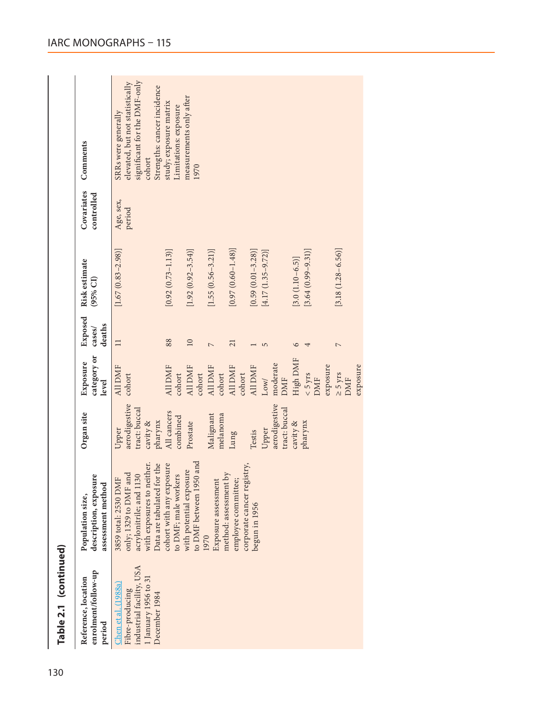|                       |                                                                | significant for the DMF-only<br>elevated, but not statistically<br>Strengths: cancer incidence<br>SRRs were generally                | study; exposure matrix<br>Limitations: exposure  | measurements only after                            |                                                      |                                                      |                       |                                         |                      |                                 |          |                            |          |
|-----------------------|----------------------------------------------------------------|--------------------------------------------------------------------------------------------------------------------------------------|--------------------------------------------------|----------------------------------------------------|------------------------------------------------------|------------------------------------------------------|-----------------------|-----------------------------------------|----------------------|---------------------------------|----------|----------------------------|----------|
|                       | Comments                                                       | cohort                                                                                                                               |                                                  | 1970                                               |                                                      |                                                      |                       |                                         |                      |                                 |          |                            |          |
|                       | Covariates<br>controlled                                       | Age, sex,<br>period                                                                                                                  |                                                  |                                                    |                                                      |                                                      |                       |                                         |                      |                                 |          |                            |          |
|                       | Risk estimate<br>(95% CI)                                      | $[1.67(0.83 - 2.98)]$                                                                                                                | $[0.92 (0.73 - 1.13)]$                           | $[1.92 (0.92 - 3.54)]$                             | $[1.55 (0.56 - 3.21)]$                               | $[0.97(0.60 - 1.48)]$                                | $[0.59(0.01 - 3.28)]$ | $[4.17(1.35 - 9.72)]$                   | $[3.0 (1.10 - 6.5)]$ | $[3.64(0.99 - 9.31)]$           |          | $[3.18(1.28-6.56)]$        |          |
|                       | Exposed<br>deaths<br>cases/                                    | $\Box$                                                                                                                               | 88                                               | $\overline{10}$                                    | $\overline{a}$                                       | 21                                                   |                       | 5                                       | $\circ$              |                                 |          | $\overline{C}$             |          |
|                       | category or<br>Exposure<br>level                               | All DMF<br>cohort                                                                                                                    | <b>All DMF</b><br>cohort                         | All DMF<br>cohort                                  | All DMF<br>cohort                                    | All DMF<br>cohort                                    | All DMF               | moderate<br>Low<br><b>DMF</b>           | High DMF             | $< 5 \text{ yrs}$<br><b>DMF</b> | exposure | $\geq$ 5 yrs<br><b>DMF</b> | exposure |
|                       | Organ site                                                     | aerodigestive<br>tract: buccal<br>pharynx<br>cavity &<br><b>Jpper</b>                                                                | All cancers<br>combined                          | Prostate                                           | Malignant<br>melanoma                                | Lung                                                 | Testis                | aerodigestive<br>tract: buccal<br>Upper | cavity &             | pharynx                         |          |                            |          |
|                       | description, exposure<br>assessment method<br>Population size, | with exposures to neither.<br>Data are tabulated for the<br>only; 1329 to DMF and<br>acrylonitrile; and 1130<br>3859 total: 2530 DMF | cohort with any exposure<br>to DMF; male workers | to DMF between 1950 and<br>with potential exposure | method: assessment by<br>Exposure assessment<br>1970 | registry,<br>employee committee;<br>corporate cancer | begun in 1956         |                                         |                      |                                 |          |                            |          |
| Table 2.1 (continued) | enrolment/follow-up<br>Reference, location<br>period           | Fibre-producing<br>industrial facility, USA<br>[January 1956 to 31<br>Chen et al. (1988a)<br>December 1984                           |                                                  |                                                    |                                                      |                                                      |                       |                                         |                      |                                 |          |                            |          |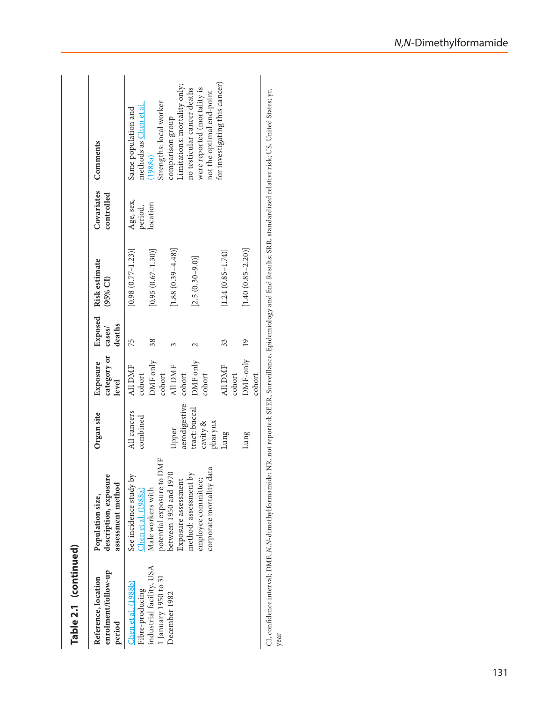| Table 2.1 (continued)<br>industrial facility, USA<br>enrolment/follow-up<br>1 January 1950 to 31<br>Reference, location<br>Chen et al. (1988b)<br>Fibre-producing<br>December 1982<br>period | potential exposure to DMF<br>between 1950 and 1970<br>method: assessment by<br>description, exposure<br>See incidence study by<br>Exposure assessment<br>assessment method<br>Chen et al. (1988a)<br>Male workers with<br>Population size, | aerodigestive<br>All cancers<br>Organ site<br>combined<br>Upper | category or<br>DMF only<br>Exposure<br>All DMF<br>All DMF<br>cohort<br>cohort<br>cohort<br>level | Exposed<br>deaths<br>cases/<br>75<br>38 | $[1.88(0.39 - 4.48)]$<br>$[0.95(0.67 - 1.30)]$<br>$[0.98(0.77 - 1.23)]$<br>Risk estimate<br>(95% CI) | Covariates<br>controlled<br>Age, sex,<br>location<br>period, | Limitations: mortality only;<br>no testicular cancer deaths<br>Strengths: local worker<br>methods as Chen et al.<br>Same population and<br>comparison group<br>Comments<br>(1988a) |
|----------------------------------------------------------------------------------------------------------------------------------------------------------------------------------------------|--------------------------------------------------------------------------------------------------------------------------------------------------------------------------------------------------------------------------------------------|-----------------------------------------------------------------|--------------------------------------------------------------------------------------------------|-----------------------------------------|------------------------------------------------------------------------------------------------------|--------------------------------------------------------------|------------------------------------------------------------------------------------------------------------------------------------------------------------------------------------|
|                                                                                                                                                                                              | corporate mortality data<br>employee committee;                                                                                                                                                                                            | tract: buccal<br>cavity &<br>pharynx                            | DMF only<br>cohort                                                                               |                                         | $[2.5(0.30 - 9.0)]$                                                                                  |                                                              | were reported (mortality is<br>not the optimal end-point                                                                                                                           |
|                                                                                                                                                                                              |                                                                                                                                                                                                                                            | Lung                                                            | All DMF<br>cohort                                                                                | 33                                      | $[1.24(0.85 - 1.74)]$                                                                                |                                                              | for investigating this cancer)                                                                                                                                                     |
|                                                                                                                                                                                              |                                                                                                                                                                                                                                            | Lung                                                            | DMF-only 19<br>cohort                                                                            |                                         | $[1.40(0.85 - 2.20)]$                                                                                |                                                              |                                                                                                                                                                                    |

CI, confidence interval; DMF, *N*,*N*-dimethylformamide; NR, not reported; SEER, Surveillance, Epidemiology and End Results; SRR, standardized relative risk; US, United States; yr, year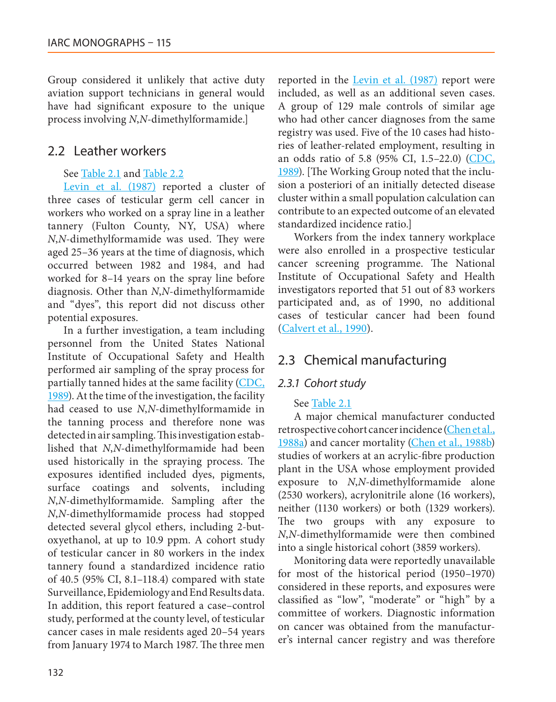Group considered it unlikely that active duty aviation support technicians in general would have had significant exposure to the unique process involving *N*,*N*-dimethylformamide.]

# 2.2 Leather workers

### See [Table 2.1](#page-10-0) and [Table 2.2](#page-14-0)

[Levin et al. \(1987\)](#page-47-2) reported a cluster of three cases of testicular germ cell cancer in workers who worked on a spray line in a leather tannery (Fulton County, NY, USA) where *N*,*N*-dimethylformamide was used. They were aged 25–36 years at the time of diagnosis, which occurred between 1982 and 1984, and had worked for 8–14 years on the spray line before diagnosis. Other than *N*,*N*-dimethylformamide and "dyes", this report did not discuss other potential exposures.

In a further investigation, a team including personnel from the United States National Institute of Occupational Safety and Health performed air sampling of the spray process for partially tanned hides at the same facility [\(CDC,](#page-43-6) [1989\)](#page-43-6). At the time of the investigation, the facility had ceased to use *N*,*N*-dimethylformamide in the tanning process and therefore none was detected in air sampling. This investigation established that *N*,*N*-dimethylformamide had been used historically in the spraying process. The exposures identified included dyes, pigments, surface coatings and solvents, including *N*,*N*-dimethylformamide. Sampling after the *N*,*N*-dimethylformamide process had stopped detected several glycol ethers, including 2-butoxyethanol, at up to 10.9 ppm. A cohort study of testicular cancer in 80 workers in the index tannery found a standardized incidence ratio of 40.5 (95% CI, 8.1–118.4) compared with state Surveillance, Epidemiology and End Results data. In addition, this report featured a case–control study, performed at the county level, of testicular cancer cases in male residents aged 20–54 years from January 1974 to March 1987. The three men

reported in the [Levin et al. \(1987\)](#page-47-2) report were included, as well as an additional seven cases. A group of 129 male controls of similar age who had other cancer diagnoses from the same registry was used. Five of the 10 cases had histories of leather-related employment, resulting in an odds ratio of 5.8 (95% CI, 1.5–22.0) [\(CDC,](#page-43-6) [1989\)](#page-43-6). [The Working Group noted that the inclusion a posteriori of an initially detected disease cluster within a small population calculation can contribute to an expected outcome of an elevated standardized incidence ratio.]

Workers from the index tannery workplace were also enrolled in a prospective testicular cancer screening programme. The National Institute of Occupational Safety and Health investigators reported that 51 out of 83 workers participated and, as of 1990, no additional cases of testicular cancer had been found ([Calvert et al., 1990\)](#page-43-7).

# 2.3 Chemical manufacturing

# *2.3.1 Cohort study*

### See [Table 2.1](#page-10-0)

A major chemical manufacturer conducted retrospective cohort cancer incidence [\(Chen et al.,](#page-44-1) [1988a](#page-44-1)) and cancer mortality [\(Chen et al., 1988b\)](#page-44-2) studies of workers at an acrylic-fibre production plant in the USA whose employment provided exposure to *N*,*N*-dimethylformamide alone (2530 workers), acrylonitrile alone (16 workers), neither (1130 workers) or both (1329 workers). The two groups with any exposure to *N*,*N*-dimethylformamide were then combined into a single historical cohort (3859 workers).

Monitoring data were reportedly unavailable for most of the historical period (1950–1970) considered in these reports, and exposures were classified as "low", "moderate" or "high" by a committee of workers. Diagnostic information on cancer was obtained from the manufacturer's internal cancer registry and was therefore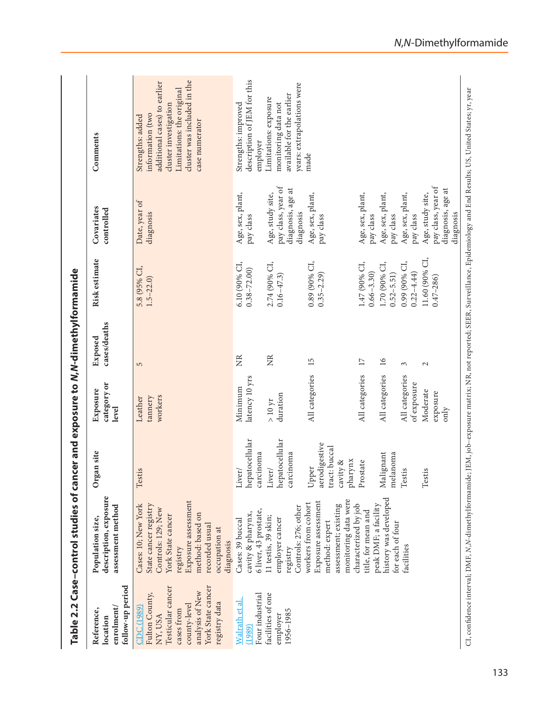<span id="page-14-0"></span>

|                                                                                                                                                    | Table 2.2 Case-control studies of                                                                                                                                                              |                                                                | cancer and exposure to N,N-dimethylformamide |                         |                                 |                                                                          |                                                                                                                                                                                |
|----------------------------------------------------------------------------------------------------------------------------------------------------|------------------------------------------------------------------------------------------------------------------------------------------------------------------------------------------------|----------------------------------------------------------------|----------------------------------------------|-------------------------|---------------------------------|--------------------------------------------------------------------------|--------------------------------------------------------------------------------------------------------------------------------------------------------------------------------|
| follow-up period<br>enrolment/<br>Reference,<br>location                                                                                           | description, exposure<br>assessment method<br>Population size,                                                                                                                                 | Organ site                                                     | category or<br>Exposure<br>level             | cases/deaths<br>Exposed | Risk estimate                   | Covariates<br>controlled                                                 | Comments                                                                                                                                                                       |
| York State cancer<br>Testicular cancer<br>analysis of New<br>Fulton County,<br>registry data<br>county-level<br>CDC(1989)<br>cases from<br>NY, USA | Exposure assessment<br>State cancer registry<br>Cases: 10; New York<br>Controls: 129; New<br>method: based on<br>York State cancer<br>recorded usual<br>occupation at<br>diagnosis<br>registry | Testis                                                         | workers<br>tannery<br>Leather                | $\overline{5}$          | 5.8 (95% CI,<br>$1.5 - 22.0$    | Date, year of<br>diagnosis                                               | cluster was included in the<br>additional cases) to earlier<br>Limitations: the original<br>cluster investigation<br>information (two<br>Strengths: added<br>case numerator    |
| Four industrial<br>Walrath et al.<br>(1989)                                                                                                        | 6 liver, 43 prostate,<br>cavity & pharynx,<br>Cases: 39 buccal                                                                                                                                 | hepatocellular<br>carcinoma<br>Liver/                          | latency 10 yrs<br>Minimum                    | Ž                       | 6.10 (90% CI,<br>$0.38 - 72.00$ | Age, sex, plant,<br>pay class                                            | description of JEM for this<br>Strengths: improved<br>employer                                                                                                                 |
| facilities of one<br>1956-1985<br>employer                                                                                                         | Controls: 276; other<br>11 testis, 39 skin;<br>employer cancer<br>registry                                                                                                                     | hepatocellular<br>carcinoma<br>Liver/                          | duration<br>$>10~yr$                         | $\widetilde{Z}$         | 2.74 (90% CI,<br>$0.16 - 47.3$  | pay class, year of<br>diagnosis, age at<br>Age, study site,<br>diagnosis | years: extrapolations were<br>available for the earlier<br>Limitations: exposure<br>monitoring data not                                                                        |
|                                                                                                                                                    | monitoring data were<br>Exposure assessment<br>workers from cohort<br>assessment; existing<br>method: expert                                                                                   | aerodigestive<br>tract: buccal<br>pharynx<br>cavity &<br>Upper | All categories                               | 15                      | 0.89 (90% CI,<br>$0.35 - 2.29$  | Age, sex, plant,<br>pay class                                            | made                                                                                                                                                                           |
|                                                                                                                                                    | characterized by job<br>title, for mean and                                                                                                                                                    | Prostate                                                       | All categories                               | 17                      | 1.47 (90% CI,<br>$0.66 - 3.30$  | Age, sex, plant,<br>pay class                                            |                                                                                                                                                                                |
|                                                                                                                                                    | history was developed<br>peak DMF; a facility<br>for each of four                                                                                                                              | Malignant<br>melanoma                                          | All categories                               | $\overline{16}$         | 1.70 (90% CI,<br>$0.52 - 5.51$  | Age, sex, plant,<br>pay class                                            |                                                                                                                                                                                |
|                                                                                                                                                    | facilities                                                                                                                                                                                     | Testis                                                         | All categories<br>of exposure                | 3                       | 0.99 (90% CI,<br>$0.22 - 4.44$  | Age, sex, plant,<br>pay class                                            |                                                                                                                                                                                |
|                                                                                                                                                    |                                                                                                                                                                                                | Testis                                                         | Moderate<br>exposure<br>only                 | $\sim$                  | 11.60 (90% CI,<br>$0.47 - 286$  | pay class, year of<br>diagnosis, age at<br>Age, study site,<br>diagnosis |                                                                                                                                                                                |
|                                                                                                                                                    |                                                                                                                                                                                                |                                                                |                                              |                         |                                 |                                                                          | CI, confidence interval; DMF, N,N-dimethylformamide; JEM, job-exposure matrix; NR, not reported; SEER, Surveillance, Epidemiology and End Results; US, United States; yr, year |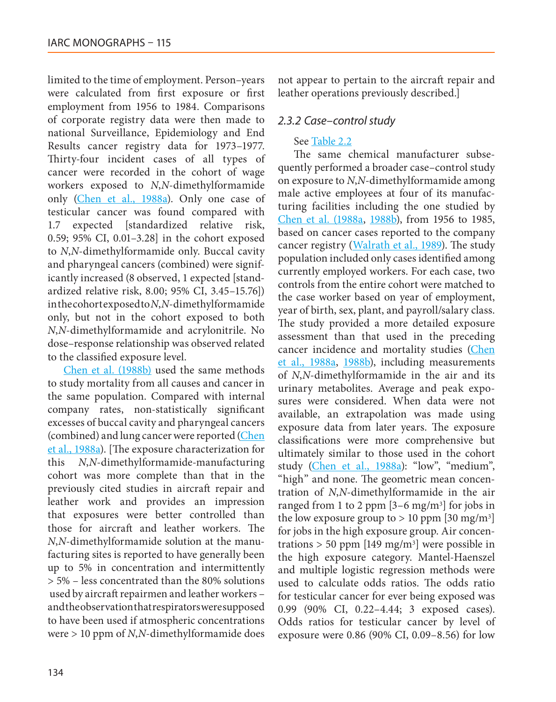limited to the time of employment. Person–years were calculated from first exposure or first employment from 1956 to 1984. Comparisons of corporate registry data were then made to national Surveillance, Epidemiology and End Results cancer registry data for 1973–1977. Thirty-four incident cases of all types of cancer were recorded in the cohort of wage workers exposed to *N*,*N*-dimethylformamide only [\(Chen et al., 1988a\)](#page-44-1). Only one case of testicular cancer was found compared with 1.7 expected [standardized relative risk, 0.59; 95% CI, 0.01–3.28] in the cohort exposed to *N*,*N*-dimethylformamide only. Buccal cavity and pharyngeal cancers (combined) were significantly increased (8 observed, 1 expected [standardized relative risk, 8.00; 95% CI, 3.45–15.76]) in the cohort exposed to *N*,*N*-dimethylformamide only, but not in the cohort exposed to both *N*,*N*-dimethylformamide and acrylonitrile. No dose–response relationship was observed related to the classified exposure level.

[Chen et al. \(1988b\)](#page-44-2) used the same methods to study mortality from all causes and cancer in the same population. Compared with internal company rates, non-statistically significant excesses of buccal cavity and pharyngeal cancers (combined) and lung cancer were reported (Chen [et al., 1988a](#page-44-1)). [The exposure characterization for this *N*,*N*-dimethylformamide-manufacturing cohort was more complete than that in the previously cited studies in aircraft repair and leather work and provides an impression that exposures were better controlled than those for aircraft and leather workers. The *N*,*N*-dimethylformamide solution at the manufacturing sites is reported to have generally been up to 5% in concentration and intermittently > 5% – less concentrated than the 80% solutions used by aircraft repairmen and leather workers – and the observation that respirators were supposed to have been used if atmospheric concentrations were > 10 ppm of *N*,*N*-dimethylformamide does not appear to pertain to the aircraft repair and leather operations previously described.]

### *2.3.2 Case–control study*

#### See [Table 2.2](#page-14-0)

The same chemical manufacturer subsequently performed a broader case–control study on exposure to *N*,*N*-dimethylformamide among male active employees at four of its manufacturing facilities including the one studied by [Chen et al. \(1988a,](#page-44-1) [1988b](#page-44-2)), from 1956 to 1985, based on cancer cases reported to the company cancer registry ([Walrath et al., 1989\)](#page-51-1). The study population included only cases identified among currently employed workers. For each case, two controls from the entire cohort were matched to the case worker based on year of employment, year of birth, sex, plant, and payroll/salary class. The study provided a more detailed exposure assessment than that used in the preceding cancer incidence and mortality studies [\(Chen](#page-44-1) [et al., 1988a,](#page-44-1) [1988b\)](#page-44-2), including measurements of *N*,*N*-dimethylformamide in the air and its urinary metabolites. Average and peak exposures were considered. When data were not available, an extrapolation was made using exposure data from later years. The exposure classifications were more comprehensive but ultimately similar to those used in the cohort study [\(Chen et al., 1988a](#page-44-1)): "low", "medium", "high" and none. The geometric mean concentration of *N*,*N*-dimethylformamide in the air ranged from 1 to 2 ppm  $[3-6 \text{ mg/m}^3]$  for jobs in the low exposure group to  $> 10$  ppm [30 mg/m<sup>3</sup>] for jobs in the high exposure group. Air concentrations  $> 50$  ppm [149 mg/m<sup>3</sup>] were possible in the high exposure category. Mantel-Haenszel and multiple logistic regression methods were used to calculate odds ratios. The odds ratio for testicular cancer for ever being exposed was 0.99 (90% CI, 0.22–4.44; 3 exposed cases). Odds ratios for testicular cancer by level of exposure were 0.86 (90% CI, 0.09–8.56) for low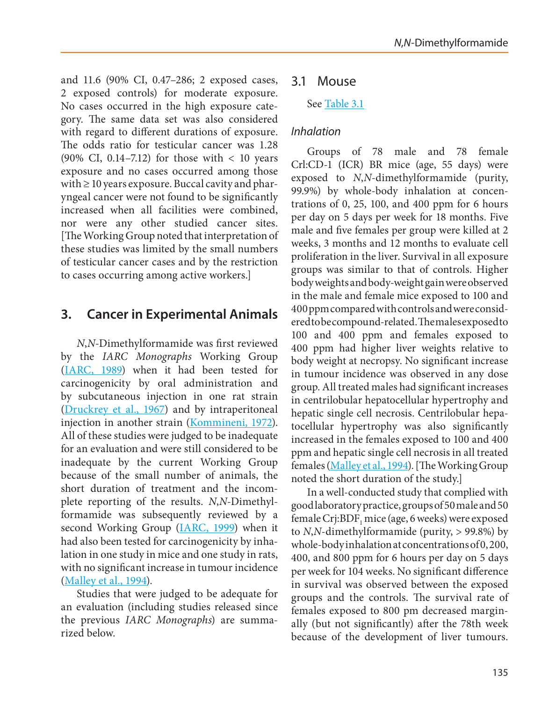and 11.6 (90% CI, 0.47–286; 2 exposed cases, 2 exposed controls) for moderate exposure. No cases occurred in the high exposure category. The same data set was also considered with regard to different durations of exposure. The odds ratio for testicular cancer was 1.28 (90% CI, 0.14–7.12) for those with  $\lt$  10 years exposure and no cases occurred among those with  $\geq 10$  years exposure. Buccal cavity and pharyngeal cancer were not found to be significantly increased when all facilities were combined, nor were any other studied cancer sites. [The Working Group noted that interpretation of these studies was limited by the small numbers of testicular cancer cases and by the restriction to cases occurring among active workers.]

# **3. Cancer in Experimental Animals**

*N*,*N*-Dimethylformamide was first reviewed by the *IARC Monographs* Working Group [\(IARC, 1989](#page-46-1)) when it had been tested for carcinogenicity by oral administration and by subcutaneous injection in one rat strain [\(Druckrey et al., 1967](#page-44-7)) and by intraperitoneal injection in another strain [\(Kommineni, 1972](#page-47-3)). All of these studies were judged to be inadequate for an evaluation and were still considered to be inadequate by the current Working Group because of the small number of animals, the short duration of treatment and the incomplete reporting of the results. *N*,*N*-Dimethylformamide was subsequently reviewed by a second Working Group [\(IARC, 1999\)](#page-46-2) when it had also been tested for carcinogenicity by inhalation in one study in mice and one study in rats, with no significant increase in tumour incidence [\(Malley et al., 1994\)](#page-48-6).

Studies that were judged to be adequate for an evaluation (including studies released since the previous *IARC Monographs*) are summarized below.

# 3.1 Mouse

### See [Table 3.1](#page-17-0)

### *Inhalation*

Groups of 78 male and 78 female Crl:CD-1 (ICR) BR mice (age, 55 days) were exposed to *N*,*N*-dimethylformamide (purity, 99.9%) by whole-body inhalation at concentrations of 0, 25, 100, and 400 ppm for 6 hours per day on 5 days per week for 18 months. Five male and five females per group were killed at 2 weeks, 3 months and 12 months to evaluate cell proliferation in the liver. Survival in all exposure groups was similar to that of controls. Higher body weights and body-weight gain were observed in the male and female mice exposed to 100 and 400 ppm compared with controls and were considered to be compound-related. The males exposed to 100 and 400 ppm and females exposed to 400 ppm had higher liver weights relative to body weight at necropsy. No significant increase in tumour incidence was observed in any dose group. All treated males had significant increases in centrilobular hepatocellular hypertrophy and hepatic single cell necrosis. Centrilobular hepatocellular hypertrophy was also significantly increased in the females exposed to 100 and 400 ppm and hepatic single cell necrosis in all treated females ([Malley et al., 1994\)](#page-48-6). [The Working Group noted the short duration of the study.]

In a well-conducted study that complied with good laboratory practice, groups of 50 male and 50 female Crj:BDF<sub>1</sub> mice (age, 6 weeks) were exposed to *N*,*N*-dimethylformamide (purity, > 99.8%) by whole-body inhalation at concentrations of 0, 200, 400, and 800 ppm for 6 hours per day on 5 days per week for 104 weeks. No significant difference in survival was observed between the exposed groups and the controls. The survival rate of females exposed to 800 pm decreased marginally (but not significantly) after the 78th week because of the development of liver tumours.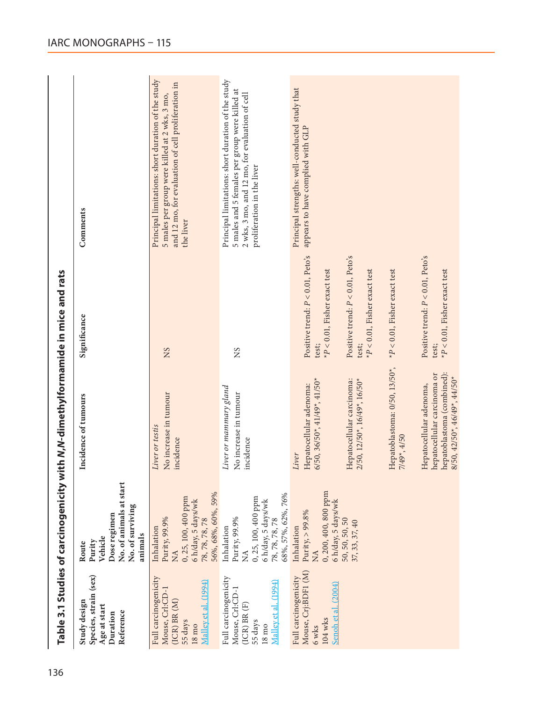<span id="page-17-0"></span>

| Species, strain (sex)<br>Study design<br>Age at start<br>Reference<br>Duration                                    | No. of animals at start<br>No. of surviving<br>Dose regimen<br>animals<br>Vehicle<br>Purity<br>Route                                 | Incidence of tumours                                                                                                 | Significance                                                                               | Comments                                                                                                                                                                             |
|-------------------------------------------------------------------------------------------------------------------|--------------------------------------------------------------------------------------------------------------------------------------|----------------------------------------------------------------------------------------------------------------------|--------------------------------------------------------------------------------------------|--------------------------------------------------------------------------------------------------------------------------------------------------------------------------------------|
| Full carcinogenicity<br>Malley et al. (1994)<br>Mouse, Crl:CD-1<br>$(ICR)$ BR $(M)$<br>55 days<br>$18 \text{ mo}$ | 56%, 68%, 60%, 59%<br>0, 25, 100, 400 ppm<br>6 h/day, 5 days/wk<br>Purity, 99.9%<br>78, 78, 78, 78<br>Inhalation<br>$\sum_{i=1}^{n}$ | No increase in tumour<br>Liver or testis<br>incidence                                                                | SN                                                                                         | Principal limitations: short duration of the study<br>and 12 mo, for evaluation of cell proliferation in<br>5 males per group were killed at 2 wks, 3 mo,<br>the liver               |
| Full carcinogenicity<br>Malley et al. (1994)<br>Mouse, Crl:CD-1<br>(ICR) BR (F)<br>55 days<br>$18 \text{ m}$      | 68%, 57%, 62%, 76%<br>0, 25, 100, 400 ppm<br>6 h/day, 5 days/wk<br>Purity, 99.9%<br>78, 78, 78, 78<br>Inhalation<br>$\mathbb{X}$     | Liver or mammary gland<br>No increase in tumour<br>incidence                                                         | SN                                                                                         | Principal limitations: short duration of the study<br>5 males and 5 females per group were killed at<br>2 wks, 3 mo, and 12 mo, for evaluation of cell<br>proliferation in the liver |
| Mouse, Crj:BDF1 (M)<br>Full carcinogenicity<br>Senoh et al. (2004)<br>104 wks<br>6 wks                            | 0, 200, 400, 800 ppm<br>6 h/day, 5 days/wk<br>Purity, $> 99.8\%$<br>Inhalation<br><b>NA</b>                                          | $6/50$ , $36/50$ <sup>*</sup> , $41/49$ <sup>*</sup> , $41/50$ <sup>*</sup><br>Hepatocellular adenoma:<br>Liver      | Positive trend: $P < 0.01$ , Peto's<br>${}^\star P$ $<$ 0.01, Fisher exact test<br>test;   | Principal strengths: well-conducted study that<br>appears to have complied with GLP                                                                                                  |
|                                                                                                                   | 50, 50, 50, 50<br>37, 33, 37, 40                                                                                                     | Hepatocellular carcinoma:<br>2/50, 12/50*, 16/49*, 16/50*                                                            | Positive trend: $P < 0.01$ , Peto's<br>$P < 0.01$ , Fisher exact test<br>test;             |                                                                                                                                                                                      |
|                                                                                                                   |                                                                                                                                      | Hepatoblastoma: 0/50, 13/50*,<br>7/49*, 4/50                                                                         | $*P < 0.01$ , Fisher exact test                                                            |                                                                                                                                                                                      |
|                                                                                                                   |                                                                                                                                      | hepatoblastoma (combined):<br>hepatocellular carcinoma or<br>8/50, 42/50*, 46/49*, 44/50*<br>Hepatocellular adenoma, | Positive trend: $P < 0.01$ , Peto's<br>$\mathrm{^{x}P} < 0.01,$ Fisher exact test<br>test; |                                                                                                                                                                                      |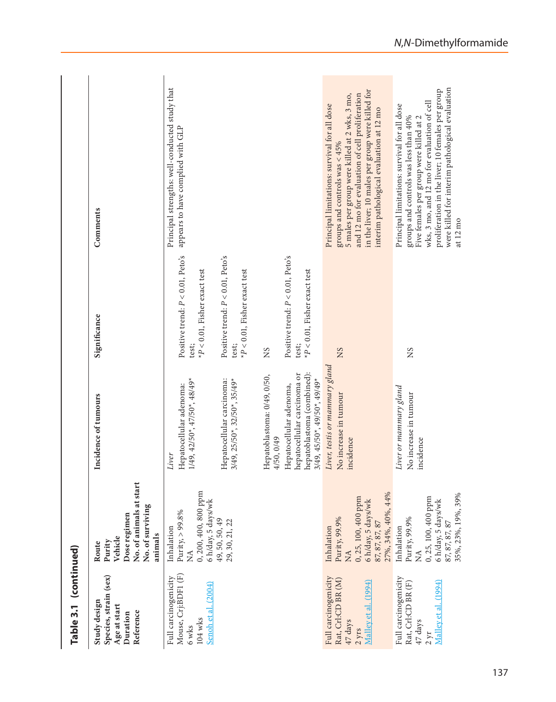| Table 3.1 (continued)                                                                            |                                                                                                                                      |                                                                                                                                                                                                              |                                                                                                                                                                 |                                                                                                                                                                                                                                                                                                    |
|--------------------------------------------------------------------------------------------------|--------------------------------------------------------------------------------------------------------------------------------------|--------------------------------------------------------------------------------------------------------------------------------------------------------------------------------------------------------------|-----------------------------------------------------------------------------------------------------------------------------------------------------------------|----------------------------------------------------------------------------------------------------------------------------------------------------------------------------------------------------------------------------------------------------------------------------------------------------|
| Species, strain (sex)<br>Study design<br>Age at start<br>Reference<br>Duration                   | No. of animals at star<br>No. of surviving<br>Dose regimen<br>animals<br>Vehicle<br>Purity<br>Route                                  | Incidence of tumours                                                                                                                                                                                         | Significance                                                                                                                                                    | Comments                                                                                                                                                                                                                                                                                           |
| Mouse, Crj:BDF1 (F)<br>Full carcinogenicity<br>Senoh et al. (2004)<br>$104 \text{ wks}$<br>6 wks | 0, 200, 400, 800 ppm<br>6 h/day, 5 days/wk<br>Purity, $> 99.8\%$<br>49, 50, 50, 49<br>29, 30, 21, 22<br>Inhalation<br>≸              | Hepatocellular carcinoma:<br>$1/49, 42/50$ <sup>*</sup> , $47/50$ <sup>*</sup> , $48/49$ <sup>*</sup><br>$3/49$ , $25/50$ *, $32/50$ *, $35/49$ *<br>Hepatocellular adenoma:<br>Liver                        | Positive trend: $P < 0.01$ , Peto's<br>Positive trend: $P < 0.01$ , Peto's<br>$P < 0.01$ , Fisher exact test<br>$*P<0.01$ , Fisher exact test<br>test;<br>test; | Principal strengths: well-conducted study that<br>appears to have complied with GLP                                                                                                                                                                                                                |
|                                                                                                  |                                                                                                                                      | hepatoblastoma (combined):<br>hepatocellular carcinoma or<br>Hepatoblastoma: 0/49, 0/50,<br>$3/49, 45/50$ <sup>*</sup> , $49/50$ <sup>*</sup> , $49/49$ <sup>*</sup><br>Hepatocellular adenoma,<br>4/50,0/49 | Positive trend: $P < 0.01$ , Peto's<br>$*P$ < 0.01, Fisher exact test<br>test;<br>SN                                                                            |                                                                                                                                                                                                                                                                                                    |
| Full carcinogenicity<br>Rat, Crl:CD BR (M)<br>Malley et al. (1994)<br>47 days<br>2 <i>y</i> rs   | 27%, 34%, 40%, 44%<br>0, 25, 100, 400 ppm<br>6 h/day, 5 days/wk<br>Purity, 99.9%<br>87, 87, 87, 87<br>Inhalation<br>$\sum_{i=1}^{n}$ | Liver, testis or mammary gland<br>No increase in tumour<br>incidence                                                                                                                                         | SN                                                                                                                                                              | in the liver; 10 males per group were killed for<br>and 12 mo for evaluation of cell proliferation<br>5 males per group were killed at 2 wks, 3 mo,<br>Principal limitations: survival for all dose<br>interim pathological evaluation at 12 mo<br>groups and controls was $< 45\%$                |
| Full carcinogenicity<br>Malley et al. (1994)<br>Rat, Crl:CD BR (F)<br>47 days<br>$2 \gamma r$    | 35%, 23%, 19%, 39%<br>0, 25, 100, 400 ppm<br>6 h/day, 5 days/wk<br>Purity, 99.9%<br>87, 87, 87, 87<br>Inhalation<br>$\lessapprox$    | Liver or mammary gland<br>No increase in tumour<br>incidence                                                                                                                                                 | SN                                                                                                                                                              | were killed for interim pathological evaluation<br>proliferation in the liver; 10 females per group<br>wks, 3 mo, and 12 mo for evaluation of cell<br>Principal limitations: survival for all dose<br>groups and controls was less than 40%<br>Five females per group were killed at 2<br>at 12 mo |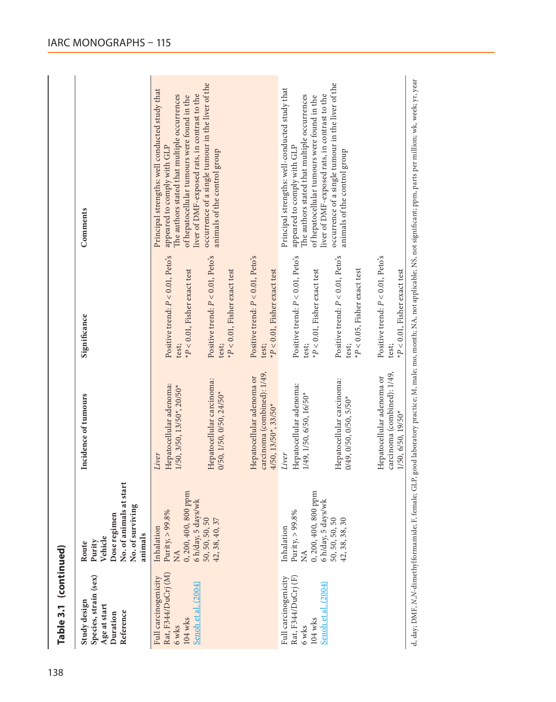| Table 3.1 (continued)                                                                  |                                                                                                        |                                                                                                  |                                                                                 |                                                                                                                                                                                                                               |
|----------------------------------------------------------------------------------------|--------------------------------------------------------------------------------------------------------|--------------------------------------------------------------------------------------------------|---------------------------------------------------------------------------------|-------------------------------------------------------------------------------------------------------------------------------------------------------------------------------------------------------------------------------|
| Species, strain (sex)<br>Study design<br>Age at start<br>Reference<br>Duration         | No. of animals at start<br>No. of surviving<br>Dose regimen<br>animals<br>Vehicle<br>Purity<br>Route   | Incidence of tumours                                                                             | Significance                                                                    | Comments                                                                                                                                                                                                                      |
| Rat, F344/DuCrj (M)<br>Full carcinogenicity<br>Senoh et al. (2004)<br>104 wks<br>6 wks | 0, 200, 400, 800 ppm<br>6 h/day, 5 days/wk<br>Purity, $> 99.8\%$<br>Inhalation<br>$\tilde{\mathbf{z}}$ | Hepatocellular adenoma:<br>1/50, 3/50, 13/50*, 20/50*<br>Liver                                   | Positive trend: $P < 0.01$ , Peto's<br>$P$ < 0.01, Fisher exact test<br>test;   | Principal strengths: well conducted study that<br>liver of DMF-exposed rats, in contrast to the<br>The authors stated that multiple occurrences<br>of hepatocellular tumours were found in the<br>appeared to comply with GLP |
|                                                                                        | 50, 50, 50, 50<br>42, 38, 40, 37                                                                       | Hepatocellular carcinoma:<br>$0/50, 1/50, 0/50, 24/50*$                                          | Positive trend: $P < 0.01$ , Peto's<br>$*P < 0.01$ , Fisher exact test<br>test; | occurrence of a single tumour in the liver of the<br>animals of the control group                                                                                                                                             |
|                                                                                        |                                                                                                        | carcinoma (combined): 1/49,<br>Hepatocellular adenoma or<br>$4/50, 13/50^*$ , 33/50 <sup>*</sup> | Positive trend: $P < 0.01$ , Peto's<br>$*P<0.01$ ,Fisher exact test<br>test;    |                                                                                                                                                                                                                               |
| Full carcinogenicity<br>Rat, F344/DuCrj (F)<br>Senoh et al. (2004)<br>104 wks<br>6 wks | 0, 200, 400, 800 ppm<br>6 h/day, 5 days/wk<br>Purity, $> 99.8\%$<br>Inhalation<br>ΧÁ                   | Hepatocellular adenoma:<br>1/49, 1/50, 6/50, 16/50*<br>Liver                                     | Positive trend: $P < 0.01$ , Peto's<br>$*P$ < 0.01, Fisher exact test<br>test;  | Principal strengths: well-conducted study that<br>The authors stated that multiple occurrences<br>liver of DMF-exposed rats, in contrast to the<br>of hepatocellular tumours were found in the<br>appeared to comply with GLP |
|                                                                                        | 50, 50, 50, 50<br>42, 38, 38, 30                                                                       | Hepatocellular carcinoma:<br>$0/49, 0/50, 0/50, 5/50*$                                           | Positive trend: $P < 0.01$ , Peto's<br>$P < 0.05$ , Fisher exact test<br>test;  | occurrence of a single tumour in the liver of the<br>animals of the control group                                                                                                                                             |
|                                                                                        |                                                                                                        | carcinoma (combined): 1/49,<br>Hepatocellular adenoma or<br>1/50, 6/50, 19/50*                   | Positive trend: $P < 0.01$ , Peto's<br>$P < 0.01$ , Fisher exact test<br>test;  |                                                                                                                                                                                                                               |
|                                                                                        |                                                                                                        |                                                                                                  |                                                                                 | d, day, DMF, N,N-dimethylformamide; F, female; GLP, good laboratory practice; M, male; mo, month; NA, not applicable; NS, not significant; ppm, parts per million; wk, week; yr, year                                         |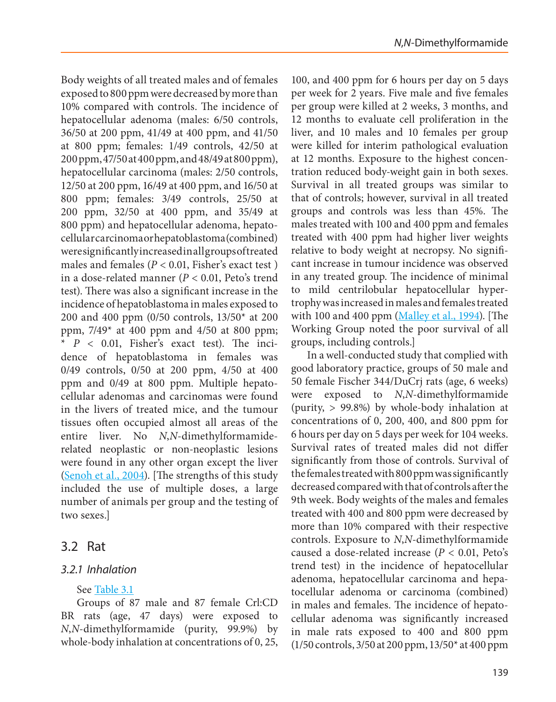Body weights of all treated males and of females exposed to 800 ppm were decreased by more than 10% compared with controls. The incidence of hepatocellular adenoma (males: 6/50 controls, 36/50 at 200 ppm, 41/49 at 400 ppm, and 41/50 at 800 ppm; females: 1/49 controls, 42/50 at 200 ppm, 47/50 at 400 ppm, and 48/49 at 800 ppm), hepatocellular carcinoma (males: 2/50 controls, 12/50 at 200 ppm, 16/49 at 400 ppm, and 16/50 at 800 ppm; females: 3/49 controls, 25/50 at 200 ppm, 32/50 at 400 ppm, and 35/49 at 800 ppm) and hepatocellular adenoma, hepatocellular carcinoma or hepatoblastoma (combined) were significantly increased in all groups of treated males and females (*P* < 0.01, Fisher's exact test ) in a dose-related manner (*P* < 0.01, Peto's trend test). There was also a significant increase in the incidence of hepatoblastoma in males exposed to 200 and 400 ppm (0/50 controls, 13/50\* at 200 ppm,  $7/49*$  at 400 ppm and 4/50 at 800 ppm; \* *P* < 0.01, Fisher's exact test). The incidence of hepatoblastoma in females was 0/49 controls, 0/50 at 200 ppm, 4/50 at 400 ppm and 0/49 at 800 ppm. Multiple hepatocellular adenomas and carcinomas were found in the livers of treated mice, and the tumour tissues often occupied almost all areas of the entire liver. No *N*,*N*-dimethylformamiderelated neoplastic or non-neoplastic lesions were found in any other organ except the liver [\(Senoh et al., 2004](#page-50-5)). [The strengths of this study included the use of multiple doses, a large number of animals per group and the testing of two sexes.]

# 3.2 Rat

# *3.2.1 Inhalation*

# See [Table 3.1](#page-17-0)

Groups of 87 male and 87 female Crl:CD BR rats (age, 47 days) were exposed to *N*,*N*-dimethylformamide (purity, 99.9%) by whole-body inhalation at concentrations of 0, 25,

100, and 400 ppm for 6 hours per day on 5 days per week for 2 years. Five male and five females per group were killed at 2 weeks, 3 months, and 12 months to evaluate cell proliferation in the liver, and 10 males and 10 females per group were killed for interim pathological evaluation at 12 months. Exposure to the highest concentration reduced body-weight gain in both sexes. Survival in all treated groups was similar to that of controls; however, survival in all treated groups and controls was less than 45%. The males treated with 100 and 400 ppm and females treated with 400 ppm had higher liver weights relative to body weight at necropsy. No significant increase in tumour incidence was observed in any treated group. The incidence of minimal to mild centrilobular hepatocellular hypertrophy was increased in males and females treated with 100 and 400 ppm [\(Malley et al., 1994\)](#page-48-6). [The Working Group noted the poor survival of all groups, including controls.]

In a well-conducted study that complied with good laboratory practice, groups of 50 male and 50 female Fischer 344/DuCrj rats (age, 6 weeks) were exposed to *N*,*N*-dimethylformamide (purity, > 99.8%) by whole-body inhalation at concentrations of 0, 200, 400, and 800 ppm for 6 hours per day on 5 days per week for 104 weeks. Survival rates of treated males did not differ significantly from those of controls. Survival of the females treated with 800 ppm was significantly decreased compared with that of controls after the 9th week. Body weights of the males and females treated with 400 and 800 ppm were decreased by more than 10% compared with their respective controls. Exposure to *N*,*N*-dimethylformamide caused a dose-related increase (*P* < 0.01, Peto's trend test) in the incidence of hepatocellular adenoma, hepatocellular carcinoma and hepatocellular adenoma or carcinoma (combined) in males and females. The incidence of hepatocellular adenoma was significantly increased in male rats exposed to 400 and 800 ppm (1/50 controls, 3/50 at 200 ppm, 13/50\* at 400 ppm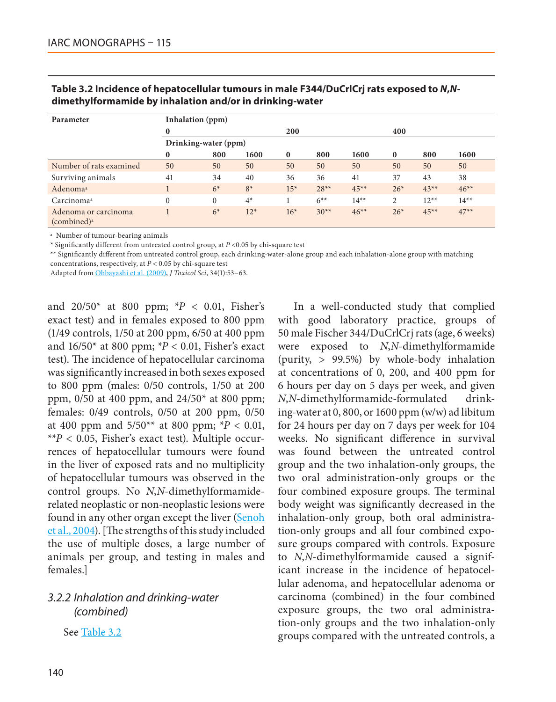| Parameter                                       | Inhalation (ppm)     |          |       |          |        |         |                |        |         |
|-------------------------------------------------|----------------------|----------|-------|----------|--------|---------|----------------|--------|---------|
|                                                 | $\mathbf{0}$         |          |       | 200      |        |         | 400            |        |         |
|                                                 | Drinking-water (ppm) |          |       |          |        |         |                |        |         |
|                                                 | $\bf{0}$             | 800      | 1600  | $\bf{0}$ | 800    | 1600    | $\mathbf{0}$   | 800    | 1600    |
| Number of rats examined                         | 50                   | 50       | 50    | 50       | 50     | 50      | 50             | 50     | 50      |
| Surviving animals                               | 41                   | 34       | 40    | 36       | 36     | 41      | 37             | 43     | 38      |
| Adenoma <sup>a</sup>                            |                      | $6*$     | $8*$  | $15*$    | $28**$ | $45**$  | $26*$          | $43**$ | $46**$  |
| Carcinoma <sup>a</sup>                          | $\theta$             | $\Omega$ | $4*$  |          | $6***$ | $14***$ | $\overline{c}$ | $12**$ | $14***$ |
| Adenoma or carcinoma<br>(combined) <sup>a</sup> |                      | $6*$     | $12*$ | $16*$    | $30**$ | $46**$  | $26*$          | $45**$ | $47**$  |

<span id="page-21-0"></span>

| Table 3.2 Incidence of hepatocellular tumours in male F344/DuCrICrj rats exposed to N,N- |
|------------------------------------------------------------------------------------------|
| dimethylformamide by inhalation and/or in drinking-water                                 |

<sup>a</sup> Number of tumour-bearing animals

\* Significantly different from untreated control group, at *P* <0.05 by chi-square test

\*\* Significantly different from untreated control group, each drinking-water-alone group and each inhalation-alone group with matching concentrations, respectively, at *P* < 0.05 by chi-square test

Adapted from [Ohbayashi et al. \(2009\)](#page-49-6), *J Toxicol Sci*, 34(1):53−63.

and  $20/50^*$  at 800 ppm;  $*P < 0.01$ , Fisher's exact test) and in females exposed to 800 ppm (1/49 controls, 1/50 at 200 ppm, 6/50 at 400 ppm and 16/50\* at 800 ppm; \**P* < 0.01, Fisher's exact test). The incidence of hepatocellular carcinoma was significantly increased in both sexes exposed to 800 ppm (males: 0/50 controls, 1/50 at 200 ppm, 0/50 at 400 ppm, and 24/50\* at 800 ppm; females: 0/49 controls, 0/50 at 200 ppm, 0/50 at 400 ppm and  $5/50^{**}$  at 800 ppm;  $*P < 0.01$ ,  $*$ <sup>\*</sup> $P$  < 0.05, Fisher's exact test). Multiple occurrences of hepatocellular tumours were found in the liver of exposed rats and no multiplicity of hepatocellular tumours was observed in the control groups. No *N*,*N*-dimethylformamiderelated neoplastic or non-neoplastic lesions were found in any other organ except the liver [\(Senoh](#page-50-5) [et al., 2004](#page-50-5)). [The strengths of this study included the use of multiple doses, a large number of animals per group, and testing in males and females.]

# *3.2.2 Inhalation and drinking-water (combined)*

See [Table 3.2](#page-21-0)

In a well-conducted study that complied with good laboratory practice, groups of 50 male Fischer 344/DuCrlCrj rats (age, 6 weeks) were exposed to *N*,*N*-dimethylformamide (purity, > 99.5%) by whole-body inhalation at concentrations of 0, 200, and 400 ppm for 6 hours per day on 5 days per week, and given *N*,*N*-dimethylformamide-formulated drinking-water at 0, 800, or 1600 ppm (w/w) ad libitum for 24 hours per day on 7 days per week for 104 weeks. No significant difference in survival was found between the untreated control group and the two inhalation-only groups, the two oral administration-only groups or the four combined exposure groups. The terminal body weight was significantly decreased in the inhalation-only group, both oral administration-only groups and all four combined exposure groups compared with controls. Exposure to *N*,*N*-dimethylformamide caused a significant increase in the incidence of hepatocellular adenoma, and hepatocellular adenoma or carcinoma (combined) in the four combined exposure groups, the two oral administration-only groups and the two inhalation-only groups compared with the untreated controls, a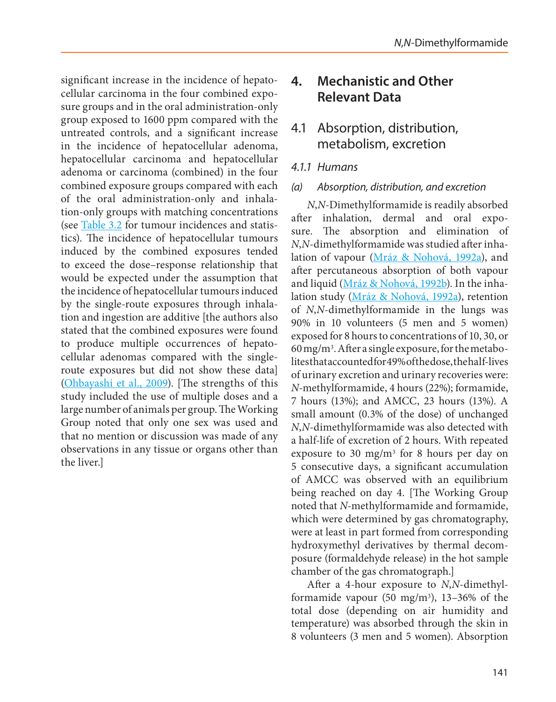significant increase in the incidence of hepatocellular carcinoma in the four combined exposure groups and in the oral administration-only group exposed to 1600 ppm compared with the untreated controls, and a significant increase in the incidence of hepatocellular adenoma, hepatocellular carcinoma and hepatocellular adenoma or carcinoma (combined) in the four combined exposure groups compared with each of the oral administration-only and inhalation-only groups with matching concentrations (see [Table 3.2](#page--1-0) for tumour incidences and statistics). The incidence of hepatocellular tumours induced by the combined exposures tended to exceed the dose–response relationship that would be expected under the assumption that the incidence of hepatocellular tumours induced by the single-route exposures through inhalation and ingestion are additive [the authors also stated that the combined exposures were found to produce multiple occurrences of hepatocellular adenomas compared with the singleroute exposures but did not show these data] [\(Ohbayashi et al., 2009](#page-49-6)). [The strengths of this study included the use of multiple doses and a large number of animals per group. The Working Group noted that only one sex was used and that no mention or discussion was made of any observations in any tissue or organs other than the liver.]

# **4. Mechanistic and Other Relevant Data**

# 4.1 Absorption, distribution, metabolism, excretion

# *4.1.1 Humans*

# *(a) Absorption, distribution, and excretion*

*N*,*N*-Dimethylformamide is readily absorbed after inhalation, dermal and oral exposure. The absorption and elimination of *N*,*N*-dimethylformamide was studied after inhalation of vapour ([Mráz & Nohová, 1992a](#page-48-7)), and after percutaneous absorption of both vapour and liquid [\(Mráz & Nohová, 1992b](#page-48-8)). In the inhalation study [\(Mráz & Nohová, 1992a](#page-48-7)), retention of *N*,*N*-dimethylformamide in the lungs was 90% in 10 volunteers (5 men and 5 women) exposed for 8 hours to concentrations of 10, 30, or  $60 \,\mathrm{mg/m}$ <sup>3</sup>. After a single exposure, for the metabolites that accounted for 49% of the dose, the half-lives of urinary excretion and urinary recoveries were: *N*-methylformamide, 4 hours (22%); formamide, 7 hours (13%); and AMCC, 23 hours (13%). A small amount (0.3% of the dose) of unchanged *N*,*N*-dimethylformamide was also detected with a half-life of excretion of 2 hours. With repeated exposure to 30 mg/m<sup>3</sup> for 8 hours per day on 5 consecutive days, a significant accumulation of AMCC was observed with an equilibrium being reached on day 4. [The Working Group noted that *N*-methylformamide and formamide, which were determined by gas chromatography, were at least in part formed from corresponding hydroxymethyl derivatives by thermal decomposure (formaldehyde release) in the hot sample chamber of the gas chromatograph.]

After a 4-hour exposure to *N*,*N*-dimethylformamide vapour  $(50 \text{ mg/m}^3)$ , 13–36% of the total dose (depending on air humidity and temperature) was absorbed through the skin in 8 volunteers (3 men and 5 women). Absorption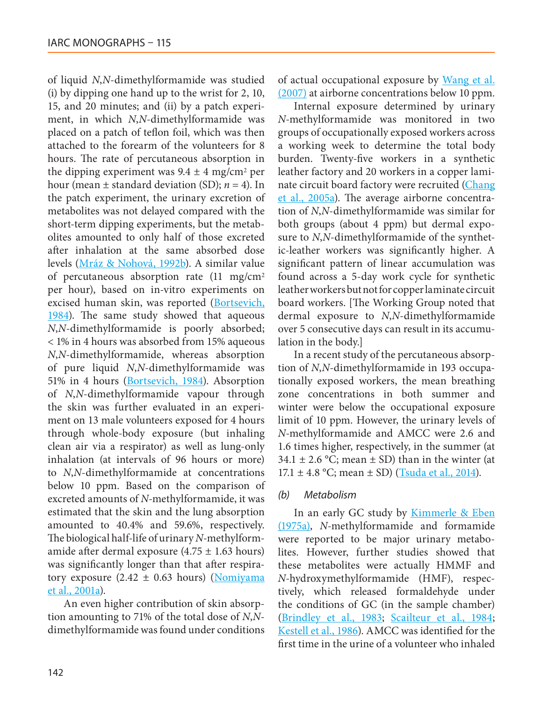of liquid *N*,*N*-dimethylformamide was studied (i) by dipping one hand up to the wrist for 2, 10, 15, and 20 minutes; and (ii) by a patch experiment, in which *N*,*N*-dimethylformamide was placed on a patch of teflon foil, which was then attached to the forearm of the volunteers for 8 hours. The rate of percutaneous absorption in the dipping experiment was  $9.4 \pm 4$  mg/cm<sup>2</sup> per hour (mean ± standard deviation (SD); *n* = 4). In the patch experiment, the urinary excretion of metabolites was not delayed compared with the short-term dipping experiments, but the metabolites amounted to only half of those excreted after inhalation at the same absorbed dose levels ([Mráz & Nohová, 1992b](#page-48-8)). A similar value of percutaneous absorption rate (11 mg/cm2 per hour), based on in-vitro experiments on excised human skin, was reported [\(Bortsevich,](#page-43-8) [1984](#page-43-8)). The same study showed that aqueous *N*,*N*-dimethylformamide is poorly absorbed; < 1% in 4 hours was absorbed from 15% aqueous *N*,*N*-dimethylformamide, whereas absorption of pure liquid *N*,*N*-dimethylformamide was 51% in 4 hours [\(Bortsevich, 1984](#page-43-8)). Absorption of *N*,*N*-dimethylformamide vapour through the skin was further evaluated in an experiment on 13 male volunteers exposed for 4 hours through whole-body exposure (but inhaling clean air via a respirator) as well as lung-only inhalation (at intervals of 96 hours or more) to *N*,*N*-dimethylformamide at concentrations below 10 ppm. Based on the comparison of excreted amounts of *N*-methylformamide, it was estimated that the skin and the lung absorption amounted to 40.4% and 59.6%, respectively. The biological half-life of urinary *N*-methylformamide after dermal exposure  $(4.75 \pm 1.63 \text{ hours})$ was significantly longer than that after respiratory exposure  $(2.42 \pm 0.63$  hours) [\(Nomiyama](#page-49-7) [et al., 2001a\)](#page-49-7).

An even higher contribution of skin absorption amounting to 71% of the total dose of *N*,*N*dimethylformamide was found under conditions of actual occupational exposure by [Wang et al.](#page-51-5) [\(2007\)](#page-51-5) at airborne concentrations below 10 ppm.

Internal exposure determined by urinary *N*-methylformamide was monitored in two groups of occupationally exposed workers across a working week to determine the total body burden. Twenty-five workers in a synthetic leather factory and 20 workers in a copper laminate circuit board factory were recruited [\(Chang](#page-43-9) [et al., 2005a\)](#page-43-9). The average airborne concentration of *N*,*N*-dimethylformamide was similar for both groups (about 4 ppm) but dermal exposure to *N*,*N*-dimethylformamide of the synthetic-leather workers was significantly higher. A significant pattern of linear accumulation was found across a 5-day work cycle for synthetic leather workers but not for copper laminate circuit board workers. [The Working Group noted that dermal exposure to *N*,*N*-dimethylformamide over 5 consecutive days can result in its accumulation in the body.]

In a recent study of the percutaneous absorption of *N*,*N*-dimethylformamide in 193 occupationally exposed workers, the mean breathing zone concentrations in both summer and winter were below the occupational exposure limit of 10 ppm. However, the urinary levels of *N*-methylformamide and AMCC were 2.6 and 1.6 times higher, respectively, in the summer (at  $34.1 \pm 2.6$  °C; mean  $\pm$  SD) than in the winter (at 17.1  $\pm$  4.8 °C; mean  $\pm$  SD) [\(Tsuda et al., 2014](#page-50-6)).

#### *(b) Metabolism*

In an early GC study by **[Kimmerle & Eben](#page-47-4)** [\(1975a\),](#page-47-4) *N*-methylformamide and formamide were reported to be major urinary metabolites. However, further studies showed that these metabolites were actually HMMF and *N*-hydroxymethylformamide (HMF), respectively, which released formaldehyde under the conditions of GC (in the sample chamber) ([Brindley et al., 1983](#page-43-10); [Scailteur et al., 1984](#page-49-8); [Kestell et al., 1986](#page-46-10)). AMCC was identified for the first time in the urine of a volunteer who inhaled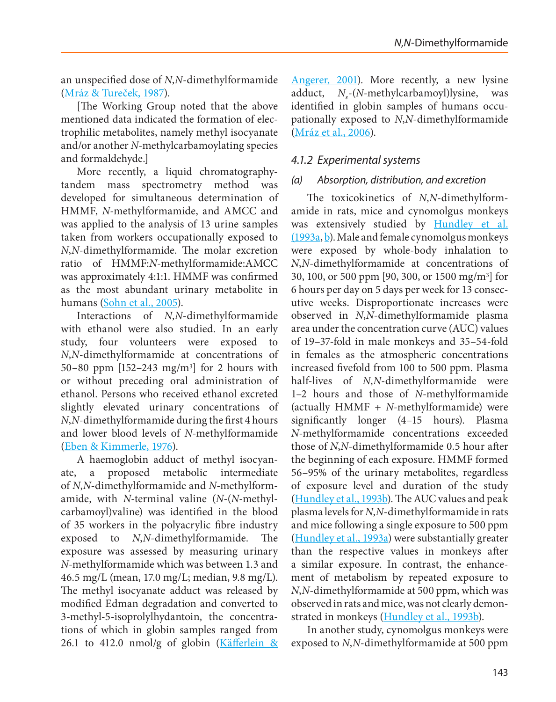an unspecified dose of *N*,*N*-dimethylformamide [\(Mráz & Tureček, 1987\)](#page-48-9).

[The Working Group noted that the above mentioned data indicated the formation of electrophilic metabolites, namely methyl isocyanate and/or another *N-*methylcarbamoylating species and formaldehyde.]

More recently, a liquid chromatographytandem mass spectrometry method was developed for simultaneous determination of HMMF, *N*-methylformamide, and AMCC and was applied to the analysis of 13 urine samples taken from workers occupationally exposed to *N*,*N*-dimethylformamide. The molar excretion ratio of HMMF:*N*-methylformamide:AMCC was approximately 4:1:1. HMMF was confirmed as the most abundant urinary metabolite in humans [\(Sohn et al., 2005\)](#page-50-7).

Interactions of *N*,*N*-dimethylformamide with ethanol were also studied. In an early study, four volunteers were exposed to *N*,*N*-dimethylformamide at concentrations of 50–80 ppm [152–243 mg/m3] for 2 hours with or without preceding oral administration of ethanol. Persons who received ethanol excreted slightly elevated urinary concentrations of *N*,*N*-dimethylformamide during the first 4 hours and lower blood levels of *N*-methylformamide [\(Eben & Kimmerle, 1976](#page-44-8)).

A haemoglobin adduct of methyl isocyanate, a proposed metabolic intermediate of *N*,*N*-dimethylformamide and *N*-methylformamide, with *N-*terminal valine (*N-*(*N-*methylcarbamoyl)valine) was identified in the blood of 35 workers in the polyacrylic fibre industry exposed to *N*,*N*-dimethylformamide. The exposure was assessed by measuring urinary *N*-methylformamide which was between 1.3 and 46.5 mg/L (mean, 17.0 mg/L; median, 9.8 mg/L). The methyl isocyanate adduct was released by modified Edman degradation and converted to 3-methyl-5-isoprolylhydantoin, the concentrations of which in globin samples ranged from 26.1 to 412.0 nmol/g of globin (Käfferlein & [Angerer, 2001](#page-46-11)). More recently, a new lysine adduct, *N<sub>ε</sub>*-(*N*-methylcarbamoyl)lysine, was identified in globin samples of humans occupationally exposed to *N*,*N*-dimethylformamide ([Mráz et al., 2006](#page-48-10)).

### *4.1.2 Experimental systems*

### *(a) Absorption, distribution, and excretion*

The toxicokinetics of *N*,*N*-dimethylformamide in rats, mice and cynomolgus monkeys was extensively studied by [Hundley et al.](#page-45-7) [\(1993a](#page-45-7), [b\)](#page-45-8). Male and female cynomolgus monkeys were exposed by whole-body inhalation to *N*,*N*-dimethylformamide at concentrations of 30, 100, or 500 ppm [90, 300, or 1500 mg/m3] for 6 hours per day on 5 days per week for 13 consecutive weeks. Disproportionate increases were observed in *N*,*N*-dimethylformamide plasma area under the concentration curve (AUC) values of 19–37-fold in male monkeys and 35–54-fold in females as the atmospheric concentrations increased fivefold from 100 to 500 ppm. Plasma half-lives of *N*,*N*-dimethylformamide were 1–2 hours and those of *N*-methylformamide (actually HMMF + *N*-methylformamide) were significantly longer (4–15 hours). Plasma *N*-methylformamide concentrations exceeded those of *N*,*N*-dimethylformamide 0.5 hour after the beginning of each exposure. HMMF formed 56–95% of the urinary metabolites, regardless of exposure level and duration of the study ([Hundley et al., 1993b\)](#page-45-8). The AUC values and peak plasma levels for *N*,*N*-dimethylformamide in rats and mice following a single exposure to 500 ppm ([Hundley et al., 1993a](#page-45-7)) were substantially greater than the respective values in monkeys after a similar exposure. In contrast, the enhancement of metabolism by repeated exposure to *N*,*N*-dimethylformamide at 500 ppm, which was observed in rats and mice, was not clearly demon-strated in monkeys [\(Hundley et al., 1993b](#page-45-8)).

In another study, cynomolgus monkeys were exposed to *N*,*N*-dimethylformamide at 500 ppm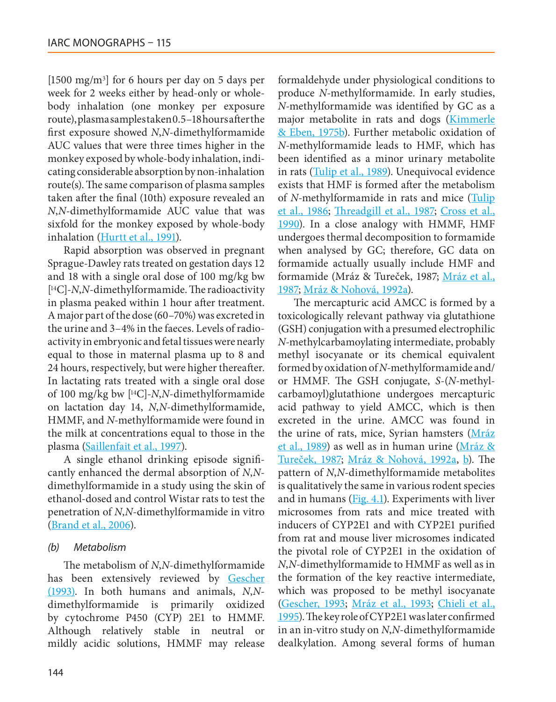[1500 mg/m3] for 6 hours per day on 5 days per week for 2 weeks either by head-only or wholebody inhalation (one monkey per exposure route), plasma samples taken 0.5–18 hours after the first exposure showed *N*,*N*-dimethylformamide AUC values that were three times higher in the monkey exposed by whole-body inhalation, indicating considerable absorption by non-inhalation route(s). The same comparison of plasma samples taken after the final (10th) exposure revealed an *N*,*N*-dimethylformamide AUC value that was sixfold for the monkey exposed by whole-body inhalation ([Hurtt et al., 1991](#page-45-9)).

Rapid absorption was observed in pregnant Sprague-Dawley rats treated on gestation days 12 and 18 with a single oral dose of 100 mg/kg bw [ 14C]-*N*,*N*-dimethylformamide. The radioactivity in plasma peaked within 1 hour after treatment. A major part of the dose (60–70%) was excreted in the urine and 3–4% in the faeces. Levels of radioactivity in embryonic and fetal tissues were nearly equal to those in maternal plasma up to 8 and 24 hours, respectively, but were higher thereafter. In lactating rats treated with a single oral dose of 100 mg/kg bw [14C]-*N*,*N*-dimethylformamide on lactation day 14, *N*,*N*-dimethylformamide, HMMF, and *N*-methylformamide were found in the milk at concentrations equal to those in the plasma [\(Saillenfait et al., 1997\)](#page-49-9).

A single ethanol drinking episode significantly enhanced the dermal absorption of *N*,*N*dimethylformamide in a study using the skin of ethanol-dosed and control Wistar rats to test the penetration of *N*,*N*-dimethylformamide in vitro [\(Brand et al., 2006](#page-43-11)).

### *(b) Metabolism*

The metabolism of *N*,*N*-dimethylformamide has been extensively reviewed by [Gescher](#page-45-1) [\(1993\)](#page-45-1). In both humans and animals, *N*,*N*dimethylformamide is primarily oxidized by cytochrome P450 (CYP) 2E1 to HMMF. Although relatively stable in neutral or mildly acidic solutions, HMMF may release formaldehyde under physiological conditions to produce *N*-methylformamide. In early studies, *N*-methylformamide was identified by GC as a major metabolite in rats and dogs [\(Kimmerle](#page-47-5) [& Eben, 1975b](#page-47-5)). Further metabolic oxidation of *N*-methylformamide leads to HMF, which has been identified as a minor urinary metabolite in rats [\(Tulip et al., 1989](#page-51-6)). Unequivocal evidence exists that HMF is formed after the metabolism of *N*-methylformamide in rats and mice ([Tulip](#page-51-7) [et al., 1986](#page-51-7); [Threadgill et al., 1987](#page-50-8); [Cross et al.,](#page-44-9) [1990](#page-44-9)). In a close analogy with HMMF, HMF undergoes thermal decomposition to formamide when analysed by GC; therefore, GC data on formamide actually usually include HMF and formamide (Mráz & Tureček, 1987; [Mráz et al.,](#page-48-2) [1987;](#page-48-2) [Mráz & Nohová, 1992a](#page-48-7)).

The mercapturic acid AMCC is formed by a toxicologically relevant pathway via glutathione (GSH) conjugation with a presumed electrophilic *N-*methylcarbamoylating intermediate, probably methyl isocyanate or its chemical equivalent formed by oxidation of *N*-methylformamide and/ or HMMF. The GSH conjugate, *S-*(*N*-methylcarbamoyl)glutathione undergoes mercapturic acid pathway to yield AMCC, which is then excreted in the urine. AMCC was found in the urine of rats, mice, Syrian hamsters [\(Mráz](#page-48-11) [et al., 1989\)](#page-48-11) as well as in human urine [\(Mráz &](#page-49-10) [Tureček, 1987](#page-49-10); [Mráz & Nohová, 1992a,](#page-48-7) [b](#page-48-8)). The pattern of *N*,*N*-dimethylformamide metabolites is qualitatively the same in various rodent species and in humans ( $Fig. 4.1$ ). Experiments with liver microsomes from rats and mice treated with inducers of CYP2E1 and with CYP2E1 purified from rat and mouse liver microsomes indicated the pivotal role of CYP2E1 in the oxidation of *N*,*N*-dimethylformamide to HMMF as well as in the formation of the key reactive intermediate, which was proposed to be methyl isocyanate [\(Gescher, 1993](#page-45-1); [Mráz et al., 1993;](#page-48-12) [Chieli et al.,](#page-44-10) [1995\)](#page-44-10). The key role of CYP2E1 was later confirmed in an in-vitro study on *N*,*N*-dimethylformamide dealkylation. Among several forms of human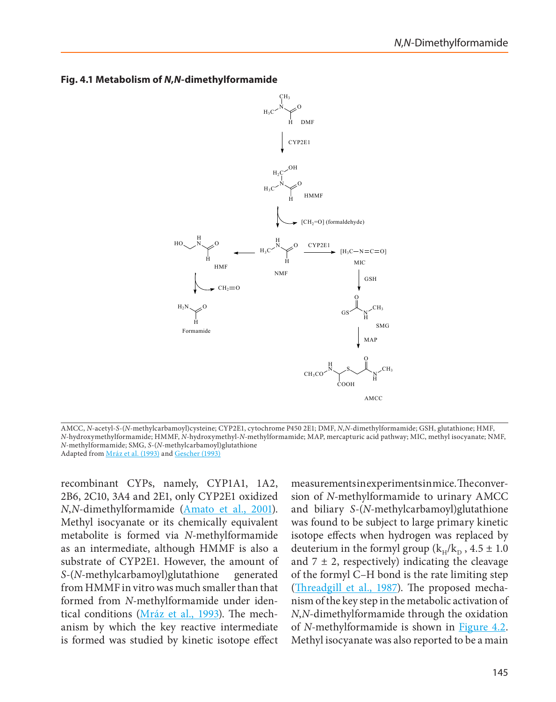

#### <span id="page-26-0"></span>**Fig. 4.1 Metabolism of** *N***,***N***-dimethylformamide**

AMCC, *N*-acetyl-*S*-(*N*-methylcarbamoyl)cysteine; CYP2E1, cytochrome P450 2E1; DMF, *N*,*N*-dimethylformamide; GSH, glutathione; HMF, *N*-hydroxymethylformamide; HMMF, *N*-hydroxymethyl-*N*-methylformamide; MAP, mercapturic acid pathway; MIC, methyl isocyanate; NMF, *N*-methylformamide; SMG, *S*-(*N*-methylcarbamoyl)glutathione Adapted from [Mráz et al. \(1993\)](#page-48-12) and [Gescher \(1993\)](#page-45-1)

recombinant CYPs, namely, CYP1A1, 1A2, 2B6, 2C10, 3A4 and 2E1, only CYP2E1 oxidized *N*,*N*-dimethylformamide [\(Amato et al., 2001](#page-43-12)). Methyl isocyanate or its chemically equivalent metabolite is formed via *N*-methylformamide as an intermediate, although HMMF is also a substrate of CYP2E1. However, the amount of *S-*(*N*-methylcarbamoyl)glutathione generated from HMMF in vitro was much smaller than that formed from *N*-methylformamide under identical conditions (*Mráz et al., 1993*). The mechanism by which the key reactive intermediate is formed was studied by kinetic isotope effect

measurements in experiments in mice. The conversion of *N*-methylformamide to urinary AMCC and biliary *S-*(*N*-methylcarbamoyl)glutathione was found to be subject to large primary kinetic isotope effects when hydrogen was replaced by deuterium in the formyl group ( $k_H/k_D$ , 4.5  $\pm$  1.0 and  $7 \pm 2$ , respectively) indicating the cleavage of the formyl C–H bond is the rate limiting step ([Threadgill et al., 1987](#page-50-8)). The proposed mechanism of the key step in the metabolic activation of *N*,*N*-dimethylformamide through the oxidation of *N*-methylformamide is shown in **Figure 4.2**. Methyl isocyanate was also reported to be a main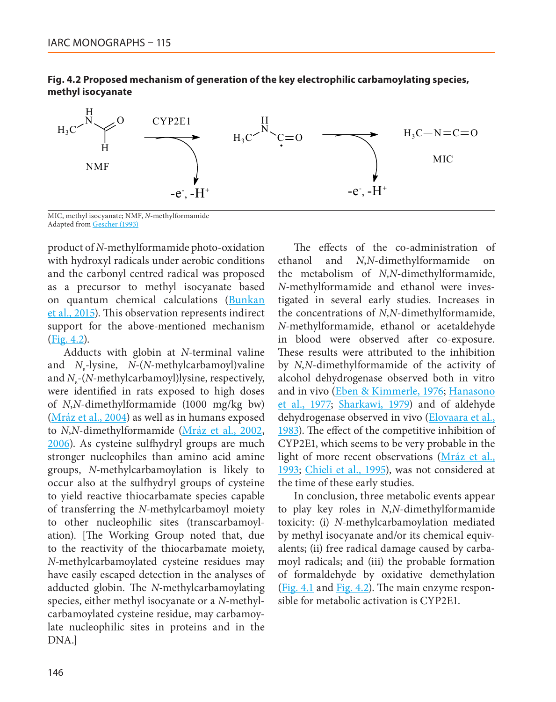

#### <span id="page-27-0"></span>**Fig. 4.2 Proposed mechanism of generation of the key electrophilic carbamoylating species, methyl isocyanate**

MIC, methyl isocyanate; NMF, *N*-methylformamide Adapted from [Gescher \(1993\)](#page-45-1)

product of *N*-methylformamide photo-oxidation with hydroxyl radicals under aerobic conditions and the carbonyl centred radical was proposed as a precursor to methyl isocyanate based on quantum chemical calculations [\(Bunkan](#page-43-13) [et al., 2015](#page-43-13)). This observation represents indirect support for the above-mentioned mechanism [\(Fig. 4.2](#page-27-0)).

Adducts with globin at *N-*terminal valine and *N<sub>ε</sub>*-lysine, *N*-(*N*-methylcarbamoyl)valine and *N<sub>s</sub>*-(*N*-methylcarbamoyl)lysine, respectively, were identified in rats exposed to high doses of *N*,*N*-dimethylformamide (1000 mg/kg bw) [\(Mráz et al., 2004](#page-48-13)) as well as in humans exposed to *N*,*N*-dimethylformamide [\(Mráz et al., 2002,](#page-48-14) [2006](#page-48-10)). As cysteine sulfhydryl groups are much stronger nucleophiles than amino acid amine groups, *N-*methylcarbamoylation is likely to occur also at the sulfhydryl groups of cysteine to yield reactive thiocarbamate species capable of transferring the *N-*methylcarbamoyl moiety to other nucleophilic sites (transcarbamoylation). [The Working Group noted that, due to the reactivity of the thiocarbamate moiety, *N-*methylcarbamoylated cysteine residues may have easily escaped detection in the analyses of adducted globin. The *N*-methylcarbamoylating species, either methyl isocyanate or a *N-*methylcarbamoylated cysteine residue, may carbamoylate nucleophilic sites in proteins and in the DNA.]

The effects of the co-administration of ethanol and *N*,*N*-dimethylformamide on the metabolism of *N*,*N*-dimethylformamide, *N*-methylformamide and ethanol were investigated in several early studies. Increases in the concentrations of *N*,*N*-dimethylformamide, *N*-methylformamide, ethanol or acetaldehyde in blood were observed after co-exposure. These results were attributed to the inhibition by *N*,*N*-dimethylformamide of the activity of alcohol dehydrogenase observed both in vitro and in vivo [\(Eben & Kimmerle, 1976;](#page-44-8) [Hanasono](#page-45-10) [et al., 1977](#page-45-10); [Sharkawi, 1979\)](#page-50-9) and of aldehyde dehydrogenase observed in vivo [\(Elovaara et al.,](#page-45-11) [1983](#page-45-11)). The effect of the competitive inhibition of CYP2E1, which seems to be very probable in the light of more recent observations [\(Mráz et al.,](#page-48-12) [1993](#page-48-12); [Chieli et al., 1995\)](#page-44-10), was not considered at the time of these early studies.

In conclusion, three metabolic events appear to play key roles in *N*,*N*-dimethylformamide toxicity: (i) *N-*methylcarbamoylation mediated by methyl isocyanate and/or its chemical equivalents; (ii) free radical damage caused by carbamoyl radicals; and (iii) the probable formation of formaldehyde by oxidative demethylation ([Fig. 4.1](#page-26-0) and [Fig. 4.2](#page-27-0)). The main enzyme responsible for metabolic activation is CYP2E1.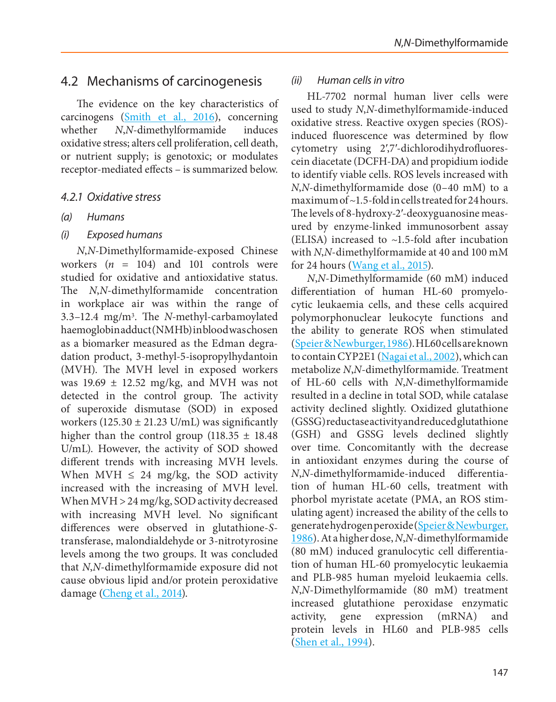# 4.2 Mechanisms of carcinogenesis

The evidence on the key characteristics of carcinogens [\(Smith et al., 2016\)](#page-50-10), concerning whether *N*,*N*-dimethylformamide induces oxidative stress; alters cell proliferation, cell death, or nutrient supply; is genotoxic; or modulates receptor-mediated effects – is summarized below.

### *4.2.1 Oxidative stress*

*(a) Humans*

### *(i) Exposed humans*

*N*,*N*-Dimethylformamide-exposed Chinese workers (*n* = 104) and 101 controls were studied for oxidative and antioxidative status. The *N*,*N*-dimethylformamide concentration in workplace air was within the range of 3.3–12.4 mg/m3. The *N*-methyl-carbamoylated haemoglobin adduct (NMHb) in blood was chosen as a biomarker measured as the Edman degradation product, 3-methyl-5-isopropylhydantoin (MVH). The MVH level in exposed workers was  $19.69 \pm 12.52$  mg/kg, and MVH was not detected in the control group. The activity of superoxide dismutase (SOD) in exposed workers (125.30  $\pm$  21.23 U/mL) was significantly higher than the control group  $(118.35 \pm 18.48)$ U/mL). However, the activity of SOD showed different trends with increasing MVH levels. When MVH  $\leq$  24 mg/kg, the SOD activity increased with the increasing of MVH level. When MVH > 24 mg/kg, SOD activity decreased with increasing MVH level. No significant differences were observed in glutathione-*S*transferase, malondialdehyde or 3-nitrotyrosine levels among the two groups. It was concluded that *N*,*N*-dimethylformamide exposure did not cause obvious lipid and/or protein peroxidative damage [\(Cheng et al., 2014](#page-44-11)).

### *(ii) Human cells in vitro*

HL-7702 normal human liver cells were used to study *N*,*N*-dimethylformamide-induced oxidative stress. Reactive oxygen species (ROS) induced fluorescence was determined by flow cytometry using 2′,7′-dichlorodihydrofluorescein diacetate (DCFH-DA) and propidium iodide to identify viable cells. ROS levels increased with *N*,*N*-dimethylformamide dose (0–40 mM) to a maximum of ~1.5-fold in cells treated for 24 hours. The levels of 8-hydroxy-2′-deoxyguanosine measured by enzyme-linked immunosorbent assay (ELISA) increased to  $\sim$ 1.5-fold after incubation with *N*,*N*-dimethylformamide at 40 and 100 mM for 24 hours ([Wang et al., 2015\)](#page-51-8).

*N*,*N*-Dimethylformamide (60 mM) induced differentiation of human HL-60 promyelocytic leukaemia cells, and these cells acquired polymorphonuclear leukocyte functions and the ability to generate ROS when stimulated ([Speier & Newburger, 1986](#page-50-11)). HL60 cells are known to contain CYP2E1 [\(Nagai et al., 2002](#page-48-15)), which can metabolize *N*,*N*-dimethylformamide. Treatment of HL-60 cells with *N*,*N*-dimethylformamide resulted in a decline in total SOD, while catalase activity declined slightly. Oxidized glutathione (GSSG) reductase activity and reduced glutathione (GSH) and GSSG levels declined slightly over time. Concomitantly with the decrease in antioxidant enzymes during the course of *N*,*N*-dimethylformamide-induced differentiation of human HL-60 cells, treatment with phorbol myristate acetate (PMA, an ROS stimulating agent) increased the ability of the cells to generate hydrogen peroxide ([Speier & Newburger,](#page-50-11) [1986](#page-50-11)). At a higher dose, *N*,*N*-dimethylformamide (80 mM) induced granulocytic cell differentiation of human HL-60 promyelocytic leukaemia and PLB-985 human myeloid leukaemia cells. *N*,*N*-Dimethylformamide (80 mM) treatment increased glutathione peroxidase enzymatic activity, gene expression (mRNA) and protein levels in HL60 and PLB-985 cells ([Shen et al., 1994](#page-50-12)).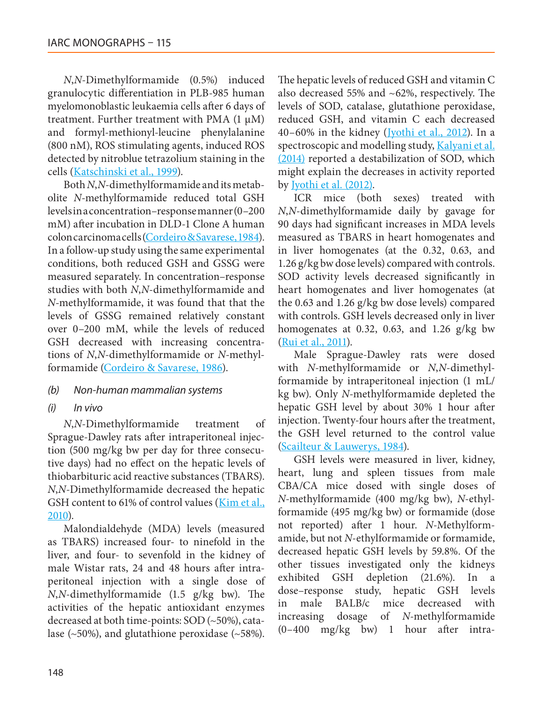*N*,*N*-Dimethylformamide (0.5%) induced granulocytic differentiation in PLB-985 human myelomonoblastic leukaemia cells after 6 days of treatment. Further treatment with PMA  $(1 \mu M)$ and formyl-methionyl-leucine phenylalanine (800 nM), ROS stimulating agents, induced ROS detected by nitroblue tetrazolium staining in the cells ([Katschinski et al., 1999\)](#page-46-12).

Both *N*,*N*-dimethylformamide and its metabolite *N*-methylformamide reduced total GSH levels in a concentration–response manner (0–200 mM) after incubation in DLD-1 Clone A human colon carcinoma cells [\(Cordeiro & Savarese, 1984\)](#page-44-12). In a follow-up study using the same experimental conditions, both reduced GSH and GSSG were measured separately. In concentration–response studies with both *N*,*N*-dimethylformamide and *N*-methylformamide, it was found that that the levels of GSSG remained relatively constant over 0–200 mM, while the levels of reduced GSH decreased with increasing concentrations of *N*,*N*-dimethylformamide or *N*-methylformamide [\(Cordeiro & Savarese, 1986\)](#page-44-13).

### *(b) Non-human mammalian systems*

*(i) In vivo*

*N*,*N*-Dimethylformamide treatment of Sprague-Dawley rats after intraperitoneal injection (500 mg/kg bw per day for three consecutive days) had no effect on the hepatic levels of thiobarbituric acid reactive substances (TBARS). *N*,*N*-Dimethylformamide decreased the hepatic GSH content to 61% of control values [\(Kim et al.,](#page-47-6) [2010\)](#page-47-6).

Malondialdehyde (MDA) levels (measured as TBARS) increased four- to ninefold in the liver, and four- to sevenfold in the kidney of male Wistar rats, 24 and 48 hours after intraperitoneal injection with a single dose of *N*,*N*-dimethylformamide (1.5 g/kg bw). The activities of the hepatic antioxidant enzymes decreased at both time-points: SOD (~50%), catalase  $(-50\%)$ , and glutathione peroxidase  $(-58\%).$  The hepatic levels of reduced GSH and vitamin C also decreased 55% and ~62%, respectively. The levels of SOD, catalase, glutathione peroxidase, reduced GSH, and vitamin C each decreased  $40-60\%$  in the kidney ([Jyothi et al., 2012\)](#page-46-13). In a spectroscopic and modelling study, [Kalyani et al.](#page-46-14) [\(2014\)](#page-46-14) reported a destabilization of SOD, which might explain the decreases in activity reported by [Jyothi et al. \(2012\).](#page-46-13)

ICR mice (both sexes) treated with *N*,*N*-dimethylformamide daily by gavage for 90 days had significant increases in MDA levels measured as TBARS in heart homogenates and in liver homogenates (at the 0.32, 0.63, and 1.26 g/kg bw dose levels) compared with controls. SOD activity levels decreased significantly in heart homogenates and liver homogenates (at the 0.63 and 1.26 g/kg bw dose levels) compared with controls. GSH levels decreased only in liver homogenates at 0.32, 0.63, and 1.26 g/kg bw ([Rui et al., 2011](#page-49-11)).

Male Sprague-Dawley rats were dosed with *N*-methylformamide or *N*,*N*-dimethylformamide by intraperitoneal injection (1 mL/ kg bw). Only *N*-methylformamide depleted the hepatic GSH level by about 30% 1 hour after injection. Twenty-four hours after the treatment, the GSH level returned to the control value [\(Scailteur & Lauwerys, 1984\)](#page-49-12).

GSH levels were measured in liver, kidney, heart, lung and spleen tissues from male CBA/CA mice dosed with single doses of *N*-methylformamide (400 mg/kg bw), *N*-ethylformamide (495 mg/kg bw) or formamide (dose not reported) after 1 hour. *N*-Methylformamide, but not *N*-ethylformamide or formamide, decreased hepatic GSH levels by 59.8%. Of the other tissues investigated only the kidneys exhibited GSH depletion (21.6%). In a dose–response study, hepatic GSH levels in male BALB/c mice decreased with increasing dosage of *N*-methylformamide (0–400 mg/kg bw) 1 hour after intra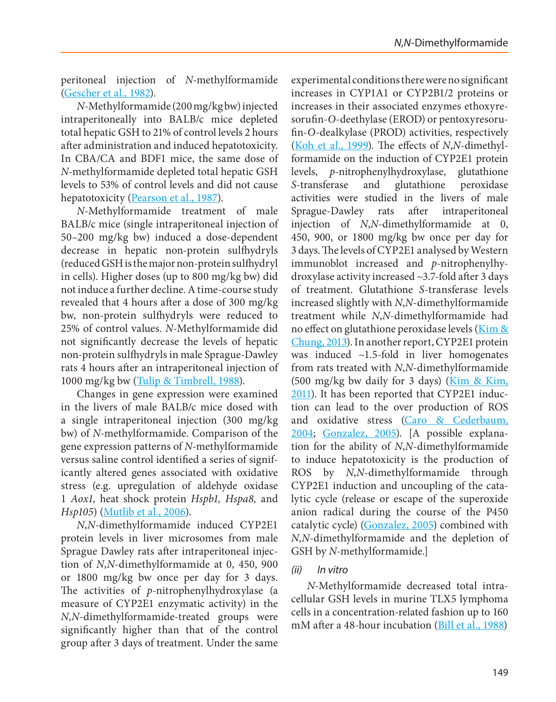peritoneal injection of *N*-methylformamide [\(Gescher et al., 1982](#page-45-12)).

*N*-Methylformamide (200 mg/kg bw) injected intraperitoneally into BALB/c mice depleted total hepatic GSH to 21% of control levels 2 hours after administration and induced hepatotoxicity. In CBA/CA and BDF1 mice, the same dose of *N*-methylformamide depleted total hepatic GSH levels to 53% of control levels and did not cause hepatotoxicity ([Pearson et al., 1987\)](#page-49-13).

*N*-Methylformamide treatment of male BALB/c mice (single intraperitoneal injection of 50–200 mg/kg bw) induced a dose-dependent decrease in hepatic non-protein sulfhydryls (reduced GSH is the major non-protein sulfhydryl in cells). Higher doses (up to 800 mg/kg bw) did not induce a further decline. A time-course study revealed that 4 hours after a dose of 300 mg/kg bw, non-protein sulfhydryls were reduced to 25% of control values. *N*-Methylformamide did not significantly decrease the levels of hepatic non-protein sulfhydryls in male Sprague-Dawley rats 4 hours after an intraperitoneal injection of 1000 mg/kg bw ([Tulip & Timbrell, 1988\)](#page-51-9).

Changes in gene expression were examined in the livers of male BALB/c mice dosed with a single intraperitoneal injection (300 mg/kg bw) of *N*-methylformamide. Comparison of the gene expression patterns of *N*-methylformamide versus saline control identified a series of significantly altered genes associated with oxidative stress (e.g. upregulation of aldehyde oxidase 1 *Aox1,* heat shock protein *Hspb1, Hspa8,* and *Hsp105*) [\(Mutlib et al., 2006](#page-48-16)).

*N*,*N*-dimethylformamide induced CYP2E1 protein levels in liver microsomes from male Sprague Dawley rats after intraperitoneal injection of *N*,*N*-dimethylformamide at 0, 450, 900 or 1800 mg/kg bw once per day for 3 days. The activities of *p-*nitrophenylhydroxylase (a measure of CYP2E1 enzymatic activity) in the *N*,*N*-dimethylformamide-treated groups were significantly higher than that of the control group after 3 days of treatment. Under the same experimental conditions there were no significant increases in CYP1A1 or CYP2B1/2 proteins or increases in their associated enzymes ethoxyresorufin-*O*-deethylase (EROD) or pentoxyresorufin-*O*-dealkylase (PROD) activities, respectively ([Koh et al., 1999\)](#page-47-7). The effects of *N*,*N*-dimethylformamide on the induction of CYP2E1 protein levels, *p-*nitrophenylhydroxylase, glutathione *S*-transferase and glutathione peroxidase activities were studied in the livers of male Sprague-Dawley rats after intraperitoneal injection of *N*,*N*-dimethylformamide at 0, 450, 900, or 1800 mg/kg bw once per day for 3 days. The levels of CYP2E1 analysed by Western immunoblot increased and *p-*nitrophenylhydroxylase activity increased ~3.7-fold after 3 days of treatment. Glutathione *S*-transferase levels increased slightly with *N*,*N*-dimethylformamide treatment while *N*,*N*-dimethylformamide had no effect on glutathione peroxidase levels [\(Kim &](#page-47-8) [Chung, 2013](#page-47-8)). In another report, CYP2E1 protein was induced ~1.5-fold in liver homogenates from rats treated with *N*,*N*-dimethylformamide (500 mg/kg bw daily for 3 days) ( $\overline{\text{Kim 8k Kim}}$ , [2011\)](#page-47-9). It has been reported that CYP2E1 induction can lead to the over production of ROS and oxidative stress [\(Caro & Cederbaum,](#page-43-14) [2004](#page-43-14); [Gonzalez, 2005\)](#page-45-13). [A possible explanation for the ability of *N*,*N*-dimethylformamide to induce hepatotoxicity is the production of ROS by *N*,*N*-dimethylformamide through CYP2E1 induction and uncoupling of the catalytic cycle (release or escape of the superoxide anion radical during the course of the P450 catalytic cycle) [\(Gonzalez, 2005\)](#page-45-13) combined with *N*,*N*-dimethylformamide and the depletion of GSH by *N*-methylformamide.]

### *(ii) In vitro*

*N*-Methylformamide decreased total intracellular GSH levels in murine TLX5 lymphoma cells in a concentration-related fashion up to 160 mM after a 48-hour incubation [\(Bill et al., 1988](#page-43-15))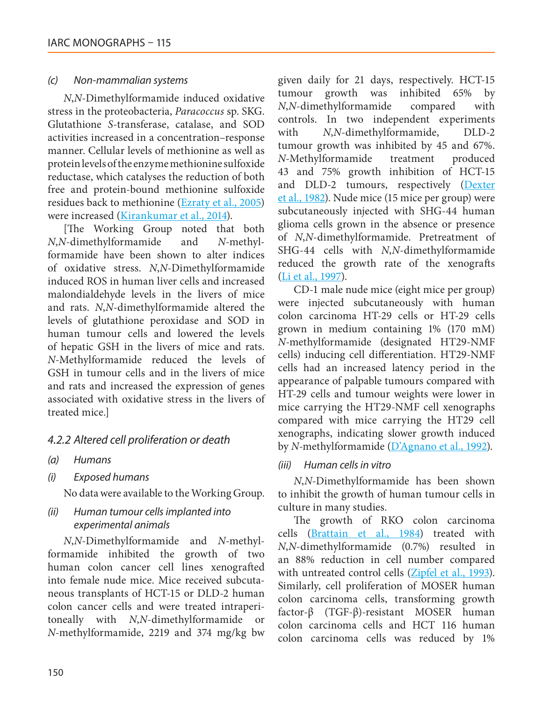#### *(c) Non-mammalian systems*

*N*,*N*-Dimethylformamide induced oxidative stress in the proteobacteria, *Paracoccus* sp. SKG. Glutathione *S*-transferase, catalase, and SOD activities increased in a concentration–response manner. Cellular levels of methionine as well as protein levels of the enzyme methionine sulfoxide reductase, which catalyses the reduction of both free and protein-bound methionine sulfoxide residues back to methionine ([Ezraty et al., 2005](#page-45-14)) were increased [\(Kirankumar et al., 2014\)](#page-47-10).

[The Working Group noted that both *N*,*N*-dimethylformamide and *N*-methylformamide have been shown to alter indices of oxidative stress. *N*,*N*-Dimethylformamide induced ROS in human liver cells and increased malondialdehyde levels in the livers of mice and rats. *N*,*N*-dimethylformamide altered the levels of glutathione peroxidase and SOD in human tumour cells and lowered the levels of hepatic GSH in the livers of mice and rats. *N*-Methylformamide reduced the levels of GSH in tumour cells and in the livers of mice and rats and increased the expression of genes associated with oxidative stress in the livers of treated mice.]

### *4.2.2 Altered cell proliferation or death*

*(a) Humans*

### *(i) Exposed humans*

No data were available to the Working Group.

### *(ii) Human tumour cells implanted into experimental animals*

*N*,*N*-Dimethylformamide and *N*-methylformamide inhibited the growth of two human colon cancer cell lines xenografted into female nude mice. Mice received subcutaneous transplants of HCT-15 or DLD-2 human colon cancer cells and were treated intraperitoneally with *N*,*N*-dimethylformamide or *N*-methylformamide, 2219 and 374 mg/kg bw given daily for 21 days, respectively. HCT-15 tumour growth was inhibited 65% by *N*,*N*-dimethylformamide compared with controls. In two independent experiments with *N*,*N*-dimethylformamide, DLD-2 tumour growth was inhibited by 45 and 67%. *N*-Methylformamide treatment produced 43 and 75% growth inhibition of HCT-15 and DLD-2 tumours, respectively [\(Dexter](#page-44-14) [et al., 1982\)](#page-44-14). Nude mice (15 mice per group) were subcutaneously injected with SHG-44 human glioma cells grown in the absence or presence of *N*,*N*-dimethylformamide. Pretreatment of SHG-44 cells with *N*,*N*-dimethylformamide reduced the growth rate of the xenografts ([Li et al., 1997](#page-47-11)).

CD-1 male nude mice (eight mice per group) were injected subcutaneously with human colon carcinoma HT-29 cells or HT-29 cells grown in medium containing 1% (170 mM) *N*-methylformamide (designated HT29-NMF cells) inducing cell differentiation. HT29-NMF cells had an increased latency period in the appearance of palpable tumours compared with HT-29 cells and tumour weights were lower in mice carrying the HT29-NMF cell xenographs compared with mice carrying the HT29 cell xenographs, indicating slower growth induced by *N*-methylformamide ([D'Agnano et al., 1992](#page-44-15)).

### *(iii) Human cells in vitro*

*N*,*N*-Dimethylformamide has been shown to inhibit the growth of human tumour cells in culture in many studies.

The growth of RKO colon carcinoma cells [\(Brattain et al., 1984](#page-43-16)) treated with *N*,*N*-dimethylformamide (0.7%) resulted in an 88% reduction in cell number compared with untreated control cells [\(Zipfel et al., 1993\)](#page-51-10). Similarly, cell proliferation of MOSER human colon carcinoma cells, transforming growth factor-β (TGF-β)-resistant MOSER human colon carcinoma cells and HCT 116 human colon carcinoma cells was reduced by 1%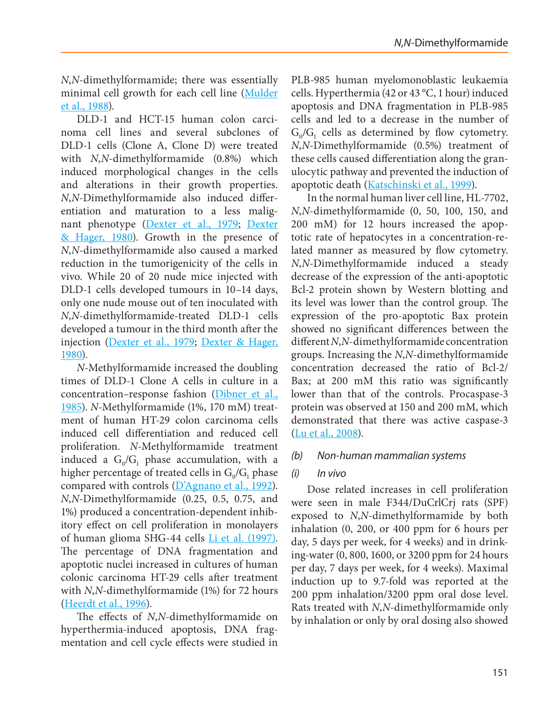*N*,*N*-dimethylformamide; there was essentially minimal cell growth for each cell line (Mulder [et al., 1988\)](#page-48-17).

DLD-1 and HCT-15 human colon carcinoma cell lines and several subclones of DLD-1 cells (Clone A, Clone D) were treated with *N*,*N*-dimethylformamide (0.8%) which induced morphological changes in the cells and alterations in their growth properties. *N*,*N*-Dimethylformamide also induced differentiation and maturation to a less malig-nant phenotype [\(Dexter et al., 1979](#page-44-16); Dexter [& Hager, 1980\)](#page-44-17). Growth in the presence of *N*,*N*-dimethylformamide also caused a marked reduction in the tumorigenicity of the cells in vivo. While 20 of 20 nude mice injected with DLD-1 cells developed tumours in 10–14 days, only one nude mouse out of ten inoculated with *N*,*N*-dimethylformamide-treated DLD-1 cells developed a tumour in the third month after the injection [\(Dexter et al., 1979](#page-44-16); [Dexter & Hager,](#page-44-17)  [1980\)](#page-44-17).

*N*-Methylformamide increased the doubling times of DLD-1 Clone A cells in culture in a concentration–response fashion [\(Dibner et al.,](#page-44-18)  [1985](#page-44-18)). *N*-Methylformamide (1%, 170 mM) treatment of human HT-29 colon carcinoma cells induced cell differentiation and reduced cell proliferation. *N*-Methylformamide treatment induced a  $G_0/G_1$  phase accumulation, with a higher percentage of treated cells in  $G_0/G_1$  phase compared with controls ([D'Agnano et al., 1992](#page-44-15)). *N*,*N*-Dimethylformamide (0.25, 0.5, 0.75, and 1%) produced a concentration-dependent inhibitory effect on cell proliferation in monolayers of human glioma SHG-44 cells [Li et al. \(1997\).](#page-47-11) The percentage of DNA fragmentation and apoptotic nuclei increased in cultures of human colonic carcinoma HT-29 cells after treatment with *N*,*N*-dimethylformamide (1%) for 72 hours [\(Heerdt et al., 1996](#page-45-15)).

The effects of *N*,*N*-dimethylformamide on hyperthermia-induced apoptosis, DNA fragmentation and cell cycle effects were studied in PLB-985 human myelomonoblastic leukaemia cells. Hyperthermia (42 or 43 °C, 1 hour) induced apoptosis and DNA fragmentation in PLB-985 cells and led to a decrease in the number of  $G_0/G_1$  cells as determined by flow cytometry. *N*,*N*-Dimethylformamide (0.5%) treatment of these cells caused differentiation along the granulocytic pathway and prevented the induction of apoptotic death ([Katschinski et al., 1999](#page-46-12)).

In the normal human liver cell line, HL-7702, *N*,*N*-dimethylformamide (0, 50, 100, 150, and 200 mM) for 12 hours increased the apoptotic rate of hepatocytes in a concentration-related manner as measured by flow cytometry. *N*,*N*-Dimethylformamide induced a steady decrease of the expression of the anti-apoptotic Bcl-2 protein shown by Western blotting and its level was lower than the control group. The expression of the pro-apoptotic Bax protein showed no significant differences between the different *N*,*N*-dimethylformamide concentration groups. Increasing the *N*,*N*-dimethylformamide concentration decreased the ratio of Bcl-2/ Bax; at 200 mM this ratio was significantly lower than that of the controls. Procaspase-3 protein was observed at 150 and 200 mM, which demonstrated that there was active caspase-3 ([Lu et al., 2008\)](#page-47-12).

#### *(b) Non-human mammalian systems*

### *(i) In vivo*

Dose related increases in cell proliferation were seen in male F344/DuCrlCrj rats (SPF) exposed to *N*,*N*-dimethylformamide by both inhalation (0, 200, or 400 ppm for 6 hours per day, 5 days per week, for 4 weeks) and in drinking-water (0, 800, 1600, or 3200 ppm for 24 hours per day, 7 days per week, for 4 weeks). Maximal induction up to 9.7-fold was reported at the 200 ppm inhalation/3200 ppm oral dose level. Rats treated with *N*,*N*-dimethylformamide only by inhalation or only by oral dosing also showed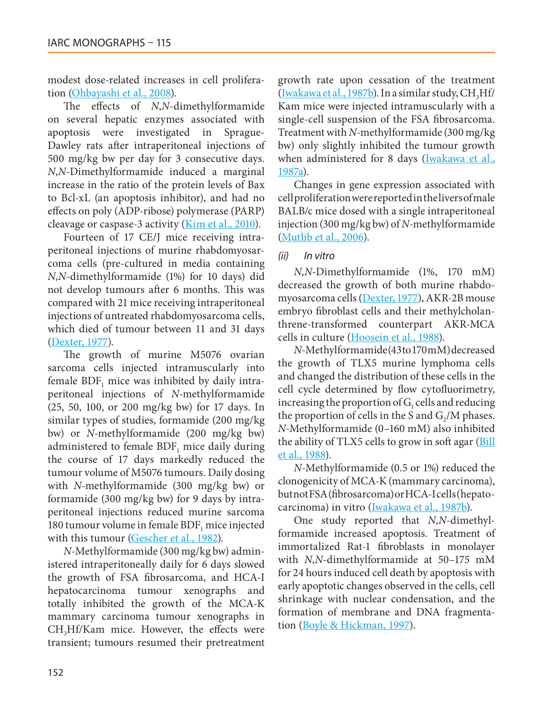modest dose-related increases in cell proliferation [\(Ohbayashi et al., 2008\)](#page-49-14).

The effects of *N*,*N*-dimethylformamide on several hepatic enzymes associated with apoptosis were investigated in Sprague-Dawley rats after intraperitoneal injections of 500 mg/kg bw per day for 3 consecutive days. *N*,*N*-Dimethylformamide induced a marginal increase in the ratio of the protein levels of Bax to Bcl-xL (an apoptosis inhibitor), and had no effects on poly (ADP-ribose) polymerase (PARP) cleavage or caspase-3 activity (*Kim et al., 2010*).

Fourteen of 17 CE/J mice receiving intraperitoneal injections of murine rhabdomyosarcoma cells (pre-cultured in media containing *N*,*N*-dimethylformamide (1%) for 10 days) did not develop tumours after 6 months. This was compared with 21 mice receiving intraperitoneal injections of untreated rhabdomyosarcoma cells, which died of tumour between 11 and 31 days [\(Dexter, 1977](#page-44-19)).

The growth of murine M5076 ovarian sarcoma cells injected intramuscularly into female  $BDF<sub>1</sub>$  mice was inhibited by daily intraperitoneal injections of *N*-methylformamide (25, 50, 100, or 200 mg/kg bw) for 17 days. In similar types of studies, formamide (200 mg/kg bw) or *N*-methylformamide (200 mg/kg bw) administered to female BDF<sub>1</sub> mice daily during the course of 17 days markedly reduced the tumour volume of M5076 tumours. Daily dosing with *N*-methylformamide (300 mg/kg bw) or formamide (300 mg/kg bw) for 9 days by intraperitoneal injections reduced murine sarcoma 180 tumour volume in female BDF, mice injected with this tumour [\(Gescher et al., 1982\)](#page-45-12).

*N*-Methylformamide (300 mg/kg bw) administered intraperitoneally daily for 6 days slowed the growth of FSA fibrosarcoma, and HCA-I hepatocarcinoma tumour xenographs and totally inhibited the growth of the MCA-K mammary carcinoma tumour xenographs in CH3Hf/Kam mice. However, the effects were transient; tumours resumed their pretreatment growth rate upon cessation of the treatment ([Iwakawa et al., 1987b](#page-46-15)). In a similar study,  $CH<sub>3</sub>Hf/$ Kam mice were injected intramuscularly with a single-cell suspension of the FSA fibrosarcoma. Treatment with *N*-methylformamide (300 mg/kg bw) only slightly inhibited the tumour growth when administered for 8 days ([Iwakawa et al.,](#page-46-16) [1987a](#page-46-16)).

Changes in gene expression associated with cell proliferation were reported in the livers of male BALB/c mice dosed with a single intraperitoneal injection (300 mg/kg bw) of *N*-methylformamide ([Mutlib et al., 2006](#page-48-16)).

### *(ii) In vitro*

*N*,*N*-Dimethylformamide (1%, 170 mM) decreased the growth of both murine rhabdomyosarcoma cells [\(Dexter, 1977](#page-44-19)), AKR-2B mouse embryo fibroblast cells and their methylcholanthrene-transformed counterpart AKR-MCA cells in culture ([Hoosein et al., 1988\)](#page-45-16).

*N*-Methylformamide (43 to 170 mM) decreased the growth of TLX5 murine lymphoma cells and changed the distribution of these cells in the cell cycle determined by flow cytofluorimetry, increasing the proportion of  $G<sub>i</sub>$  cells and reducing the proportion of cells in the S and  $G<sub>2</sub>/M$  phases. *N*-Methylformamide (0–160 mM) also inhibited the ability of TLX5 cells to grow in soft agar [\(Bill](#page-43-15) [et al., 1988](#page-43-15)).

*N*-Methylformamide (0.5 or 1%) reduced the clonogenicity of MCA-K (mammary carcinoma), but not FSA (fibrosarcoma) or HCA-I cells (hepatocarcinoma) in vitro [\(Iwakawa et al., 1987b](#page-46-15)).

One study reported that *N*,*N*-dimethylformamide increased apoptosis. Treatment of immortalized Rat-1 fibroblasts in monolayer with *N*,*N*-dimethylformamide at 50–175 mM for 24 hours induced cell death by apoptosis with early apoptotic changes observed in the cells, cell shrinkage with nuclear condensation, and the formation of membrane and DNA fragmentation [\(Boyle & Hickman, 1997](#page-43-17)).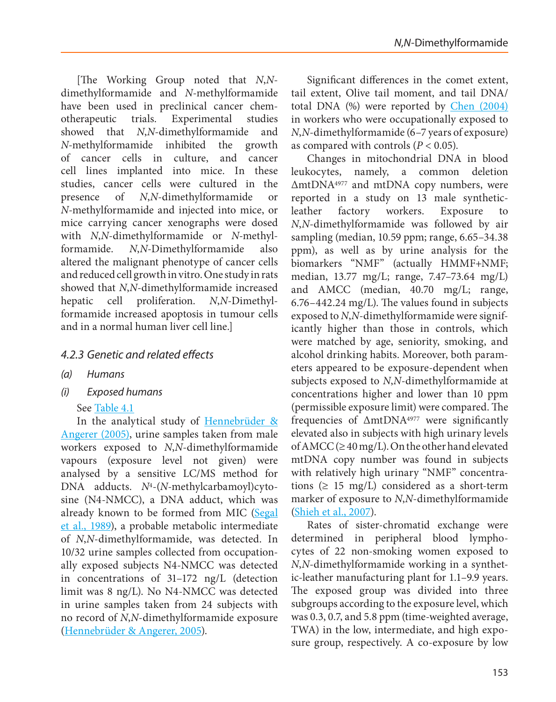[The Working Group noted that *N*,*N*dimethylformamide and *N*-methylformamide have been used in preclinical cancer chemotherapeutic trials. Experimental studies showed that *N*,*N*-dimethylformamide and *N*-methylformamide inhibited the growth of cancer cells in culture, and cancer cell lines implanted into mice. In these studies, cancer cells were cultured in the presence of *N*,*N*-dimethylformamide or *N*-methylformamide and injected into mice, or mice carrying cancer xenographs were dosed with *N*,*N*-dimethylformamide or *N*-methylformamide. *N*,*N*-Dimethylformamide also altered the malignant phenotype of cancer cells and reduced cell growth in vitro. One study in rats showed that *N*,*N*-dimethylformamide increased hepatic cell proliferation. *N*,*N*-Dimethylformamide increased apoptosis in tumour cells and in a normal human liver cell line.]

# *4.2.3 Genetic and related effects*

- *(a) Humans*
- *(i) Exposed humans*

### See [Table 4.1](#page-35-0)

In the analytical study of [Hennebrüder &](#page-45-17)  [Angerer \(2005\)](#page-45-17), urine samples taken from male workers exposed to *N*,*N*-dimethylformamide vapours (exposure level not given) were analysed by a sensitive LC/MS method for DNA adducts. *N*4-(*N*-methylcarbamoyl)cytosine (N4-NMCC), a DNA adduct, which was already known to be formed from MIC [\(Segal](#page-50-13)  [et al., 1989](#page-50-13)), a probable metabolic intermediate of *N*,*N*-dimethylformamide, was detected. In 10/32 urine samples collected from occupationally exposed subjects N4-NMCC was detected in concentrations of 31–172 ng/L (detection limit was 8 ng/L). No N4-NMCC was detected in urine samples taken from 24 subjects with no record of *N*,*N*-dimethylformamide exposure [\(Hennebrüder & Angerer, 2005](#page-45-17)).

Significant differences in the comet extent, tail extent, Olive tail moment, and tail DNA/ total DNA (%) were reported by [Chen \(2004\)](#page-44-20) in workers who were occupationally exposed to *N*,*N*-dimethylformamide (6–7 years of exposure) as compared with controls  $(P < 0.05)$ .

Changes in mitochondrial DNA in blood leukocytes, namely, a common deletion ΔmtDNA4977 and mtDNA copy numbers, were reported in a study on 13 male syntheticleather factory workers. Exposure to *N*,*N*-dimethylformamide was followed by air sampling (median, 10.59 ppm; range, 6.65–34.38 ppm), as well as by urine analysis for the biomarkers "NMF" (actually HMMF+NMF; median, 13.77 mg/L; range, 7.47–73.64 mg/L) and AMCC (median, 40.70 mg/L; range, 6.76–442.24 mg/L). The values found in subjects exposed to *N*,*N*-dimethylformamide were significantly higher than those in controls, which were matched by age, seniority, smoking, and alcohol drinking habits. Moreover, both parameters appeared to be exposure-dependent when subjects exposed to *N*,*N*-dimethylformamide at concentrations higher and lower than 10 ppm (permissible exposure limit) were compared. The frequencies of ΔmtDNA4977 were significantly elevated also in subjects with high urinary levels of AMCC ( $\geq$  40 mg/L). On the other hand elevated mtDNA copy number was found in subjects with relatively high urinary "NMF" concentrations ( $\geq$  15 mg/L) considered as a short-term marker of exposure to *N*,*N*-dimethylformamide [\(Shieh et al., 2007\)](#page-50-4).

Rates of sister-chromatid exchange were determined in peripheral blood lymphocytes of 22 non-smoking women exposed to *N*,*N*-dimethylformamide working in a synthetic-leather manufacturing plant for 1.1–9.9 years. The exposed group was divided into three subgroups according to the exposure level, which was 0.3, 0.7, and 5.8 ppm (time-weighted average, TWA) in the low, intermediate, and high exposure group, respectively. A co-exposure by low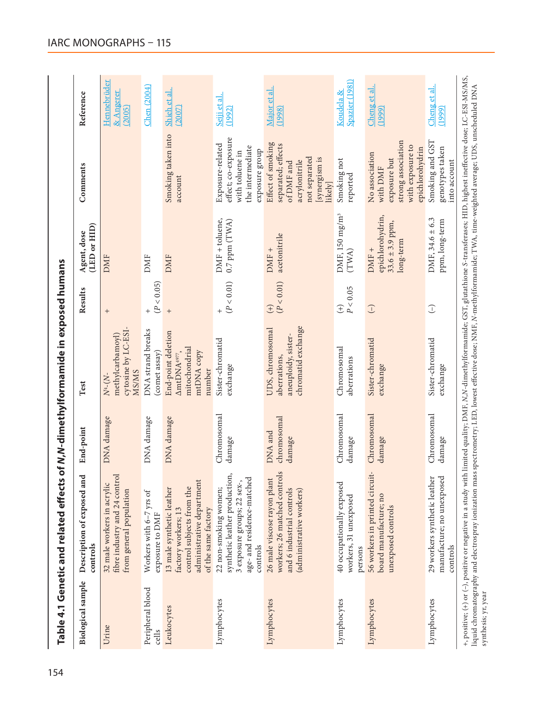<span id="page-35-0"></span>

| <b>Biological</b> sample           | and<br>Description of exposed<br>controls                                                                                                        | End-point                        | Test                                                                                    | Results                     | (LED or HID)<br>Agent, dose                                     | Comments                                                                                                            | Reference                          |
|------------------------------------|--------------------------------------------------------------------------------------------------------------------------------------------------|----------------------------------|-----------------------------------------------------------------------------------------|-----------------------------|-----------------------------------------------------------------|---------------------------------------------------------------------------------------------------------------------|------------------------------------|
| Urine                              | fibre industry and 24 control<br>32 male workers in acrylic<br>from general population                                                           | DNA damage                       | cytosine by LC-ESI<br>methylcarbamoyl)<br><b>MS/MS</b><br>$N^{4}-(N-$                   | $^{+}$                      | <b>DMF</b>                                                      |                                                                                                                     | Hennebrüder<br>& Angerer<br>(2005) |
| Peripheral blood<br>$_{\rm cells}$ | Workers with 6-7 yrs of<br>exposure to DMF                                                                                                       | DNA damage                       | DNA strand breaks<br>(comet assay)                                                      | (P < 0.05)                  | DMF                                                             |                                                                                                                     | <b>Chen</b> (2004)                 |
| Leukocytes                         | administrative department<br>$\mathbf{Q}$<br>13 male synthetic leather<br>control subjects from th<br>of the same factory<br>factory workers; 13 | DNA damage                       | End-point deletion<br>mitochondrial<br>mtDNA copy<br>AmtDNA <sup>4977</sup> ,<br>number | $^{+}$                      | <b>DMF</b>                                                      | Smoking taken into<br>account                                                                                       | Shieh et al.<br>(2007)             |
| Lymphocytes                        | synthetic leather production,<br>age- and residence-matched<br>3 exposure groups; 22 sex-,<br>22 non-smoking women;<br>controls                  | Chromosomal<br>damage            | Sister-chromatid<br>exchange                                                            | $\frac{+}{(P<0.01)}$        | $DMF + toluene,$<br>0.7 ppm (TWA)                               | effect; co-exposure<br>Exposure-related<br>the intermediate<br>exposure group<br>with toluene in                    | Seiji et al.<br>(1992)             |
| Lymphocytes                        | workers; 26 matched controls<br>26 male viscose rayon plant<br>and 6 industrial controls<br>(administrative workers)                             | chromosomal<br>DNA and<br>damage | chromatid exchange<br>UDS, chromosomal<br>aneuploidy, sister-<br>aberrations,           | (P < 0.01)<br>$\widehat{+}$ | acetonitrile<br>DMF +                                           | Effect of smoking<br>separated; effects<br>not separated<br>[synergism is<br>acrylonitrile<br>of DMF and<br>likely] | Major et al.<br>(1998)             |
| Lymphocytes                        | 40 occupationally exposed<br>workers, 31 unexposed<br>persons                                                                                    | Chromosomal<br>damage            | Chromosomal<br>aberrations                                                              | P < 0.05<br>$\widehat{f}$   | DMF, 150 mg/m <sup>3</sup><br>(TWA)                             | Smoking not<br>reported                                                                                             | Spazier (1981)<br>Koudela &        |
| Lymphocytes                        | 56 workers in printed circuit-<br>board manufacture; no<br>unexposed controls                                                                    | Chromosomal<br>damage            | Sister-chromatid<br>exchange                                                            | $\bigcirc$                  | epichlorohydrin,<br>$33.6 \pm 3.9$ ppm,<br>long-term<br>$DMF +$ | strong association<br>with exposure to<br>epichlorohydrin<br>No association<br>exposure but<br>with DMF             | Cheng et al<br>(1999)              |
| Lymphocytes                        | manufacture; no unexposed<br>29 workers synthetic leather<br>controls                                                                            | Chromosomal<br>damage            | Sister-chromatid<br>exchange                                                            | $\bigcirc$                  | DMF, $34.6 \pm 6.3$<br>ppm, long-term                           | Smoking and GST<br>genotypes taken<br>into account                                                                  | Cheng et al.<br>(1999)             |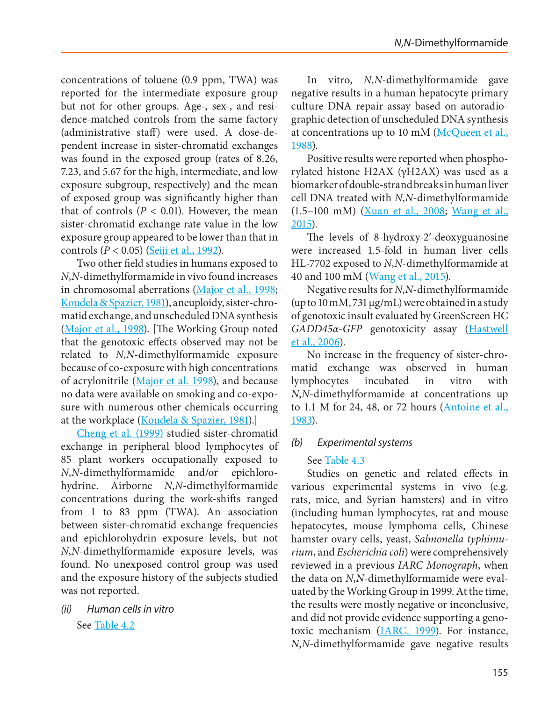concentrations of toluene (0.9 ppm, TWA) was reported for the intermediate exposure group but not for other groups. Age-, sex-, and residence-matched controls from the same factory (administrative staff) were used. A dose-dependent increase in sister-chromatid exchanges was found in the exposed group (rates of 8.26, 7.23, and 5.67 for the high, intermediate, and low exposure subgroup, respectively) and the mean of exposed group was significantly higher than that of controls ( $P < 0.01$ ). However, the mean sister-chromatid exchange rate value in the low exposure group appeared to be lower than that in controls (*P* < 0.05) [\(Seiji et al., 1992](#page-50-14)).

Two other field studies in humans exposed to *N*,*N*-dimethylformamide in vivo found increases in chromosomal aberrations [\(Major et al., 1998;](#page-48-18) [Koudela & Spazier, 1981\)](#page-47-13), aneuploidy, sister-chromatid exchange, and unscheduled DNA synthesis [\(Major et al., 1998\)](#page-48-18). [The Working Group noted that the genotoxic effects observed may not be related to *N*,*N*-dimethylformamide exposure because of co-exposure with high concentrations of acrylonitrile [\(Major et al. 1998\)](#page-48-18), and because no data were available on smoking and co-exposure with numerous other chemicals occurring at the workplace [\(Koudela & Spazier, 1981\)](#page-47-13).]

[Cheng et al. \(1999\)](#page-44-21) studied sister-chromatid exchange in peripheral blood lymphocytes of 85 plant workers occupationally exposed to *N*,*N*-dimethylformamide and/or epichlorohydrine. Airborne *N*,*N*-dimethylformamide concentrations during the work-shifts ranged from 1 to 83 ppm (TWA). An association between sister-chromatid exchange frequencies and epichlorohydrin exposure levels, but not *N*,*N*-dimethylformamide exposure levels, was found. No unexposed control group was used and the exposure history of the subjects studied was not reported.

*(ii) Human cells in vitro* See [Table 4.2](#page-37-0)

In vitro, *N*,*N*-dimethylformamide gave negative results in a human hepatocyte primary culture DNA repair assay based on autoradiographic detection of unscheduled DNA synthesis at concentrations up to 10 mM ([McQueen et al.,](#page-48-19) [1988\)](#page-48-19).

Positive results were reported when phosphorylated histone H2AX (γH2AX) was used as a biomarker of double-strand breaks in human liver cell DNA treated with *N*,*N*-dimethylformamide (1.5–100 mM) [\(Xuan et al., 2008](#page-51-11); [Wang et al.,](#page-51-8) [2015\)](#page-51-8).

The levels of 8-hydroxy-2′-deoxyguanosine were increased 1.5-fold in human liver cells HL-7702 exposed to *N*,*N*-dimethylformamide at 40 and 100 mM ([Wang et al., 2015\)](#page-51-8).

Negative results for *N*,*N*-dimethylformamide (up to 10 mM, 731 µg/mL) were obtained in a study of genotoxic insult evaluated by GreenScreen HC *GADD45α*-*GFP* genotoxicity assay ([Hastwell](#page-45-18) [et al., 2006\)](#page-45-18).

No increase in the frequency of sister-chromatid exchange was observed in human lymphocytes incubated in vitro with *N*,*N*-dimethylformamide at concentrations up to 1.1 M for 24, 48, or 72 hours [\(Antoine et al.,](#page-43-18) [1983\)](#page-43-18).

### *(b) Experimental systems*

### See [Table 4.3](#page-38-0)

Studies on genetic and related effects in various experimental systems in vivo (e.g. rats, mice, and Syrian hamsters) and in vitro (including human lymphocytes, rat and mouse hepatocytes, mouse lymphoma cells, Chinese hamster ovary cells, yeast, *Salmonella typhimurium*, and *Escherichia coli*) were comprehensively reviewed in a previous *IARC Monograph*, when the data on *N*,*N*-dimethylformamide were evaluated by the Working Group in 1999. At the time, the results were mostly negative or inconclusive, and did not provide evidence supporting a genotoxic mechanism [\(IARC, 1999](#page-46-2)). For instance, *N*,*N*-dimethylformamide gave negative results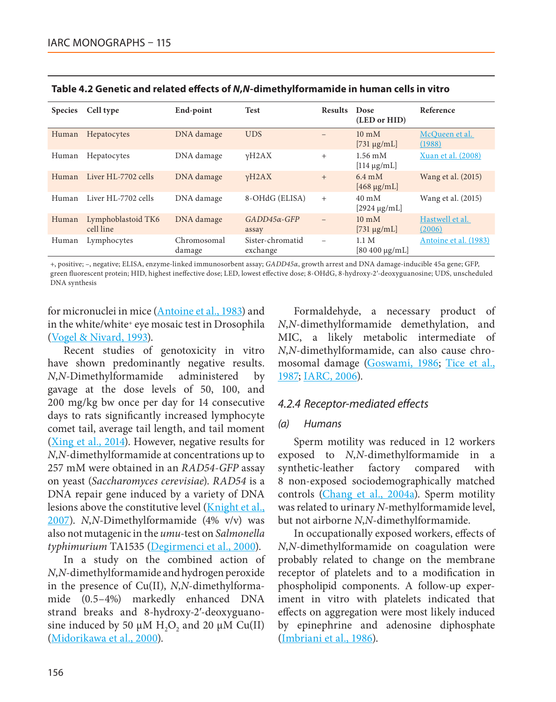| <b>Species</b> | Cell type                       | End-point             | <b>Test</b>                  | <b>Results</b>           | Dose<br>(LED or HID)                  | Reference                 |
|----------------|---------------------------------|-----------------------|------------------------------|--------------------------|---------------------------------------|---------------------------|
| Human          | Hepatocytes                     | DNA damage            | <b>UDS</b>                   | $\overline{\phantom{0}}$ | $10 \text{ mM}$<br>$[731 \mu g/mL]$   | McQueen et al.<br>(1988)  |
| Human          | Hepatocytes                     | DNA damage            | vH2AX                        | $^{+}$                   | $1.56 \text{ mM}$<br>$[114 \mu g/mL]$ | Xuan et al. (2008)        |
| Human          | Liver HL-7702 cells             | DNA damage            | vH2AX                        | $^{+}$                   | $6.4 \text{ mM}$<br>$[468 \mu g/mL]$  | Wang et al. (2015)        |
| Human          | Liver HL-7702 cells             | DNA damage            | 8-OHdG (ELISA)               | $^{+}$                   | $40 \text{ mM}$<br>$[2924 \mu g/mL]$  | Wang et al. (2015)        |
| Human          | Lymphoblastoid TK6<br>cell line | DNA damage            | $GADD45\alpha$ -GFP<br>assay | $\equiv$                 | $10 \text{ mM}$<br>$[731 \mu g/mL]$   | Hastwell et al.<br>(2006) |
| Human          | Lymphocytes                     | Chromosomal<br>damage | Sister-chromatid<br>exchange | -                        | 1.1 M<br>$[80 400 \mu g/mL]$          | Antoine et al. (1983)     |

<span id="page-37-0"></span>**Table 4.2 Genetic and related effects of** *N***,***N***-dimethylformamide in human cells in vitro**

+, positive; –, negative; ELISA, enzyme-linked immunosorbent assay; *GADD45α*, growth arrest and DNA damage-inducible 45α gene; GFP, green fluorescent protein; HID, highest ineffective dose; LED, lowest effective dose; 8-OHdG, 8-hydroxy-2ʹ-deoxyguanosine; UDS, unscheduled DNA synthesis

for micronuclei in mice [\(Antoine et al., 1983\)](#page-43-18) and in the white/white+ eye mosaic test in Drosophila [\(Vogel & Nivard, 1993\)](#page-51-12).

Recent studies of genotoxicity in vitro have shown predominantly negative results. *N*,*N*-Dimethylformamide administered by gavage at the dose levels of 50, 100, and 200 mg/kg bw once per day for 14 consecutive days to rats significantly increased lymphocyte comet tail, average tail length, and tail moment [\(Xing et al., 2014](#page-51-13)). However, negative results for *N*,*N*-dimethylformamide at concentrations up to 257 mM were obtained in an *RAD54-GFP* assay on yeast (*Saccharomyces cerevisiae*). *RAD54* is a DNA repair gene induced by a variety of DNA lesions above the constitutive level ([Knight et al.,](#page-47-14) [2007](#page-47-14)). *N*,*N*-Dimethylformamide (4% v/v) was also not mutagenic in the *umu*-test on *Salmonella typhimurium* TA1535 [\(Degirmenci et al., 2000](#page-44-22)).

In a study on the combined action of *N*,*N*-dimethylformamide and hydrogen peroxide in the presence of Cu(II), *N*,*N*-dimethylformamide (0.5–4%) markedly enhanced DNA strand breaks and 8-hydroxy-2′-deoxyguanosine induced by 50  $\mu$ M H<sub>2</sub>O<sub>2</sub> and 20  $\mu$ M Cu(II) [\(Midorikawa et al., 2000](#page-48-20)).

Formaldehyde, a necessary product of *N*,*N*-dimethylformamide demethylation, and MIC, a likely metabolic intermediate of *N*,*N*-dimethylformamide, can also cause chromosomal damage [\(Goswami, 1986;](#page-45-19) [Tice et al.,](#page-50-15) [1987;](#page-50-15) [IARC, 2006](#page-46-17)).

### *4.2.4 Receptor-mediated effects*

#### *(a) Humans*

Sperm motility was reduced in 12 workers exposed to *N*,*N*-dimethylformamide in a synthetic-leather factory compared with 8 non-exposed sociodemographically matched controls [\(Chang et al., 2004a](#page-43-4)). Sperm motility was related to urinary *N*-methylformamide level, but not airborne *N*,*N*-dimethylformamide.

In occupationally exposed workers, effects of *N*,*N*-dimethylformamide on coagulation were probably related to change on the membrane receptor of platelets and to a modification in phospholipid components. A follow-up experiment in vitro with platelets indicated that effects on aggregation were most likely induced by epinephrine and adenosine diphosphate ([Imbriani et al., 1986\)](#page-46-18).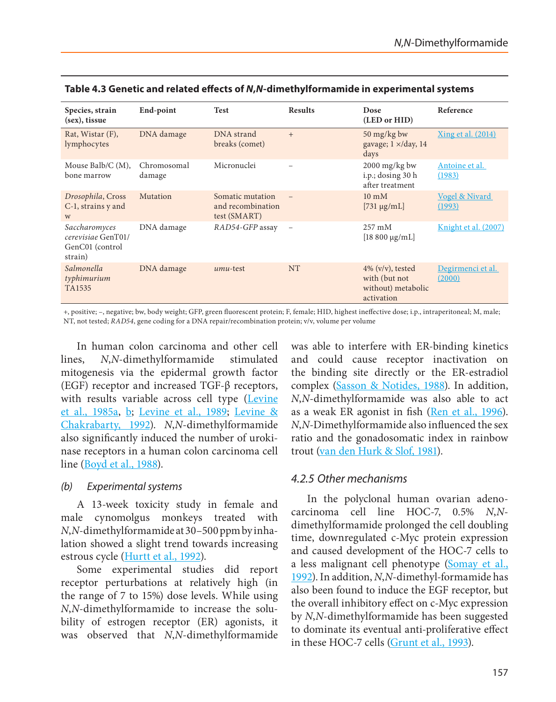| Species, strain<br>(sex), tissue                                  | End-point             | <b>Test</b>                                           | <b>Results</b>           | Dose<br>(LED or HID)                                                     | Reference                           |
|-------------------------------------------------------------------|-----------------------|-------------------------------------------------------|--------------------------|--------------------------------------------------------------------------|-------------------------------------|
| Rat, Wistar $(F)$ ,<br>lymphocytes                                | DNA damage            | DNA strand<br>breaks (comet)                          | $+$                      | 50 mg/kg bw<br>gavage; $1 \times$ /day, 14<br>days                       | Xing et al. (2014)                  |
| Mouse Balb/C $(M)$ ,<br>bone marrow                               | Chromosomal<br>damage | Micronuclei                                           |                          | 2000 mg/kg bw<br>i.p.; dosing 30 h<br>after treatment                    | Antoine et al.<br>(1983)            |
| Drosophila, Cross<br>C-1, strains y and<br>W                      | Mutation              | Somatic mutation<br>and recombination<br>test (SMART) |                          | $10 \text{ mM}$<br>$[731 \mu g/mL]$                                      | <b>Vogel &amp; Nivard</b><br>(1993) |
| Saccharomyces<br>cerevisiae GenT01/<br>GenC01 (control<br>strain) | DNA damage            | RAD54-GFP assay                                       | $\overline{\phantom{a}}$ | $257 \text{ mM}$<br>$[18 800 \mu g/mL]$                                  | Knight et al. (2007)                |
| Salmonella<br>typhimurium<br>TA1535                               | DNA damage            | umu-test                                              | <b>NT</b>                | $4\%$ (v/v), tested<br>with (but not<br>without) metabolic<br>activation | Degirmenci et al.<br>(2000)         |

#### <span id="page-38-0"></span>**Table 4.3 Genetic and related effects of** *N***,***N***-dimethylformamide in experimental systems**

+, positive; –, negative; bw, body weight; GFP, green fluorescent protein; F, female; HID, highest ineffective dose; i.p., intraperitoneal; M, male; NT, not tested; *RAD54*, gene coding for a DNA repair/recombination protein; v/v, volume per volume

In human colon carcinoma and other cell lines, *N*,*N*-dimethylformamide stimulated mitogenesis via the epidermal growth factor (EGF) receptor and increased TGF-β receptors, with results variable across cell type (Levine [et al., 1985a,](#page-47-15) [b;](#page-47-16) [Levine et al., 1989;](#page-47-17) [Levine &](#page-47-18)  [Chakrabarty, 1992](#page-47-18)). *N*,*N*-dimethylformamide also significantly induced the number of urokinase receptors in a human colon carcinoma cell line [\(Boyd et al., 1988](#page-43-19)).

*(b) Experimental systems*

A 13-week toxicity study in female and male cynomolgus monkeys treated with *N*,*N*-dimethylformamide at 30–500 ppm by inhalation showed a slight trend towards increasing estrous cycle [\(Hurtt et al., 1992\)](#page-46-19).

Some experimental studies did report receptor perturbations at relatively high (in the range of 7 to 15%) dose levels. While using *N*,*N*-dimethylformamide to increase the solubility of estrogen receptor (ER) agonists, it was observed that *N*,*N*-dimethylformamide was able to interfere with ER-binding kinetics and could cause receptor inactivation on the binding site directly or the ER-estradiol complex [\(Sasson & Notides, 1988\)](#page-49-15). In addition, *N*,*N*-dimethylformamide was also able to act as a weak ER agonist in fish [\(Ren et al., 1996\)](#page-49-16). *N*,*N*-Dimethylformamide also influenced the sex ratio and the gonadosomatic index in rainbow trout [\(van den Hurk & Slof, 1981\)](#page-51-14).

# *4.2.5 Other mechanisms*

In the polyclonal human ovarian adenocarcinoma cell line HOC-7, 0.5% *N*,*N*dimethylformamide prolonged the cell doubling time, downregulated c-Myc protein expression and caused development of the HOC-7 cells to a less malignant cell phenotype [\(Somay et al.,](#page-50-16) [1992](#page-50-16)). In addition, *N*,*N*-dimethyl-formamide has also been found to induce the EGF receptor, but the overall inhibitory effect on c-Myc expression by *N*,*N*-dimethylformamide has been suggested to dominate its eventual anti-proliferative effect in these HOC-7 cells [\(Grunt et al., 1993\)](#page-45-20).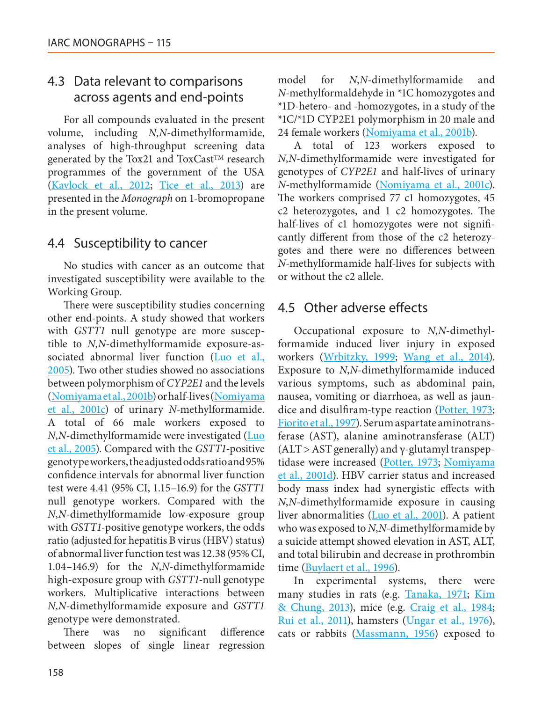# 4.3 Data relevant to comparisons across agents and end-points

For all compounds evaluated in the present volume, including *N*,*N*-dimethylformamide, analyses of high-throughput screening data generated by the Tox21 and ToxCast™ research programmes of the government of the USA [\(Kavlock et al., 2012;](#page-46-20) [Tice et al., 2013](#page-50-17)) are presented in the *Monograph* on 1-bromopropane in the present volume.

# 4.4 Susceptibility to cancer

No studies with cancer as an outcome that investigated susceptibility were available to the Working Group.

There were susceptibility studies concerning other end-points. A study showed that workers with *GSTT1* null genotype are more susceptible to *N*,*N*-dimethylformamide exposure-associated abnormal liver function [\(Luo et al.,](#page-47-19) [2005\)](#page-47-19). Two other studies showed no associations between polymorphism of *CYP2E1* and the levels [\(Nomiyama et al., 2001b](#page-49-17)) or half-lives [\(Nomiyama](#page-49-18) [et al., 2001c](#page-49-18)) of urinary *N*-methylformamide. A total of 66 male workers exposed to *N*,*N*-dimethylformamide were investigated ([Luo](#page-47-19) [et al., 2005](#page-47-19)). Compared with the *GSTT1*-positive genotype workers, the adjusted odds ratio and 95% confidence intervals for abnormal liver function test were 4.41 (95% CI, 1.15–16.9) for the *GSTT1* null genotype workers. Compared with the *N*,*N*-dimethylformamide low-exposure group with *GSTT1*-positive genotype workers, the odds ratio (adjusted for hepatitis B virus (HBV) status) of abnormal liver function test was 12.38 (95% CI, 1.04–146.9) for the *N*,*N*-dimethylformamide high-exposure group with *GSTT1*-null genotype workers. Multiplicative interactions between *N*,*N*-dimethylformamide exposure and *GSTT1* genotype were demonstrated.

There was no significant difference between slopes of single linear regression model for *N*,*N*-dimethylformamide and *N*-methylformaldehyde in \*1C homozygotes and \*1D-hetero- and -homozygotes, in a study of the \*1C/\*1D CYP2E1 polymorphism in 20 male and 24 female workers ([Nomiyama et al., 2001b\)](#page-49-17).

A total of 123 workers exposed to *N*,*N*-dimethylformamide were investigated for genotypes of *CYP2E1* and half-lives of urinary *N*-methylformamide [\(Nomiyama et al., 2001c\)](#page-49-18). The workers comprised 77 c1 homozygotes, 45 c2 heterozygotes, and 1 c2 homozygotes. The half-lives of c1 homozygotes were not significantly different from those of the c2 heterozygotes and there were no differences between *N*-methylformamide half-lives for subjects with or without the c2 allele.

# 4.5 Other adverse effects

Occupational exposure to *N*,*N*-dimethylformamide induced liver injury in exposed workers [\(Wrbitzky, 1999](#page-51-15); [Wang et al., 2014](#page-51-0)). Exposure to *N*,*N*-dimethylformamide induced various symptoms, such as abdominal pain, nausea, vomiting or diarrhoea, as well as jaundice and disulfiram-type reaction ([Potter, 1973](#page-49-19); [Fiorito et al., 1997](#page-45-3)). Serum aspartate aminotransferase (AST), alanine aminotransferase (ALT) (ALT > AST generally) and  $γ$ -glutamyl transpeptidase were increased ([Potter, 1973;](#page-49-19) [Nomiyama](#page-49-20) [et al., 2001d](#page-49-20)). HBV carrier status and increased body mass index had synergistic effects with *N*,*N*-dimethylformamide exposure in causing liver abnormalities [\(Luo et al., 2001\)](#page-48-5). A patient who was exposed to *N*,*N*-dimethylformamide by a suicide attempt showed elevation in AST, ALT, and total bilirubin and decrease in prothrombin time ([Buylaert et al., 1996\)](#page-43-20).

In experimental systems, there were many studies in rats (e.g. [Tanaka, 1971](#page-50-18); [Kim](#page-47-8) [& Chung, 2013](#page-47-8)), mice (e.g. [Craig et al., 1984](#page-44-23); [Rui et al., 2011\)](#page-49-11), hamsters [\(Ungar et al., 1976](#page-51-16)), cats or rabbits ([Massmann, 1956](#page-48-21)) exposed to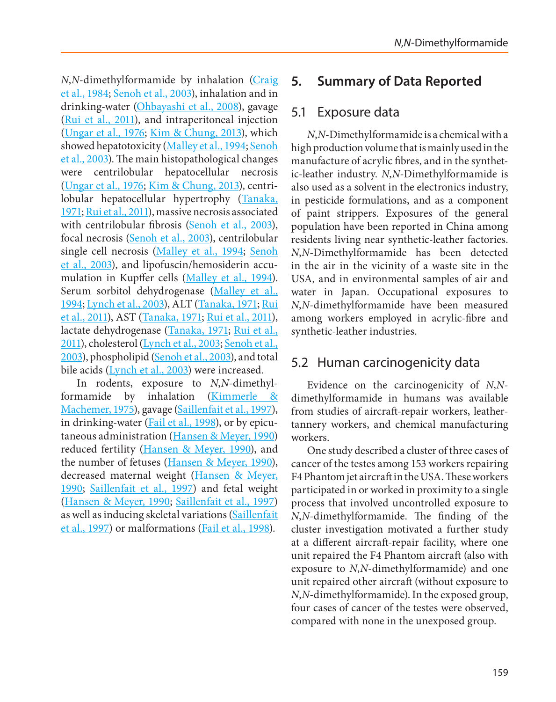*N*,*N*-dimethylformamide by inhalation [\(Craig](#page-44-23)  [et al., 1984](#page-44-23); [Senoh et al., 2003\)](#page-50-19), inhalation and in drinking-water [\(Ohbayashi et al., 2008](#page-49-14)), gavage [\(Rui et al., 2011\)](#page-49-11), and intraperitoneal injection [\(Ungar et al., 1976;](#page-51-16) [Kim & Chung, 2013](#page-47-8)), which showed hepatotoxicity [\(Malley et al., 1994](#page-48-6); Senoh [et al., 2003\)](#page-50-19). The main histopathological changes were centrilobular hepatocellular necrosis [\(Ungar et al., 1976;](#page-51-16) [Kim & Chung, 2013\)](#page-47-8), centrilobular hepatocellular hypertrophy ([Tanaka,](#page-50-18)  [1971](#page-50-18); [Rui et al., 2011\)](#page-49-11), massive necrosis associated with centrilobular fibrosis [\(Senoh et al., 2003\)](#page-50-19), focal necrosis [\(Senoh et al., 2003](#page-50-19)), centrilobular single cell necrosis [\(Malley et al., 1994](#page-48-6); [Senoh](#page-50-19)  [et al., 2003](#page-50-19)), and lipofuscin/hemosiderin accu-mulation in Kupffer cells [\(Malley et al., 1994](#page-48-6)). Serum sorbitol dehydrogenase (Malley et al., [1994](#page-48-6); [Lynch et al., 2003](#page-48-22)), ALT [\(Tanaka, 1971](#page-50-18); [Rui](#page-49-11)  [et al., 2011\)](#page-49-11), AST [\(Tanaka, 1971](#page-50-18); [Rui et al., 2011\)](#page-49-11), lactate dehydrogenase ([Tanaka, 1971](#page-50-18); [Rui et al.,](#page-49-11)  [2011](#page-49-11)), cholesterol [\(Lynch et al., 2003;](#page-48-22) [Senoh et al.,](#page-50-19)  [2003\)](#page-50-19), phospholipid [\(Senoh et al., 2003\)](#page-50-19), and total bile acids  $(Lynch et al., 2003)$  $(Lynch et al., 2003)$  were increased.

In rodents, exposure to *N*,*N*-dimethylformamide by inhalation [\(Kimmerle &](#page-47-20)  [Machemer, 1975](#page-47-20)), gavage [\(Saillenfait et al., 1997\)](#page-49-9), in drinking-water ([Fail et al., 1998\)](#page-45-21), or by epicutaneous administration [\(Hansen & Meyer, 1990](#page-45-22)) reduced fertility [\(Hansen & Meyer, 1990](#page-45-22)), and the number of fetuses [\(Hansen & Meyer, 1990\)](#page-45-22), decreased maternal weight [\(Hansen & Meyer,](#page-45-22)  [1990](#page-45-22); [Saillenfait et al., 1997](#page-49-9)) and fetal weight [\(Hansen & Meyer, 1990](#page-45-22); [Saillenfait et al., 1997](#page-49-9)) as well as inducing skeletal variations [\(Saillenfait](#page-49-9)  [et al., 1997\)](#page-49-9) or malformations [\(Fail et al., 1998](#page-45-21)).

# **5. Summary of Data Reported**

# 5.1 Exposure data

*N*,*N*-Dimethylformamide is a chemical with a high production volume that is mainly used in the manufacture of acrylic fibres, and in the synthetic-leather industry. *N*,*N*-Dimethylformamide is also used as a solvent in the electronics industry, in pesticide formulations, and as a component of paint strippers. Exposures of the general population have been reported in China among residents living near synthetic-leather factories. *N*,*N*-Dimethylformamide has been detected in the air in the vicinity of a waste site in the USA, and in environmental samples of air and water in Japan. Occupational exposures to *N*,*N*-dimethylformamide have been measured among workers employed in acrylic-fibre and synthetic-leather industries.

# 5.2 Human carcinogenicity data

Evidence on the carcinogenicity of *N*,*N*dimethylformamide in humans was available from studies of aircraft-repair workers, leathertannery workers, and chemical manufacturing workers.

One study described a cluster of three cases of cancer of the testes among 153 workers repairing F4 Phantom jet aircraft in the USA. These workers participated in or worked in proximity to a single process that involved uncontrolled exposure to *N*,*N*-dimethylformamide. The finding of the cluster investigation motivated a further study at a different aircraft-repair facility, where one unit repaired the F4 Phantom aircraft (also with exposure to *N*,*N*-dimethylformamide) and one unit repaired other aircraft (without exposure to *N*,*N*-dimethylformamide). In the exposed group, four cases of cancer of the testes were observed, compared with none in the unexposed group.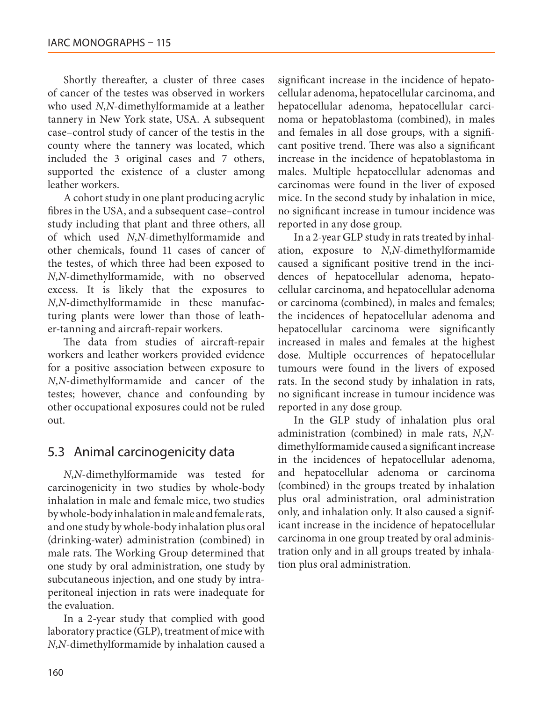Shortly thereafter, a cluster of three cases of cancer of the testes was observed in workers who used *N*,*N*-dimethylformamide at a leather tannery in New York state, USA. A subsequent case–control study of cancer of the testis in the county where the tannery was located, which included the 3 original cases and 7 others, supported the existence of a cluster among leather workers.

A cohort study in one plant producing acrylic fibres in the USA, and a subsequent case–control study including that plant and three others, all of which used *N*,*N*-dimethylformamide and other chemicals, found 11 cases of cancer of the testes, of which three had been exposed to *N*,*N*-dimethylformamide, with no observed excess. It is likely that the exposures to *N*,*N*-dimethylformamide in these manufacturing plants were lower than those of leather-tanning and aircraft-repair workers.

The data from studies of aircraft-repair workers and leather workers provided evidence for a positive association between exposure to *N*,*N*-dimethylformamide and cancer of the testes; however, chance and confounding by other occupational exposures could not be ruled out.

# 5.3 Animal carcinogenicity data

*N*,*N*-dimethylformamide was tested for carcinogenicity in two studies by whole-body inhalation in male and female mice, two studies by whole-body inhalation in male and female rats, and one study by whole-body inhalation plus oral (drinking-water) administration (combined) in male rats. The Working Group determined that one study by oral administration, one study by subcutaneous injection, and one study by intraperitoneal injection in rats were inadequate for the evaluation.

In a 2-year study that complied with good laboratory practice (GLP), treatment of mice with *N*,*N*-dimethylformamide by inhalation caused a

significant increase in the incidence of hepatocellular adenoma, hepatocellular carcinoma, and hepatocellular adenoma, hepatocellular carcinoma or hepatoblastoma (combined), in males and females in all dose groups, with a significant positive trend. There was also a significant increase in the incidence of hepatoblastoma in males. Multiple hepatocellular adenomas and carcinomas were found in the liver of exposed mice. In the second study by inhalation in mice, no significant increase in tumour incidence was reported in any dose group.

In a 2-year GLP study in rats treated by inhalation, exposure to *N*,*N*-dimethylformamide caused a significant positive trend in the incidences of hepatocellular adenoma, hepatocellular carcinoma, and hepatocellular adenoma or carcinoma (combined), in males and females; the incidences of hepatocellular adenoma and hepatocellular carcinoma were significantly increased in males and females at the highest dose. Multiple occurrences of hepatocellular tumours were found in the livers of exposed rats. In the second study by inhalation in rats, no significant increase in tumour incidence was reported in any dose group.

In the GLP study of inhalation plus oral administration (combined) in male rats, *N*,*N*dimethylformamide caused a significant increase in the incidences of hepatocellular adenoma, and hepatocellular adenoma or carcinoma (combined) in the groups treated by inhalation plus oral administration, oral administration only, and inhalation only. It also caused a significant increase in the incidence of hepatocellular carcinoma in one group treated by oral administration only and in all groups treated by inhalation plus oral administration.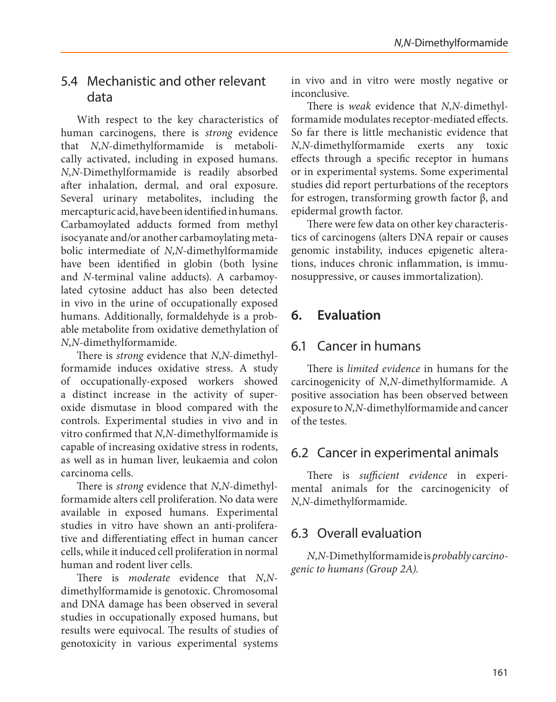# 5.4 Mechanistic and other relevant data

With respect to the key characteristics of human carcinogens, there is *strong* evidence that *N*,*N*-dimethylformamide is metabolically activated, including in exposed humans. *N*,*N*-Dimethylformamide is readily absorbed after inhalation, dermal, and oral exposure. Several urinary metabolites, including the mercapturic acid, have been identified in humans. Carbamoylated adducts formed from methyl isocyanate and/or another carbamoylating metabolic intermediate of *N*,*N*-dimethylformamide have been identified in globin (both lysine and *N-*terminal valine adducts). A carbamoylated cytosine adduct has also been detected in vivo in the urine of occupationally exposed humans. Additionally, formaldehyde is a probable metabolite from oxidative demethylation of *N*,*N*-dimethylformamide.

There is *strong* evidence that *N*,*N*-dimethylformamide induces oxidative stress. A study of occupationally-exposed workers showed a distinct increase in the activity of superoxide dismutase in blood compared with the controls. Experimental studies in vivo and in vitro confirmed that *N*,*N*-dimethylformamide is capable of increasing oxidative stress in rodents, as well as in human liver, leukaemia and colon carcinoma cells.

There is *strong* evidence that *N*,*N*-dimethylformamide alters cell proliferation. No data were available in exposed humans. Experimental studies in vitro have shown an anti-proliferative and differentiating effect in human cancer cells, while it induced cell proliferation in normal human and rodent liver cells.

There is *moderate* evidence that *N*,*N*dimethylformamide is genotoxic. Chromosomal and DNA damage has been observed in several studies in occupationally exposed humans, but results were equivocal. The results of studies of genotoxicity in various experimental systems

in vivo and in vitro were mostly negative or inconclusive.

There is *weak* evidence that *N*,*N*-dimethylformamide modulates receptor-mediated effects. So far there is little mechanistic evidence that *N*,*N*-dimethylformamide exerts any toxic effects through a specific receptor in humans or in experimental systems. Some experimental studies did report perturbations of the receptors for estrogen, transforming growth factor β, and epidermal growth factor.

There were few data on other key characteristics of carcinogens (alters DNA repair or causes genomic instability, induces epigenetic alterations, induces chronic inflammation, is immunosuppressive, or causes immortalization).

# **6. Evaluation**

# 6.1 Cancer in humans

There is *limited evidence* in humans for the carcinogenicity of *N*,*N*-dimethylformamide. A positive association has been observed between exposure to *N*,*N*-dimethylformamide and cancer of the testes.

# 6.2 Cancer in experimental animals

There is *sufficient evidence* in experimental animals for the carcinogenicity of *N*,*N*-dimethylformamide.

# 6.3 Overall evaluation

*N*,*N*-Dimethylformamide is *probably carcinogenic to humans (Group 2A)*.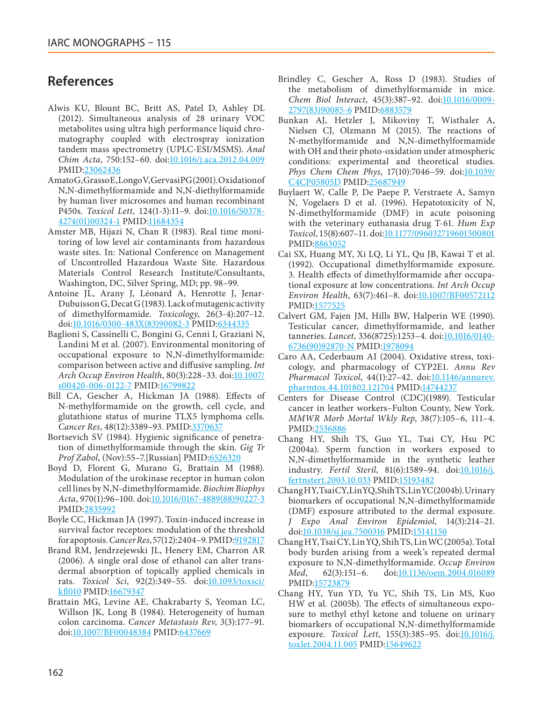# **References**

- <span id="page-43-1"></span>Alwis KU, Blount BC, Britt AS, Patel D, Ashley DL (2012). Simultaneous analysis of 28 urinary VOC metabolites using ultra high performance liquid chromatography coupled with electrospray ionization tandem mass spectrometry (UPLC-ESI/MSMS). *Anal Chim Acta*, 750:152–60. doi[:10.1016/j.aca.2012.04.009](http://dx.doi.org/10.1016/j.aca.2012.04.009) PMID[:23062436](http://www.ncbi.nlm.nih.gov/pubmed/23062436)
- <span id="page-43-12"></span>Amato G, Grasso E, Longo V, Gervasi PG (2001). Oxidation of N,N-dimethylformamide and N,N-diethylformamide by human liver microsomes and human recombinant P450s. *Toxicol Lett*, 124(1-3):11–9. doi[:10.1016/S0378-](http://dx.doi.org/10.1016/S0378-4274(01)00324-1) [4274\(01\)00324-1](http://dx.doi.org/10.1016/S0378-4274(01)00324-1) PMID[:11684354](http://www.ncbi.nlm.nih.gov/pubmed/11684354)
- <span id="page-43-2"></span>Amster MB, Hijazi N, Chan R (1983). Real time monitoring of low level air contaminants from hazardous waste sites. In: National Conference on Management of Uncontrolled Hazardous Waste Site. Hazardous Materials Control Research Institute/Consultants, Washington, DC, Silver Spring, MD; pp. 98–99.
- <span id="page-43-18"></span>Antoine JL, Arany J, Léonard A, Henrotte J, Jenar-Dubuisson G, Decat G (1983). Lack of mutagenic activity of dimethylformamide. *Toxicology*, 26(3-4):207–12. doi[:10.1016/0300-483X\(83\)90082-3](http://dx.doi.org/10.1016/0300-483X(83)90082-3) PMID[:6344335](http://www.ncbi.nlm.nih.gov/pubmed/6344335)
- <span id="page-43-0"></span>Baglioni S, Cassinelli C, Bongini G, Cenni I, Graziani N, Landini M et al*.* (2007). Environmental monitoring of occupational exposure to N,N-dimethylformamide: comparison between active and diffusive sampling. *Int Arch Occup Environ Health*, 80(3):228–33. doi[:10.1007/](http://dx.doi.org/10.1007/s00420-006-0122-7) [s00420-006-0122-7](http://dx.doi.org/10.1007/s00420-006-0122-7) PMID[:16799822](http://www.ncbi.nlm.nih.gov/pubmed/16799822)
- <span id="page-43-15"></span>Bill CA, Gescher A, Hickman JA (1988). Effects of N-methylformamide on the growth, cell cycle, and glutathione status of murine TLX5 lymphoma cells. *Cancer Res*, 48(12):3389–93. PMID[:3370637](http://www.ncbi.nlm.nih.gov/pubmed/3370637)
- <span id="page-43-8"></span>Bortsevich SV (1984). Hygienic significance of penetration of dimethylformamide through the skin. *Gig Tr Prof Zabol*, (Nov):55–7.[Russian] PMID[:6526320](http://www.ncbi.nlm.nih.gov/pubmed/6526320)
- <span id="page-43-19"></span>Boyd D, Florent G, Murano G, Brattain M (1988). Modulation of the urokinase receptor in human colon cell lines by N,N-dimethylformamide. *Biochim Biophys Acta*, 970(1):96–100. doi[:10.1016/0167-4889\(88\)90227-3](http://dx.doi.org/10.1016/0167-4889(88)90227-3) PMID[:2835992](http://www.ncbi.nlm.nih.gov/pubmed/2835992)
- <span id="page-43-17"></span>Boyle CC, Hickman JA (1997). Toxin-induced increase in survival factor receptors: modulation of the threshold for apoptosis. *Cancer Res*, 57(12):2404–9. PMID[:9192817](http://www.ncbi.nlm.nih.gov/pubmed/9192817)
- <span id="page-43-11"></span>Brand RM, Jendrzejewski JL, Henery EM, Charron AR (2006). A single oral dose of ethanol can alter transdermal absorption of topically applied chemicals in rats. *Toxicol Sci*, 92(2):349–55. doi[:10.1093/toxsci/](http://dx.doi.org/10.1093/toxsci/kfl010) [kfl010](http://dx.doi.org/10.1093/toxsci/kfl010) PMID[:16679347](http://www.ncbi.nlm.nih.gov/pubmed/16679347)
- <span id="page-43-16"></span>Brattain MG, Levine AE, Chakrabarty S, Yeoman LC, Willson JK, Long B (1984). Heterogeneity of human colon carcinoma. *Cancer Metastasis Rev*, 3(3):177–91. doi[:10.1007/BF00048384](http://dx.doi.org/10.1007/BF00048384) PMID:[6437669](http://www.ncbi.nlm.nih.gov/pubmed/6437669)
- <span id="page-43-10"></span>Brindley C, Gescher A, Ross D (1983). Studies of the metabolism of dimethylformamide in mice. *Chem Biol Interact*, 45(3):387–92. doi[:10.1016/0009-](http://dx.doi.org/10.1016/0009-2797(83)90085-6) [2797\(83\)90085-6](http://dx.doi.org/10.1016/0009-2797(83)90085-6) PMID[:6883579](http://www.ncbi.nlm.nih.gov/pubmed/6883579)
- <span id="page-43-13"></span>Bunkan AJ, Hetzler J, Mikoviny T, Wisthaler A, Nielsen CJ, Olzmann M (2015). The reactions of N-methylformamide and N,N-dimethylformamide with OH and their photo-oxidation under atmospheric conditions: experimental and theoretical studies. Phys Chem Chem Phys, 17(10):7046-59. doi[:10.1039/](http://dx.doi.org/10.1039/C4CP05805D) [C4CP05805D](http://dx.doi.org/10.1039/C4CP05805D) PMID[:25687949](http://www.ncbi.nlm.nih.gov/pubmed/25687949)
- <span id="page-43-20"></span>Buylaert W, Calle P, De Paepe P, Verstraete A, Samyn N, Vogelaers D et al*.* (1996). Hepatotoxicity of N, N-dimethylformamide (DMF) in acute poisoning with the veterinary euthanasia drug T-61. *Hum Exp Toxicol*, 15(8):607–11. doi[:10.1177/096032719601500801](http://dx.doi.org/10.1177/096032719601500801) PMID:[8863052](http://www.ncbi.nlm.nih.gov/pubmed/8863052)
- <span id="page-43-3"></span>Cai SX, Huang MY, Xi LQ, Li YL, Qu JB, Kawai T et al*.* (1992). Occupational dimethylformamide exposure. 3. Health effects of dimethylformamide after occupational exposure at low concentrations. *Int Arch Occup Environ Health*, 63(7):461–8. doi:[10.1007/BF00572112](http://dx.doi.org/10.1007/BF00572112) PMID[:1577525](http://www.ncbi.nlm.nih.gov/pubmed/1577525)
- <span id="page-43-7"></span>Calvert GM, Fajen JM, Hills BW, Halperin WE (1990). Testicular cancer, dimethylformamide, and leather tanneries. *Lancet*, 336(8725):1253–4. doi[:10.1016/0140-](http://dx.doi.org/10.1016/0140-6736(90)92870-N) [6736\(90\)92870-N](http://dx.doi.org/10.1016/0140-6736(90)92870-N) PMID[:1978094](http://www.ncbi.nlm.nih.gov/pubmed/1978094)
- <span id="page-43-14"></span>Caro AA, Cederbaum AI (2004). Oxidative stress, toxicology, and pharmacology of CYP2E1. *Annu Rev Pharmacol Toxicol*, 44(1):27–42. doi:[10.1146/annurev.](http://dx.doi.org/10.1146/annurev.pharmtox.44.101802.121704) [pharmtox.44.101802.121704](http://dx.doi.org/10.1146/annurev.pharmtox.44.101802.121704) PMID[:14744237](http://www.ncbi.nlm.nih.gov/pubmed/14744237)
- <span id="page-43-6"></span>Centers for Disease Control (CDC)(1989). Testicular cancer in leather workers–Fulton County, New York. *MMWR Morb Mortal Wkly Rep*, 38(7):105–6, 111–4. PMID:[2536886](http://www.ncbi.nlm.nih.gov/pubmed/2536886)
- <span id="page-43-4"></span>Chang HY, Shih TS, Guo YL, Tsai CY, Hsu PC (2004a). Sperm function in workers exposed to N,N-dimethylformamide in the synthetic leather industry. Fertil Steril, 81(6):1589-94. doi:*[10.1016/j.](http://dx.doi.org/10.1016/j.fertnstert.2003.10.033)* [fertnstert.2003.10.033](http://dx.doi.org/10.1016/j.fertnstert.2003.10.033) PMID[:15193482](http://www.ncbi.nlm.nih.gov/pubmed/15193482)
- Chang HY, Tsai CY, Lin YQ, Shih TS, Lin YC (2004b). Urinary biomarkers of occupational N,N-dimethylformamide (DMF) exposure attributed to the dermal exposure. *J Expo Anal Environ Epidemiol*, 14(3):214–21. doi[:10.1038/sj.jea.7500316](http://dx.doi.org/10.1038/sj.jea.7500316) PMID[:15141150](http://www.ncbi.nlm.nih.gov/pubmed/15141150)
- <span id="page-43-9"></span>Chang HY, Tsai CY, Lin YQ, Shih TS, Lin WC (2005a). Total body burden arising from a week's repeated dermal exposure to N,N-dimethylformamide. *Occup Environ Med*, 62(3):151–6. doi[:10.1136/oem.2004.016089](http://dx.doi.org/10.1136/oem.2004.016089) PMID[:15723879](http://www.ncbi.nlm.nih.gov/pubmed/15723879)
- <span id="page-43-5"></span>Chang HY, Yun YD, Yu YC, Shih TS, Lin MS, Kuo HW et al*.* (2005b). The effects of simultaneous exposure to methyl ethyl ketone and toluene on urinary biomarkers of occupational N,N-dimethylformamide exposure. *Toxicol Lett*, 155(3):385–95. doi:[10.1016/j.](http://dx.doi.org/10.1016/j.toxlet.2004.11.005) [toxlet.2004.11.005](http://dx.doi.org/10.1016/j.toxlet.2004.11.005) PMID:[15649622](http://www.ncbi.nlm.nih.gov/pubmed/15649622)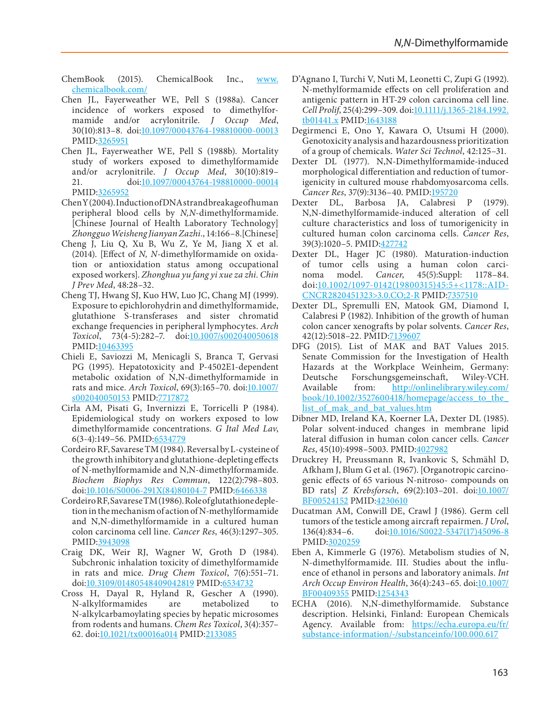<span id="page-44-0"></span>ChemBook (2015). ChemicalBook Inc., [www.](http://www.chemicalbook.com/) [chemicalbook.com/](http://www.chemicalbook.com/)

- <span id="page-44-1"></span>Chen JL, Fayerweather WE, Pell S (1988a). Cancer incidence of workers exposed to dimethylformamide and/or acrylonitrile. *J Occup Med*, 30(10):813–8. doi[:10.1097/00043764-198810000-00013](http://dx.doi.org/10.1097/00043764-198810000-00013) PMID:[3265951](http://www.ncbi.nlm.nih.gov/pubmed/3265951)
- <span id="page-44-2"></span>Chen JL, Fayerweather WE, Pell S (1988b). Mortality study of workers exposed to dimethylformamide and/or acrylonitrile. *J Occup Med*, 30(10):819– 21. doi[:10.1097/00043764-198810000-00014](http://dx.doi.org/10.1097/00043764-198810000-00014) PMID:[3265952](http://www.ncbi.nlm.nih.gov/pubmed/3265952)
- <span id="page-44-20"></span>Chen Y (2004). Induction of DNA strand breakage of human peripheral blood cells by *N,N*-dimethylformamide. [Chinese Journal of Health Laboratory Technology] *Zhongguo Weisheng Jianyan Zazhi.*, 14:166–8.[Chinese]
- <span id="page-44-11"></span>Cheng J, Liu Q, Xu B, Wu Z, Ye M, Jiang X et al*.* (2014). [Effect of *N, N*-dimethylformamide on oxidation or antioxidation status among occupational exposed workers]. *Zhonghua yu fang yi xue za zhi. Chin J Prev Med*, 48:28–32.
- <span id="page-44-21"></span>Cheng TJ, Hwang SJ, Kuo HW, Luo JC, Chang MJ (1999). Exposure to epichlorohydrin and dimethylformamide, glutathione S-transferases and sister chromatid exchange frequencies in peripheral lymphocytes. *Arch Toxicol*, 73(4-5):282–7. doi[:10.1007/s002040050618](http://dx.doi.org/10.1007/s002040050618) PMID:[10463395](http://www.ncbi.nlm.nih.gov/pubmed/10463395)
- <span id="page-44-10"></span>Chieli E, Saviozzi M, Menicagli S, Branca T, Gervasi PG (1995). Hepatotoxicity and P-4502E1-dependent metabolic oxidation of N,N-dimethylformamide in rats and mice. *Arch Toxicol*, 69(3):165–70. doi[:10.1007/](http://dx.doi.org/10.1007/s002040050153) [s002040050153](http://dx.doi.org/10.1007/s002040050153) PMID[:7717872](http://www.ncbi.nlm.nih.gov/pubmed/7717872)
- <span id="page-44-3"></span>Cirla AM, Pisati G, Invernizzi E, Torricelli P (1984). Epidemiological study on workers exposed to low dimethylformamide concentrations. *G Ital Med Lav*, 6(3-4):149–56. PMID[:6534779](http://www.ncbi.nlm.nih.gov/pubmed/6534779)
- <span id="page-44-12"></span>Cordeiro RF, Savarese TM (1984). Reversal by L-cysteine of the growth inhibitory and glutathione-depleting effects of N-methylformamide and N,N-dimethylformamide. *Biochem Biophys Res Commun*, 122(2):798–803. doi[:10.1016/S0006-291X\(84\)80104-7](http://dx.doi.org/10.1016/S0006-291X(84)80104-7) PMID:[6466338](http://www.ncbi.nlm.nih.gov/pubmed/6466338)
- <span id="page-44-13"></span>Cordeiro RF, Savarese TM (1986). Role of glutathione depletion in the mechanism of action of N-methylformamide and N,N-dimethylformamide in a cultured human colon carcinoma cell line. *Cancer Res*, 46(3):1297–305. PMID:[3943098](http://www.ncbi.nlm.nih.gov/pubmed/3943098)
- <span id="page-44-23"></span>Craig DK, Weir RJ, Wagner W, Groth D (1984). Subchronic inhalation toxicity of dimethylformamide in rats and mice. *Drug Chem Toxicol*, 7(6):551–71. doi[:10.3109/01480548409042819](http://dx.doi.org/10.3109/01480548409042819) PMID[:6534732](http://www.ncbi.nlm.nih.gov/pubmed/6534732)
- <span id="page-44-9"></span>Cross H, Dayal R, Hyland R, Gescher A (1990). N-alkylformamides are metabolized to N-alkylcarbamoylating species by hepatic microsomes from rodents and humans. *Chem Res Toxicol*, 3(4):357– 62. doi:[10.1021/tx00016a014](http://dx.doi.org/10.1021/tx00016a014) PMID[:2133085](http://www.ncbi.nlm.nih.gov/pubmed/2133085)
- <span id="page-44-15"></span>D'Agnano I, Turchi V, Nuti M, Leonetti C, Zupi G (1992). N-methylformamide effects on cell proliferation and antigenic pattern in HT-29 colon carcinoma cell line. *Cell Prolif*, 25(4):299–309. doi[:10.1111/j.1365-2184.1992.](http://dx.doi.org/10.1111/j.1365-2184.1992.tb01441.x) [tb01441.x](http://dx.doi.org/10.1111/j.1365-2184.1992.tb01441.x) PMID[:1643188](http://www.ncbi.nlm.nih.gov/pubmed/1643188)
- <span id="page-44-22"></span>Degirmenci E, Ono Y, Kawara O, Utsumi H (2000). Genotoxicity analysis and hazardousness prioritization of a group of chemicals. *Water Sci Technol*, 42:125–31.
- <span id="page-44-19"></span>Dexter DL (1977). N,N-Dimethylformamide-induced morphological differentiation and reduction of tumorigenicity in cultured mouse rhabdomyosarcoma cells. *Cancer Res*, 37(9):3136–40. PMID[:195720](http://www.ncbi.nlm.nih.gov/pubmed/195720)
- <span id="page-44-16"></span>Dexter DL, Barbosa JA, Calabresi P (1979). N,N-dimethylformamide-induced alteration of cell culture characteristics and loss of tumorigenicity in cultured human colon carcinoma cells. *Cancer Res*, 39(3):1020–5. PMID:[427742](http://www.ncbi.nlm.nih.gov/pubmed/427742)
- <span id="page-44-17"></span>Dexter DL, Hager JC (1980). Maturation-induction of tumor cells using a human colon carcinoma model. *Cancer*, 45(5):Suppl: 1178–84. doi[:10.1002/1097-0142\(19800315\)45:5+<1178::AID-](http://dx.doi.org/10.1002/1097-0142(19800315)45:5+<1178::AID-CNCR2820451323>3.0.CO;2-R)[CNCR2820451323>3.0.CO;2-R](http://dx.doi.org/10.1002/1097-0142(19800315)45:5+<1178::AID-CNCR2820451323>3.0.CO;2-R) PMID[:7357510](http://www.ncbi.nlm.nih.gov/pubmed/7357510)
- <span id="page-44-14"></span>Dexter DL, Spremulli EN, Matook GM, Diamond I, Calabresi P (1982). Inhibition of the growth of human colon cancer xenografts by polar solvents. *Cancer Res*, 42(12):5018–22. PMID[:7139607](http://www.ncbi.nlm.nih.gov/pubmed/7139607)
- <span id="page-44-4"></span>DFG (2015). List of MAK and BAT Values 2015. Senate Commission for the Investigation of Health Hazards at the Workplace Weinheim, Germany: Deutsche Forschungsgemeinschaft, Wiley-VCH. Available from: [http://onlinelibrary.wiley.com/](http://onlinelibrary.wiley.com/book/10.1002/3527600418/homepage/access_to_the_list_of_mak_and_bat_values.htm) book/10.1002/3527600418/homepage/access\_to\_the list of mak and bat values.htm
- <span id="page-44-18"></span>Dibner MD, Ireland KA, Koerner LA, Dexter DL (1985). Polar solvent-induced changes in membrane lipid lateral diffusion in human colon cancer cells. *Cancer Res*, 45(10):4998–5003. PMID[:4027982](http://www.ncbi.nlm.nih.gov/pubmed/4027982)
- <span id="page-44-7"></span>Druckrey H, Preussmann R, Ivankovic S, Schmähl D, Afkham J, Blum G et al*.* (1967). [Organotropic carcinogenic effects of 65 various N-nitroso- compounds on BD rats] *Z Krebsforsch*, 69(2):103–201. doi[:10.1007/](http://dx.doi.org/10.1007/BF00524152) [BF00524152](http://dx.doi.org/10.1007/BF00524152) PMID[:4230610](http://www.ncbi.nlm.nih.gov/pubmed/4230610)
- <span id="page-44-6"></span>Ducatman AM, Conwill DE, Crawl J (1986). Germ cell tumors of the testicle among aircraft repairmen. *J Urol*, 136(4):834–6. doi[:10.1016/S0022-5347\(17\)45096-8](http://dx.doi.org/10.1016/S0022-5347(17)45096-8) PMID:[3020259](http://www.ncbi.nlm.nih.gov/pubmed/3020259)
- <span id="page-44-8"></span>Eben A, Kimmerle G (1976). Metabolism studies of N, N-dimethylformamide. III. Studies about the influence of ethanol in persons and laboratory animals. *Int Arch Occup Environ Health*, 36(4):243–65. doi[:10.1007/](http://dx.doi.org/10.1007/BF00409355) [BF00409355](http://dx.doi.org/10.1007/BF00409355) PMID:[1254343](http://www.ncbi.nlm.nih.gov/pubmed/1254343)
- <span id="page-44-5"></span>ECHA (2016). N,N-dimethylformamide. Substance description. Helsinki, Finland: European Chemicals Agency. Available from: [https://echa.europa.eu/fr/](https://echa.europa.eu/fr/substance-information/-/substanceinfo/100.000.617) [substance-information/-/substanceinfo/100.000.617](https://echa.europa.eu/fr/substance-information/-/substanceinfo/100.000.617)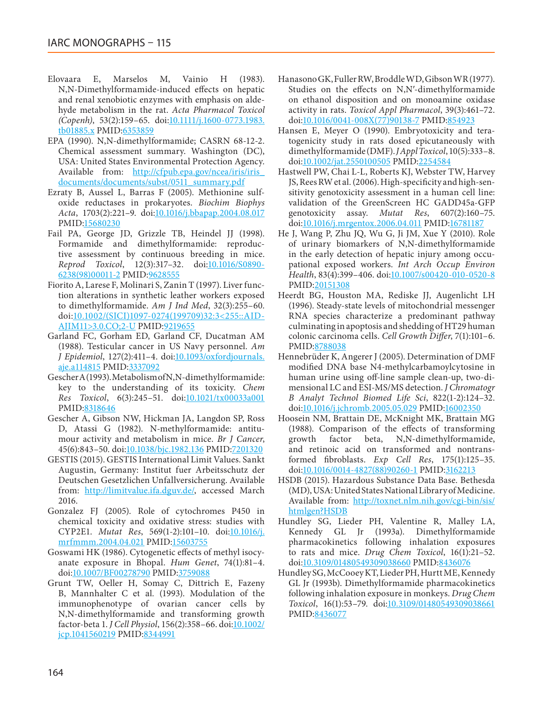- <span id="page-45-11"></span>Elovaara E, Marselos M, Vainio H (1983). N,N-Dimethylformamide-induced effects on hepatic and renal xenobiotic enzymes with emphasis on aldehyde metabolism in the rat. *Acta Pharmacol Toxicol (Copenh)*, 53(2):159–65. doi[:10.1111/j.1600-0773.1983.](http://dx.doi.org/10.1111/j.1600-0773.1983.tb01885.x) [tb01885.x](http://dx.doi.org/10.1111/j.1600-0773.1983.tb01885.x) PMID:[6353859](http://www.ncbi.nlm.nih.gov/pubmed/6353859)
- <span id="page-45-5"></span>EPA (1990). N,N-dimethylformamide; CASRN 68-12-2. Chemical assessment summary. Washington (DC), USA: United States Environmental Protection Agency. Available from: [http://cfpub.epa.gov/ncea/iris/iris\\_](http://cfpub.epa.gov/ncea/iris/iris_documents/documents/subst/0511_summary.pdf) [documents/documents/subst/0511\\_summary.pdf](http://cfpub.epa.gov/ncea/iris/iris_documents/documents/subst/0511_summary.pdf)
- <span id="page-45-14"></span>Ezraty B, Aussel L, Barras F (2005). Methionine sulfoxide reductases in prokaryotes. *Biochim Biophys Acta*, 1703(2):221–9. doi[:10.1016/j.bbapap.2004.08.017](http://dx.doi.org/10.1016/j.bbapap.2004.08.017) PMID[:15680230](http://www.ncbi.nlm.nih.gov/pubmed/15680230)
- <span id="page-45-21"></span>Fail PA, George JD, Grizzle TB, Heindel JJ (1998). Formamide and dimethylformamide: reproductive assessment by continuous breeding in mice. *Reprod Toxicol*, 12(3):317–32. doi:[10.1016/S0890-](http://dx.doi.org/10.1016/S0890-6238(98)00011-2) [6238\(98\)00011-2](http://dx.doi.org/10.1016/S0890-6238(98)00011-2) PMID:[9628555](http://www.ncbi.nlm.nih.gov/pubmed/9628555)
- <span id="page-45-3"></span>Fiorito A, Larese F, Molinari S, Zanin T (1997). Liver function alterations in synthetic leather workers exposed to dimethylformamide. *Am J Ind Med*, 32(3):255–60. doi[:10.1002/\(SICI\)1097-0274\(199709\)32:3<255::AID-](http://dx.doi.org/10.1002/(SICI)1097-0274(199709)32:3<255::AID-AJIM11>3.0.CO;2-U)[AJIM11>3.0.CO;2-U](http://dx.doi.org/10.1002/(SICI)1097-0274(199709)32:3<255::AID-AJIM11>3.0.CO;2-U) PMID:[9219655](http://www.ncbi.nlm.nih.gov/pubmed/9219655)
- <span id="page-45-6"></span>Garland FC, Gorham ED, Garland CF, Ducatman AM (1988). Testicular cancer in US Navy personnel. *Am J Epidemiol*, 127(2):411–4. doi:[10.1093/oxfordjournals.](http://dx.doi.org/10.1093/oxfordjournals.aje.a114815) [aje.a114815](http://dx.doi.org/10.1093/oxfordjournals.aje.a114815) PMID:[3337092](http://www.ncbi.nlm.nih.gov/pubmed/3337092)
- <span id="page-45-1"></span>Gescher A (1993). Metabolism of N,N-dimethylformamide: key to the understanding of its toxicity. *Chem Res Toxicol*, 6(3):245–51. doi[:10.1021/tx00033a001](http://dx.doi.org/10.1021/tx00033a001) PMID[:8318646](http://www.ncbi.nlm.nih.gov/pubmed/8318646)
- <span id="page-45-12"></span>Gescher A, Gibson NW, Hickman JA, Langdon SP, Ross D, Atassi G (1982). N-methylformamide: antitumour activity and metabolism in mice. *Br J Cancer*, 45(6):843–50. doi[:10.1038/bjc.1982.136](http://dx.doi.org/10.1038/bjc.1982.136) PMID[:7201320](http://www.ncbi.nlm.nih.gov/pubmed/7201320)
- <span id="page-45-4"></span>GESTIS (2015). GESTIS International Limit Values. Sankt Augustin, Germany: Institut fuer Arbeitsschutz der Deutschen Gesetzlichen Unfallversicherung. Available from: [http://limitvalue.ifa.dguv.de/,](http://limitvalue.ifa.dguv.de/) accessed March 2016.
- <span id="page-45-13"></span>Gonzalez FJ (2005). Role of cytochromes P450 in chemical toxicity and oxidative stress: studies with CYP2E1. *Mutat Res*, 569(1-2):101–10. doi[:10.1016/j.](http://dx.doi.org/10.1016/j.mrfmmm.2004.04.021) [mrfmmm.2004.04.021](http://dx.doi.org/10.1016/j.mrfmmm.2004.04.021) PMID[:15603755](http://www.ncbi.nlm.nih.gov/pubmed/15603755)
- <span id="page-45-19"></span>Goswami HK (1986). Cytogenetic effects of methyl isocyanate exposure in Bhopal. *Hum Genet*, 74(1):81–4. doi[:10.1007/BF00278790](http://dx.doi.org/10.1007/BF00278790) PMID:[3759088](http://www.ncbi.nlm.nih.gov/pubmed/3759088)
- <span id="page-45-20"></span>Grunt TW, Oeller H, Somay C, Dittrich E, Fazeny B, Mannhalter C et al*.* (1993). Modulation of the immunophenotype of ovarian cancer cells by N,N-dimethylformamide and transforming growth factor-beta 1. *J Cell Physiol*, 156(2):358–66. doi:[10.1002/](http://dx.doi.org/10.1002/jcp.1041560219) [jcp.1041560219](http://dx.doi.org/10.1002/jcp.1041560219) PMID:[8344991](http://www.ncbi.nlm.nih.gov/pubmed/8344991)
- <span id="page-45-10"></span>Hanasono GK, Fuller RW, Broddle WD, Gibson WR (1977). Studies on the effects on N,N′-dimethylformamide on ethanol disposition and on monoamine oxidase activity in rats. *Toxicol Appl Pharmacol*, 39(3):461–72. doi[:10.1016/0041-008X\(77\)90138-7](http://dx.doi.org/10.1016/0041-008X(77)90138-7) PMID[:854923](http://www.ncbi.nlm.nih.gov/pubmed/854923)
- <span id="page-45-22"></span>Hansen E, Meyer O (1990). Embryotoxicity and teratogenicity study in rats dosed epicutaneously with dimethylformamide (DMF). *J Appl Toxicol*, 10(5):333–8. doi[:10.1002/jat.2550100505](http://dx.doi.org/10.1002/jat.2550100505) PMID[:2254584](http://www.ncbi.nlm.nih.gov/pubmed/2254584)
- <span id="page-45-18"></span>Hastwell PW, Chai L-L, Roberts KJ, Webster TW, Harvey JS, Rees RW et al*.* (2006). High-specificity and high-sensitivity genotoxicity assessment in a human cell line: validation of the GreenScreen HC GADD45a-GFP genotoxicity assay. *Mutat Res*, 607(2):160–75. doi[:10.1016/j.mrgentox.2006.04.011](http://dx.doi.org/10.1016/j.mrgentox.2006.04.011) PMID:[16781187](http://www.ncbi.nlm.nih.gov/pubmed/16781187)
- <span id="page-45-2"></span>He J, Wang P, Zhu JQ, Wu G, Ji JM, Xue Y (2010). Role of urinary biomarkers of N,N-dimethylformamide in the early detection of hepatic injury among occupational exposed workers. *Int Arch Occup Environ Health*, 83(4):399–406. doi[:10.1007/s00420-010-0520-8](http://dx.doi.org/10.1007/s00420-010-0520-8) PMID:[20151308](http://www.ncbi.nlm.nih.gov/pubmed/20151308)
- <span id="page-45-15"></span>Heerdt BG, Houston MA, Rediske JJ, Augenlicht LH (1996). Steady-state levels of mitochondrial messenger RNA species characterize a predominant pathway culminating in apoptosis and shedding of HT29 human colonic carcinoma cells. *Cell Growth Differ*, 7(1):101–6. PMID:[8788038](http://www.ncbi.nlm.nih.gov/pubmed/8788038)
- <span id="page-45-17"></span>Hennebrüder K, Angerer J (2005). Determination of DMF modified DNA base N4-methylcarbamoylcytosine in human urine using off-line sample clean-up, two-dimensional LC and ESI-MS/MS detection. *J Chromatogr B Analyt Technol Biomed Life Sci*, 822(1-2):124–32. doi[:10.1016/j.jchromb.2005.05.029](http://dx.doi.org/10.1016/j.jchromb.2005.05.029) PMID[:16002350](http://www.ncbi.nlm.nih.gov/pubmed/16002350)
- <span id="page-45-16"></span>Hoosein NM, Brattain DE, McKnight MK, Brattain MG (1988). Comparison of the effects of transforming growth factor beta, N,N-dimethylformamide, and retinoic acid on transformed and nontransformed fibroblasts. *Exp Cell Res*, 175(1):125–35. doi[:10.1016/0014-4827\(88\)90260-1](http://dx.doi.org/10.1016/0014-4827(88)90260-1) PMID[:3162213](http://www.ncbi.nlm.nih.gov/pubmed/3162213)
- <span id="page-45-0"></span>HSDB (2015). Hazardous Substance Data Base. Bethesda (MD), USA: United States National Library of Medicine. Available from: [http://toxnet.nlm.nih.gov/cgi-bin/sis/](http://toxnet.nlm.nih.gov/cgi-bin/sis/htmlgen?HSDB) [htmlgen?HSDB](http://toxnet.nlm.nih.gov/cgi-bin/sis/htmlgen?HSDB)
- <span id="page-45-7"></span>Hundley SG, Lieder PH, Valentine R, Malley LA, Kennedy GL Jr (1993a). Dimethylformamide pharmacokinetics following inhalation exposures to rats and mice. *Drug Chem Toxicol*, 16(1):21–52. doi[:10.3109/01480549309038660](http://dx.doi.org/10.3109/01480549309038660) PMID:[8436076](http://www.ncbi.nlm.nih.gov/pubmed/8436076)
- <span id="page-45-9"></span><span id="page-45-8"></span>Hundley SG, McCooey KT, Lieder PH, Hurtt ME, Kennedy GL Jr (1993b). Dimethylformamide pharmacokinetics following inhalation exposure in monkeys. *Drug Chem Toxicol*, 16(1):53–79. doi[:10.3109/01480549309038661](http://dx.doi.org/10.3109/01480549309038661) PMID:[8436077](http://www.ncbi.nlm.nih.gov/pubmed/8436077)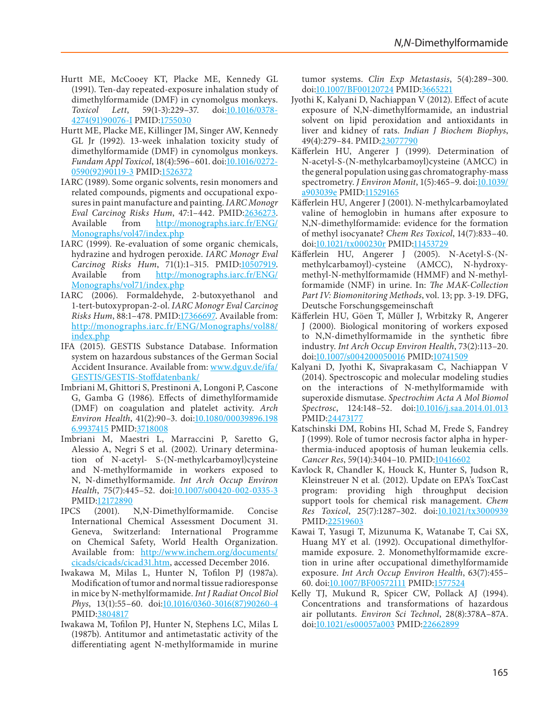- Hurtt ME, McCooey KT, Placke ME, Kennedy GL (1991). Ten-day repeated-exposure inhalation study of dimethylformamide (DMF) in cynomolgus monkeys.<br>Toxicol Lett, 59(1-3):229-37. doi:10.1016/0378-*Toxicol Lett*, 59(1-3):229–37. doi[:10.1016/0378-](http://dx.doi.org/10.1016/0378-4274(91)90076-I) [4274\(91\)90076-I](http://dx.doi.org/10.1016/0378-4274(91)90076-I) PMID:[1755030](http://www.ncbi.nlm.nih.gov/pubmed/1755030)
- <span id="page-46-19"></span>Hurtt ME, Placke ME, Killinger JM, Singer AW, Kennedy GL Jr (1992). 13-week inhalation toxicity study of dimethylformamide (DMF) in cynomolgus monkeys. *Fundam Appl Toxicol*, 18(4):596–601. doi[:10.1016/0272-](http://dx.doi.org/10.1016/0272-0590(92)90119-3) [0590\(92\)90119-3](http://dx.doi.org/10.1016/0272-0590(92)90119-3) PMID[:1526372](http://www.ncbi.nlm.nih.gov/pubmed/1526372)
- <span id="page-46-1"></span>IARC (1989). Some organic solvents, resin monomers and related compounds, pigments and occupational exposures in paint manufacture and painting. *IARC Monogr Eval Carcinog Risks Hum, 47:1-442. PMID:[2636273](http://www.ncbi.nlm.nih.gov/pubmed/2636273).*<br>*Available from http://monographs.jarc.fr/ENG/* [http://monographs.iarc.fr/ENG/](http://monographs.iarc.fr/ENG/Monographs/vol47/index.php) [Monographs/vol47/index.php](http://monographs.iarc.fr/ENG/Monographs/vol47/index.php)
- <span id="page-46-2"></span>IARC (1999). Re-evaluation of some organic chemicals, hydrazine and hydrogen peroxide. *IARC Monogr Eval Carcinog Risks Hum*, 71(1):1–315. PMID[:10507919](http://www.ncbi.nlm.nih.gov/pubmed/10507919). Available from [http://monographs.iarc.fr/ENG/](http://monographs.iarc.fr/ENG/Monographs/vol71/index.php) [Monographs/vol71/index.php](http://monographs.iarc.fr/ENG/Monographs/vol71/index.php)
- <span id="page-46-17"></span>IARC (2006). Formaldehyde, 2-butoxyethanol and 1-tert-butoxypropan-2-ol. *IARC Monogr Eval Carcinog Risks Hum*, 88:1–478. PMID[:17366697.](http://www.ncbi.nlm.nih.gov/pubmed/17366697) Available from: [http://monographs.iarc.fr/ENG/Monographs/vol88/](http://monographs.iarc.fr/ENG/Monographs/vol88/index.php) [index.php](http://monographs.iarc.fr/ENG/Monographs/vol88/index.php)
- <span id="page-46-0"></span>IFA (2015). GESTIS Substance Database. Information system on hazardous substances of the German Social Accident Insurance. Available from: [www.dguv.de/ifa/](http://www.dguv.de/ifa/GESTIS/GESTIS-Stoffdatenbank/) [GESTIS/GESTIS-Stoffdatenbank/](http://www.dguv.de/ifa/GESTIS/GESTIS-Stoffdatenbank/)
- <span id="page-46-18"></span>Imbriani M, Ghittori S, Prestinoni A, Longoni P, Cascone G, Gamba G (1986). Effects of dimethylformamide (DMF) on coagulation and platelet activity. *Arch Environ Health*, 41(2):90–3. doi:[10.1080/00039896.198](http://dx.doi.org/10.1080/00039896.1986.9937415) [6.9937415](http://dx.doi.org/10.1080/00039896.1986.9937415) PMID[:3718008](http://www.ncbi.nlm.nih.gov/pubmed/3718008)
- <span id="page-46-9"></span>Imbriani M, Maestri L, Marraccini P, Saretto G, Alessio A, Negri S et al*.* (2002). Urinary determination of N-acetyl- S-(N-methylcarbamoyl)cysteine and N-methylformamide in workers exposed to N, N-dimethylformamide. *Int Arch Occup Environ Health*, 75(7):445–52. doi[:10.1007/s00420-002-0335-3](http://dx.doi.org/10.1007/s00420-002-0335-3) PMID[:12172890](http://www.ncbi.nlm.nih.gov/pubmed/12172890)
- <span id="page-46-6"></span>IPCS (2001). N,N-Dimethylformamide. Concise International Chemical Assessment Document 31. Geneva, Switzerland: International Programme on Chemical Safety, World Health Organization. Available from: [http://www.inchem.org/documents/](http://www.inchem.org/documents/cicads/cicads/cicad31.htm) [cicads/cicads/cicad31.htm,](http://www.inchem.org/documents/cicads/cicads/cicad31.htm) accessed December 2016.
- <span id="page-46-16"></span>Iwakawa M, Milas L, Hunter N, Tofilon PJ (1987a). Modification of tumor and normal tissue radioresponse in mice by N-methylformamide. *Int J Radiat Oncol Biol Phys*, 13(1):55–60. doi[:10.1016/0360-3016\(87\)90260-4](http://dx.doi.org/10.1016/0360-3016(87)90260-4) PMID[:3804817](http://www.ncbi.nlm.nih.gov/pubmed/3804817)
- <span id="page-46-15"></span>Iwakawa M, Tofilon PJ, Hunter N, Stephens LC, Milas L (1987b). Antitumor and antimetastatic activity of the differentiating agent N-methylformamide in murine

tumor systems. *Clin Exp Metastasis*, 5(4):289–300. doi[:10.1007/BF00120724](http://dx.doi.org/10.1007/BF00120724) PMID:[3665221](http://www.ncbi.nlm.nih.gov/pubmed/3665221)

- <span id="page-46-13"></span>Jyothi K, Kalyani D, Nachiappan V (2012). Effect of acute exposure of N,N-dimethylformamide, an industrial solvent on lipid peroxidation and antioxidants in liver and kidney of rats. *Indian J Biochem Biophys*, 49(4):279–84. PMID[:23077790](http://www.ncbi.nlm.nih.gov/pubmed/23077790)
- <span id="page-46-5"></span>Käfferlein HU, Angerer J (1999). Determination of N-acetyl-S-(N-methylcarbamoyl)cysteine (AMCC) in the general population using gas chromatography-mass spectrometry. *J Environ Monit*, 1(5):465–9. doi[:10.1039/](http://dx.doi.org/10.1039/a903039e) [a903039e](http://dx.doi.org/10.1039/a903039e) PMID[:11529165](http://www.ncbi.nlm.nih.gov/pubmed/11529165)
- <span id="page-46-11"></span>Käfferlein HU, Angerer J (2001). N-methylcarbamoylated valine of hemoglobin in humans after exposure to N,N-dimethylformamide: evidence for the formation of methyl isocyanate? *Chem Res Toxicol*, 14(7):833–40. doi[:10.1021/tx000230r](http://dx.doi.org/10.1021/tx000230r) PMID[:11453729](http://www.ncbi.nlm.nih.gov/pubmed/11453729)
- <span id="page-46-4"></span>Käfferlein HU, Angerer J (2005). N-Acetyl-S-(Nmethylcarbamoyl)-cysteine (AMCC), N-hydroxymethyl-N-methylformamide (HMMF) and N-methylformamide (NMF) in urine. In: *The MAK-Collection Part IV: Biomonitoring Methods*, vol. 13; pp. 3-19. DFG, Deutsche Forschungsgemeinschaft
- <span id="page-46-8"></span>Käfferlein HU, Göen T, Müller J, Wrbitzky R, Angerer J (2000). Biological monitoring of workers exposed to N,N-dimethylformamide in the synthetic fibre industry. *Int Arch Occup Environ Health*, 73(2):113–20. doi[:10.1007/s004200050016](http://dx.doi.org/10.1007/s004200050016) PMID[:10741509](http://www.ncbi.nlm.nih.gov/pubmed/10741509)
- <span id="page-46-14"></span>Kalyani D, Jyothi K, Sivaprakasam C, Nachiappan V (2014). Spectroscopic and molecular modeling studies on the interactions of N-methylformamide with superoxide dismutase. *Spectrochim Acta A Mol Biomol Spectrosc*, 124:148–52. doi[:10.1016/j.saa.2014.01.013](http://dx.doi.org/10.1016/j.saa.2014.01.013) PMID:[24473177](http://www.ncbi.nlm.nih.gov/pubmed/24473177)
- <span id="page-46-12"></span>Katschinski DM, Robins HI, Schad M, Frede S, Fandrey J (1999). Role of tumor necrosis factor alpha in hyperthermia-induced apoptosis of human leukemia cells. *Cancer Res*, 59(14):3404–10. PMID:[10416602](http://www.ncbi.nlm.nih.gov/pubmed/10416602)
- <span id="page-46-20"></span>Kavlock R, Chandler K, Houck K, Hunter S, Judson R, Kleinstreuer N et al*.* (2012). Update on EPA's ToxCast program: providing high throughput decision support tools for chemical risk management. *Chem Res Toxicol*, 25(7):1287–302. doi[:10.1021/tx3000939](http://dx.doi.org/10.1021/tx3000939) PMID:[22519603](http://www.ncbi.nlm.nih.gov/pubmed/22519603)
- <span id="page-46-3"></span>Kawai T, Yasugi T, Mizunuma K, Watanabe T, Cai SX, Huang MY et al*.* (1992). Occupational dimethylformamide exposure. 2. Monomethylformamide excretion in urine after occupational dimethylformamide exposure. *Int Arch Occup Environ Health*, 63(7):455– 60. doi[:10.1007/BF00572111](http://dx.doi.org/10.1007/BF00572111) PMID:[1577524](http://www.ncbi.nlm.nih.gov/pubmed/1577524)
- <span id="page-46-10"></span><span id="page-46-7"></span>Kelly TJ, Mukund R, Spicer CW, Pollack AJ (1994). Concentrations and transformations of hazardous air pollutants. *Environ Sci Technol*, 28(8):378A–87A. doi[:10.1021/es00057a003](http://dx.doi.org/10.1021/es00057a003) PMID:[22662899](http://www.ncbi.nlm.nih.gov/pubmed/22662899)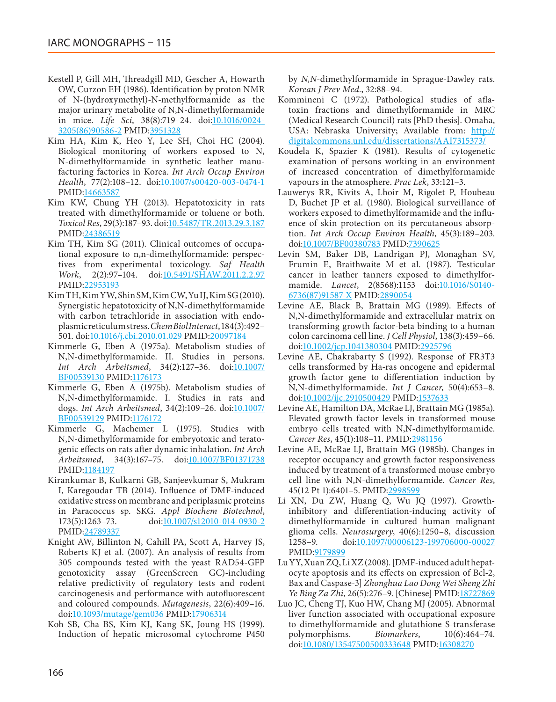- Kestell P, Gill MH, Threadgill MD, Gescher A, Howarth OW, Curzon EH (1986). Identification by proton NMR of N-(hydroxymethyl)-N-methylformamide as the major urinary metabolite of N,N-dimethylformamide in mice. *Life Sci*, 38(8):719–24. doi[:10.1016/0024-](http://dx.doi.org/10.1016/0024-3205(86)90586-2) [3205\(86\)90586-2](http://dx.doi.org/10.1016/0024-3205(86)90586-2) PMID:[3951328](http://www.ncbi.nlm.nih.gov/pubmed/3951328)
- <span id="page-47-0"></span>Kim HA, Kim K, Heo Y, Lee SH, Choi HC (2004). Biological monitoring of workers exposed to N, N-dimethylformamide in synthetic leather manufacturing factories in Korea. *Int Arch Occup Environ Health*, 77(2):108–12. doi[:10.1007/s00420-003-0474-1](http://dx.doi.org/10.1007/s00420-003-0474-1) PMID[:14663587](http://www.ncbi.nlm.nih.gov/pubmed/14663587)
- <span id="page-47-8"></span>Kim KW, Chung YH (2013). Hepatotoxicity in rats treated with dimethylformamide or toluene or both. *Toxicol Res*, 29(3):187–93. doi[:10.5487/TR.2013.29.3.187](http://dx.doi.org/10.5487/TR.2013.29.3.187) PMID[:24386519](http://www.ncbi.nlm.nih.gov/pubmed/24386519)
- <span id="page-47-9"></span>Kim TH, Kim SG (2011). Clinical outcomes of occupational exposure to n,n-dimethylformamide: perspectives from experimental toxicology. *Saf Health Work*, 2(2):97–104. doi[:10.5491/SHAW.2011.2.2.97](http://dx.doi.org/10.5491/SHAW.2011.2.2.97) PMID[:22953193](http://www.ncbi.nlm.nih.gov/pubmed/22953193)
- <span id="page-47-6"></span>Kim TH, Kim YW, Shin SM, Kim CW, Yu IJ, Kim SG (2010). Synergistic hepatotoxicity of N,N-dimethylformamide with carbon tetrachloride in association with endoplasmic reticulum stress. *Chem Biol Interact*, 184(3):492– 501. doi[:10.1016/j.cbi.2010.01.029](http://dx.doi.org/10.1016/j.cbi.2010.01.029) PMID:[20097184](http://www.ncbi.nlm.nih.gov/pubmed/20097184)
- <span id="page-47-4"></span>Kimmerle G, Eben A (1975a). Metabolism studies of N,N-dimethylformamide. II. Studies in persons. *Int Arch Arbeitsmed*, 34(2):127–36. doi[:10.1007/](http://dx.doi.org/10.1007/BF00539130) [BF00539130](http://dx.doi.org/10.1007/BF00539130) PMID[:1176173](http://www.ncbi.nlm.nih.gov/pubmed/1176173)
- <span id="page-47-5"></span>Kimmerle G, Eben A (1975b). Metabolism studies of N,N-dimethylformamide. I. Studies in rats and dogs. *Int Arch Arbeitsmed*, 34(2):109-26. doi[:10.1007/](http://dx.doi.org/10.1007/BF00539129) [BF00539129](http://dx.doi.org/10.1007/BF00539129) PMID[:1176172](http://www.ncbi.nlm.nih.gov/pubmed/1176172)
- <span id="page-47-20"></span>Kimmerle G, Machemer L (1975). Studies with N,N-dimethylformamide for embryotoxic and teratogenic effects on rats after dynamic inhalation. *Int Arch Arbeitsmed*, 34(3):167–75. doi:[10.1007/BF01371738](http://dx.doi.org/10.1007/BF01371738) PMID[:1184197](http://www.ncbi.nlm.nih.gov/pubmed/1184197)
- <span id="page-47-10"></span>Kirankumar B, Kulkarni GB, Sanjeevkumar S, Mukram I, Karegoudar TB (2014). Influence of DMF-induced oxidative stress on membrane and periplasmic proteins in Paracoccus sp. SKG. *Appl Biochem Biotechnol*, 173(5):1263–73. doi[:10.1007/s12010-014-0930-2](http://dx.doi.org/10.1007/s12010-014-0930-2) PMID[:24789337](http://www.ncbi.nlm.nih.gov/pubmed/24789337)
- <span id="page-47-14"></span>Knight AW, Billinton N, Cahill PA, Scott A, Harvey JS, Roberts KJ et al*.* (2007). An analysis of results from 305 compounds tested with the yeast RAD54-GFP genotoxicity assay (GreenScreen GC)-including relative predictivity of regulatory tests and rodent carcinogenesis and performance with autofluorescent and coloured compounds. *Mutagenesis*, 22(6):409–16. doi[:10.1093/mutage/gem036](http://dx.doi.org/10.1093/mutage/gem036) PMID[:17906314](http://www.ncbi.nlm.nih.gov/pubmed/17906314)
- <span id="page-47-7"></span>Koh SB, Cha BS, Kim KJ, Kang SK, Joung HS (1999). Induction of hepatic microsomal cytochrome P450

by *N,N*-dimethylformamide in Sprague-Dawley rats. *Korean J Prev Med.*, 32:88–94.

- <span id="page-47-3"></span>Kommineni C (1972). Pathological studies of aflatoxin fractions and dimethylformamide in MRC (Medical Research Council) rats [PhD thesis]. Omaha, USA: Nebraska University; Available from: [http://](http://digitalcommons.unl.edu/dissertations/AAI7315373/) [digitalcommons.unl.edu/dissertations/AAI7315373/](http://digitalcommons.unl.edu/dissertations/AAI7315373/)
- <span id="page-47-13"></span>Koudela K, Spazier K (1981). Results of cytogenetic examination of persons working in an environment of increased concentration of dimethylformamide vapours in the atmosphere. *Prac Lek*, 33:121–3.
- <span id="page-47-1"></span>Lauwerys RR, Kivits A, Lhoir M, Rigolet P, Houbeau D, Buchet JP et al*.* (1980). Biological surveillance of workers exposed to dimethylformamide and the influence of skin protection on its percutaneous absorption. *Int Arch Occup Environ Health*, 45(3):189–203. doi[:10.1007/BF00380783](http://dx.doi.org/10.1007/BF00380783) PMID[:7390625](http://www.ncbi.nlm.nih.gov/pubmed/7390625)
- <span id="page-47-2"></span>Levin SM, Baker DB, Landrigan PJ, Monaghan SV, Frumin E, Braithwaite M et al*.* (1987). Testicular cancer in leather tanners exposed to dimethylformamide. *Lancet*, 2(8568):1153 doi[:10.1016/S0140-](http://dx.doi.org/10.1016/S0140-6736(87)91587-X) [6736\(87\)91587-X](http://dx.doi.org/10.1016/S0140-6736(87)91587-X) PMID:[2890054](http://www.ncbi.nlm.nih.gov/pubmed/2890054)
- <span id="page-47-17"></span>Levine AE, Black B, Brattain MG (1989). Effects of N,N-dimethylformamide and extracellular matrix on transforming growth factor-beta binding to a human colon carcinoma cell line. *J Cell Physiol*, 138(3):459–66. doi[:10.1002/jcp.1041380304](http://dx.doi.org/10.1002/jcp.1041380304) PMID[:2925796](http://www.ncbi.nlm.nih.gov/pubmed/2925796)
- <span id="page-47-18"></span>Levine AE, Chakrabarty S (1992). Response of FR3T3 cells transformed by Ha-ras oncogene and epidermal growth factor gene to differentiation induction by N,N-dimethylformamide. *Int J Cancer*, 50(4):653–8. doi[:10.1002/ijc.2910500429](http://dx.doi.org/10.1002/ijc.2910500429) PMID[:1537633](http://www.ncbi.nlm.nih.gov/pubmed/1537633)
- <span id="page-47-15"></span>Levine AE, Hamilton DA, McRae LJ, Brattain MG (1985a). Elevated growth factor levels in transformed mouse embryo cells treated with N,N-dimethylformamide. *Cancer Res*, 45(1):108–11. PMID:[2981156](http://www.ncbi.nlm.nih.gov/pubmed/2981156)
- <span id="page-47-16"></span>Levine AE, McRae LJ, Brattain MG (1985b). Changes in receptor occupancy and growth factor responsiveness induced by treatment of a transformed mouse embryo cell line with N,N-dimethylformamide. *Cancer Res*, 45(12 Pt 1):6401–5. PMID:[2998599](http://www.ncbi.nlm.nih.gov/pubmed/2998599)
- <span id="page-47-11"></span>Li XN, Du ZW, Huang Q, Wu JQ (1997). Growthinhibitory and differentiation-inducing activity of dimethylformamide in cultured human malignant glioma cells. *Neurosurgery*, 40(6):1250–8, discussion 1258–9. doi[:10.1097/00006123-199706000-00027](http://dx.doi.org/10.1097/00006123-199706000-00027) PMID:[9179899](http://www.ncbi.nlm.nih.gov/pubmed/9179899)
- <span id="page-47-12"></span>Lu YY, Xuan ZQ, Li XZ (2008). [DMF-induced adult hepatocyte apoptosis and its effects on expression of Bcl-2, Bax and Caspase-3] *Zhonghua Lao Dong Wei Sheng Zhi Ye Bing Za Zhi*, 26(5):276–9. [Chinese] PMID[:18727869](http://www.ncbi.nlm.nih.gov/pubmed/18727869)
- <span id="page-47-19"></span>Luo JC, Cheng TJ, Kuo HW, Chang MJ (2005). Abnormal liver function associated with occupational exposure to dimethylformamide and glutathione S-transferase polymorphisms. *Biomarkers*, 10(6):464–74. doi[:10.1080/13547500500333648](http://dx.doi.org/10.1080/13547500500333648) PMID:[16308270](http://www.ncbi.nlm.nih.gov/pubmed/16308270)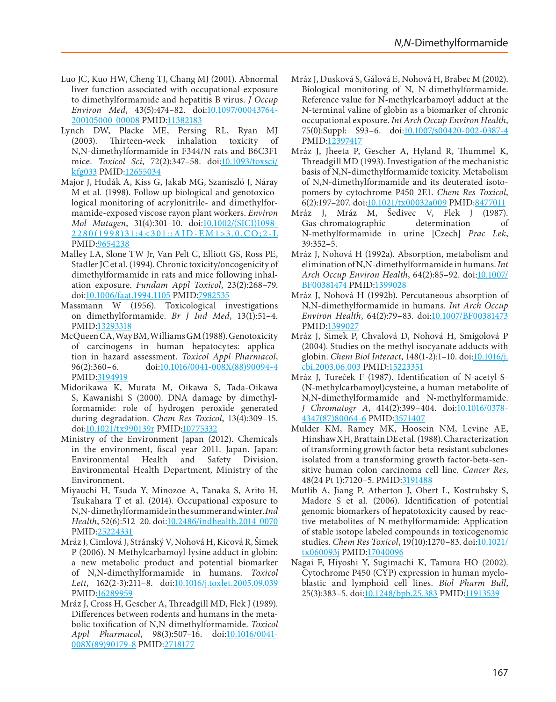- <span id="page-48-9"></span><span id="page-48-5"></span>Luo JC, Kuo HW, Cheng TJ, Chang MJ (2001). Abnormal liver function associated with occupational exposure to dimethylformamide and hepatitis B virus. *J Occup Environ Med*, 43(5):474–82. doi:[10.1097/00043764-](http://dx.doi.org/10.1097/00043764-200105000-00008) [200105000-00008](http://dx.doi.org/10.1097/00043764-200105000-00008) PMID[:11382183](http://www.ncbi.nlm.nih.gov/pubmed/11382183)
- <span id="page-48-22"></span>Lynch DW, Placke ME, Persing RL, Ryan MJ  $(2003)$ . Thirteen-week inhalation toxicity N,N-dimethylformamide in F344/N rats and B6C3F1 mice. *Toxicol Sci*, 72(2):347–58. doi[:10.1093/toxsci/](http://dx.doi.org/10.1093/toxsci/kfg033) [kfg033](http://dx.doi.org/10.1093/toxsci/kfg033) PMID[:12655034](http://www.ncbi.nlm.nih.gov/pubmed/12655034)
- <span id="page-48-18"></span>Major J, Hudák A, Kiss G, Jakab MG, Szaniszló J, Náray M et al*.* (1998). Follow-up biological and genotoxicological monitoring of acrylonitrile- and dimethylformamide-exposed viscose rayon plant workers. *Environ Mol Mutagen*, 31(4):301–10. doi[:10.1002/\(SICI\)1098-](http://dx.doi.org/10.1002/(SICI)1098-2280(1998)31:4<301::AID-EM1>3.0.CO;2-L) [2280\(1998\)31:4<301::AID-EM1>3.0.CO;2-L](http://dx.doi.org/10.1002/(SICI)1098-2280(1998)31:4<301::AID-EM1>3.0.CO;2-L) PMID[:9654238](http://www.ncbi.nlm.nih.gov/pubmed/9654238)
- <span id="page-48-6"></span>Malley LA, Slone TW Jr, Van Pelt C, Elliott GS, Ross PE, Stadler JC et al*.* (1994). Chronic toxicity/oncogenicity of dimethylformamide in rats and mice following inhalation exposure. *Fundam Appl Toxicol*, 23(2):268–79. doi:[10.1006/faat.1994.1105](http://dx.doi.org/10.1006/faat.1994.1105) PMID[:7982535](http://www.ncbi.nlm.nih.gov/pubmed/7982535)
- <span id="page-48-21"></span>Massmann W (1956). Toxicological investigations on dimethylformamide. *Br J Ind Med*, 13(1):51–4. PMID[:13293318](http://www.ncbi.nlm.nih.gov/pubmed/13293318)
- <span id="page-48-19"></span>McQueen CA, Way BM, Williams GM (1988). Genotoxicity of carcinogens in human hepatocytes: application in hazard assessment. *Toxicol Appl Pharmacol*, 96(2):360–6. doi[:10.1016/0041-008X\(88\)90094-4](http://dx.doi.org/10.1016/0041-008X(88)90094-4) PMID[:3194919](http://www.ncbi.nlm.nih.gov/pubmed/3194919)
- <span id="page-48-20"></span>Midorikawa K, Murata M, Oikawa S, Tada-Oikawa S, Kawanishi S (2000). DNA damage by dimethylformamide: role of hydrogen peroxide generated during degradation. *Chem Res Toxicol*, 13(4):309–15. doi:[10.1021/tx990139r](http://dx.doi.org/10.1021/tx990139r) PMID[:10775332](http://www.ncbi.nlm.nih.gov/pubmed/10775332)
- <span id="page-48-3"></span>Ministry of the Environment Japan (2012). Chemicals in the environment, fiscal year 2011. Japan. Japan: Environmental Health and Safety Division, Environmental Health Department, Ministry of the Environment.
- <span id="page-48-4"></span>Miyauchi H, Tsuda Y, Minozoe A, Tanaka S, Arito H, Tsukahara T et al*.* (2014). Occupational exposure to N,N-dimethylformamide in the summer and winter. *Ind Health*, 52(6):512–20. doi[:10.2486/indhealth.2014-0070](http://dx.doi.org/10.2486/indhealth.2014-0070) PMID[:25224331](http://www.ncbi.nlm.nih.gov/pubmed/25224331)
- <span id="page-48-10"></span>Mráz J, Cimlová J, Stránský V, Nohová H, Kicová R, Šimek P (2006). N-Methylcarbamoyl-lysine adduct in globin: a new metabolic product and potential biomarker of N,N-dimethylformamide in humans. *Toxicol Lett*, 162(2-3):211–8. doi:[10.1016/j.toxlet.2005.09.039](http://dx.doi.org/10.1016/j.toxlet.2005.09.039) PMID[:16289959](http://www.ncbi.nlm.nih.gov/pubmed/16289959)
- <span id="page-48-11"></span>Mráz J, Cross H, Gescher A, Threadgill MD, Flek J (1989). Differences between rodents and humans in the metabolic toxification of N,N-dimethylformamide. *Toxicol Appl Pharmacol*, 98(3):507–16. doi[:10.1016/0041-](http://dx.doi.org/10.1016/0041-008X(89)90179-8) [008X\(89\)90179-8](http://dx.doi.org/10.1016/0041-008X(89)90179-8) PMID:[2718177](http://www.ncbi.nlm.nih.gov/pubmed/2718177)
- <span id="page-48-14"></span>Mráz J, Dusková S, Gálová E, Nohová H, Brabec M (2002). Biological monitoring of N, N-dimethylformamide. Reference value for N-methylcarbamoyl adduct at the N-terminal valine of globin as a biomarker of chronic occupational exposure. *Int Arch Occup Environ Health*, 75(0):Suppl: S93–6. doi[:10.1007/s00420-002-0387-4](http://dx.doi.org/10.1007/s00420-002-0387-4) PMID:[12397417](http://www.ncbi.nlm.nih.gov/pubmed/12397417)
- <span id="page-48-12"></span>Mráz J, Jheeta P, Gescher A, Hyland R, Thummel K, Threadgill MD (1993). Investigation of the mechanistic basis of N,N-dimethylformamide toxicity. Metabolism of N,N-dimethylformamide and its deuterated isotopomers by cytochrome P450 2E1. *Chem Res Toxicol*, 6(2):197–207. doi[:10.1021/tx00032a009](http://dx.doi.org/10.1021/tx00032a009) PMID:[8477011](http://www.ncbi.nlm.nih.gov/pubmed/8477011)
- <span id="page-48-2"></span>Mráz J, Mráz M, Šedivec V, Flek J (1987).<br>Gas-chromatographic determination of Gas-chromatographic N-methylformamide in urine [Czech] *Prac Lek*, 39:352–5.
- <span id="page-48-7"></span>Mráz J, Nohová H (1992a). Absorption, metabolism and elimination of N,N-dimethylformamide in humans. *Int Arch Occup Environ Health*, 64(2):85–92. doi[:10.1007/](http://dx.doi.org/10.1007/BF00381474) [BF00381474](http://dx.doi.org/10.1007/BF00381474) PMID[:1399028](http://www.ncbi.nlm.nih.gov/pubmed/1399028)
- <span id="page-48-8"></span>Mráz J, Nohová H (1992b). Percutaneous absorption of N,N-dimethylformamide in humans. *Int Arch Occup Environ Health*, 64(2):79–83. doi[:10.1007/BF00381473](http://dx.doi.org/10.1007/BF00381473) PMID:[1399027](http://www.ncbi.nlm.nih.gov/pubmed/1399027)
- <span id="page-48-13"></span>Mráz J, Simek P, Chvalová D, Nohová H, Smigolová P (2004). Studies on the methyl isocyanate adducts with globin. *Chem Biol Interact*, 148(1-2):1–10. doi[:10.1016/j.](http://dx.doi.org/10.1016/j.cbi.2003.06.003) [cbi.2003.06.003](http://dx.doi.org/10.1016/j.cbi.2003.06.003) PMID[:15223351](http://www.ncbi.nlm.nih.gov/pubmed/15223351)
- <span id="page-48-1"></span>Mráz J, Tureček F (1987). Identification of N-acetyl-S- (N-methylcarbamoyl)cysteine, a human metabolite of N,N-dimethylformamide and N-methylformamide. *J Chromatogr A*, 414(2):399–404. doi[:10.1016/0378-](http://dx.doi.org/10.1016/0378-4347(87)80064-6) [4347\(87\)80064-6](http://dx.doi.org/10.1016/0378-4347(87)80064-6) PMID[:3571407](http://www.ncbi.nlm.nih.gov/pubmed/3571407)
- <span id="page-48-17"></span>Mulder KM, Ramey MK, Hoosein NM, Levine AE, Hinshaw XH, Brattain DE et al*.* (1988). Characterization of transforming growth factor-beta-resistant subclones isolated from a transforming growth factor-beta-sensitive human colon carcinoma cell line. *Cancer Res*, 48(24 Pt 1):7120–5. PMID:[3191488](http://www.ncbi.nlm.nih.gov/pubmed/3191488)
- <span id="page-48-16"></span>Mutlib A, Jiang P, Atherton J, Obert L, Kostrubsky S, Madore S et al*.* (2006). Identification of potential genomic biomarkers of hepatotoxicity caused by reactive metabolites of N-methylformamide: Application of stable isotope labeled compounds in toxicogenomic studies. *Chem Res Toxicol*, 19(10):1270–83. doi[:10.1021/](http://dx.doi.org/10.1021/tx060093j) [tx060093j](http://dx.doi.org/10.1021/tx060093j) PMID[:17040096](http://www.ncbi.nlm.nih.gov/pubmed/17040096)
- <span id="page-48-15"></span><span id="page-48-0"></span>Nagai F, Hiyoshi Y, Sugimachi K, Tamura HO (2002). Cytochrome P450 (CYP) expression in human myeloblastic and lymphoid cell lines. *Biol Pharm Bull*, 25(3):383-5. doi[:10.1248/bpb.25.383](http://dx.doi.org/10.1248/bpb.25.383) PMID[:11913539](http://www.ncbi.nlm.nih.gov/pubmed/11913539)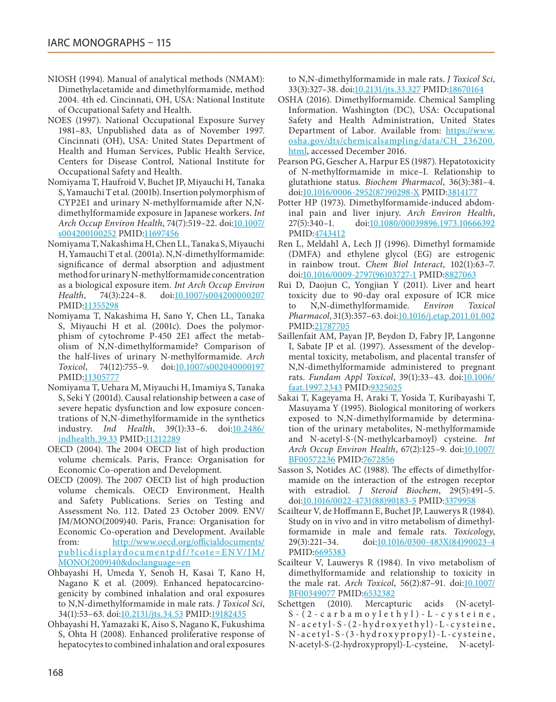- <span id="page-49-10"></span>NIOSH (1994). Manual of analytical methods (NMAM): Dimethylacetamide and dimethylformamide, method 2004. 4th ed. Cincinnati, OH, USA: National Institute of Occupational Safety and Health.
- <span id="page-49-3"></span>NOES (1997). National Occupational Exposure Survey 1981–83, Unpublished data as of November 1997. Cincinnati (OH), USA: United States Department of Health and Human Services, Public Health Service, Centers for Disease Control, National Institute for Occupational Safety and Health.
- <span id="page-49-17"></span>Nomiyama T, Haufroid V, Buchet JP, Miyauchi H, Tanaka S, Yamauchi T et al*.* (2001b). Insertion polymorphism of CYP2E1 and urinary N-methylformamide after N,Ndimethylformamide exposure in Japanese workers. *Int Arch Occup Environ Health*, 74(7):519–22. doi[:10.1007/](http://dx.doi.org/10.1007/s004200100252) [s004200100252](http://dx.doi.org/10.1007/s004200100252) PMID[:11697456](http://www.ncbi.nlm.nih.gov/pubmed/11697456)
- <span id="page-49-7"></span>Nomiyama T, Nakashima H, Chen LL, Tanaka S, Miyauchi H, Yamauchi T et al*.* (2001a). N,N-dimethylformamide: significance of dermal absorption and adjustment method for urinary N-methylformamide concentration as a biological exposure item. *Int Arch Occup Environ Health*, 74(3):224–8. doi[:10.1007/s004200000207](http://dx.doi.org/10.1007/s004200000207) PMID[:11355298](http://www.ncbi.nlm.nih.gov/pubmed/11355298)
- <span id="page-49-18"></span>Nomiyama T, Nakashima H, Sano Y, Chen LL, Tanaka S, Miyauchi H et al*.* (2001c). Does the polymorphism of cytochrome P-450 2E1 affect the metabolism of N,N-dimethylformamide? Comparison of the half-lives of urinary N-methylformamide. *Arch Toxicol*, 74(12):755–9. doi:[10.1007/s002040000197](http://dx.doi.org/10.1007/s002040000197) PMID[:11305777](http://www.ncbi.nlm.nih.gov/pubmed/11305777)
- <span id="page-49-20"></span>Nomiyama T, Uehara M, Miyauchi H, Imamiya S, Tanaka S, Seki Y (2001d). Causal relationship between a case of severe hepatic dysfunction and low exposure concentrations of N,N-dimethylformamide in the synthetics industry. *Ind Health*, 39(1):33–6. doi[:10.2486/](http://dx.doi.org/10.2486/indhealth.39.33) [indhealth.39.33](http://dx.doi.org/10.2486/indhealth.39.33) PMID[:11212289](http://www.ncbi.nlm.nih.gov/pubmed/11212289)
- <span id="page-49-0"></span>OECD (2004). The 2004 OECD list of high production volume chemicals. Paris, France: Organisation for Economic Co-operation and Development.
- <span id="page-49-1"></span>OECD (2009). The 2007 OECD list of high production volume chemicals. OECD Environment, Health and Safety Publications. Series on Testing and Assessment No. 112. Dated 23 October 2009. ENV/ JM/MONO(2009)40. Paris, France: Organisation for Economic Co-operation and Development. Available from: [http://www.oecd.org/officialdocuments/](http://www.oecd.org/officialdocuments/publicdisplaydocumentpdf/?cote=ENV/JM/MONO(2009)40&doclanguage=en) [publicdisplaydocumentpdf/?cote=ENV/JM/](http://www.oecd.org/officialdocuments/publicdisplaydocumentpdf/?cote=ENV/JM/MONO(2009)40&doclanguage=en) [MONO\(2009\)40&doclanguage=en](http://www.oecd.org/officialdocuments/publicdisplaydocumentpdf/?cote=ENV/JM/MONO(2009)40&doclanguage=en)
- <span id="page-49-6"></span>Ohbayashi H, Umeda Y, Senoh H, Kasai T, Kano H, Nagano K et al*.* (2009). Enhanced hepatocarcinogenicity by combined inhalation and oral exposures to N,N-dimethylformamide in male rats. *J Toxicol Sci*, 34(1):53–63. doi[:10.2131/jts.34.53](http://dx.doi.org/10.2131/jts.34.53) PMID[:19182435](http://www.ncbi.nlm.nih.gov/pubmed/19182435)
- <span id="page-49-14"></span>Ohbayashi H, Yamazaki K, Aiso S, Nagano K, Fukushima S, Ohta H (2008). Enhanced proliferative response of hepatocytes to combined inhalation and oral exposures

to N,N-dimethylformamide in male rats. *J Toxicol Sci*, 33(3):327–38. doi:[10.2131/jts.33.327](http://dx.doi.org/10.2131/jts.33.327) PMID:[18670164](http://www.ncbi.nlm.nih.gov/pubmed/18670164)

- <span id="page-49-5"></span>OSHA (2016). Dimethylformamide. Chemical Sampling Information. Washington (DC), USA: Occupational Safety and Health Administration, United States Department of Labor. Available from: [https://www.](https://www.osha.gov/dts/chemicalsampling/data/CH_236200.html) [osha.gov/dts/chemicalsampling/data/CH\\_236200.](https://www.osha.gov/dts/chemicalsampling/data/CH_236200.html) [html,](https://www.osha.gov/dts/chemicalsampling/data/CH_236200.html) accessed December 2016.
- <span id="page-49-13"></span>Pearson PG, Gescher A, Harpur ES (1987). Hepatotoxicity of N-methylformamide in mice–I. Relationship to glutathione status. *Biochem Pharmacol*, 36(3):381–4. doi[:10.1016/0006-2952\(87\)90298-X](http://dx.doi.org/10.1016/0006-2952(87)90298-X) PMID[:3814177](http://www.ncbi.nlm.nih.gov/pubmed/3814177)
- <span id="page-49-19"></span>Potter HP (1973). Dimethylformamide-induced abdominal pain and liver injury. *Arch Environ Health*, 27(5):340–1. doi:[10.1080/00039896.1973.10666392](http://dx.doi.org/10.1080/00039896.1973.10666392) PMID:[4743412](http://www.ncbi.nlm.nih.gov/pubmed/4743412)
- <span id="page-49-16"></span>Ren L, Meldahl A, Lech JJ (1996). Dimethyl formamide (DMFA) and ethylene glycol (EG) are estrogenic in rainbow trout. *Chem Biol Interact*, 102(1):63–7. doi[:10.1016/0009-2797\(96\)03727-1](http://dx.doi.org/10.1016/0009-2797(96)03727-1) PMID[:8827063](http://www.ncbi.nlm.nih.gov/pubmed/8827063)
- <span id="page-49-11"></span>Rui D, Daojun C, Yongjian Y (2011). Liver and heart toxicity due to 90-day oral exposure of ICR mice to N,N-dimethylformamide. *Environ Toxicol Pharmacol*, 31(3):357–63. doi[:10.1016/j.etap.2011.01.002](http://dx.doi.org/10.1016/j.etap.2011.01.002) PMID:[21787705](http://www.ncbi.nlm.nih.gov/pubmed/21787705)
- <span id="page-49-9"></span>Saillenfait AM, Payan JP, Beydon D, Fabry JP, Langonne I, Sabate JP et al*.* (1997). Assessment of the developmental toxicity, metabolism, and placental transfer of N,N-dimethylformamide administered to pregnant rats. *Fundam Appl Toxicol*, 39(1):33-43. doi[:10.1006/](http://dx.doi.org/10.1006/faat.1997.2343) [faat.1997.2343](http://dx.doi.org/10.1006/faat.1997.2343) PMID:[9325025](http://www.ncbi.nlm.nih.gov/pubmed/9325025)
- <span id="page-49-4"></span>Sakai T, Kageyama H, Araki T, Yosida T, Kuribayashi T, Masuyama Y (1995). Biological monitoring of workers exposed to N,N-dimethylformamide by determination of the urinary metabolites, N-methylformamide and N-acetyl-S-(N-methylcarbamoyl) cysteine. *Int Arch Occup Environ Health*, 67(2):125–9. doi[:10.1007/](http://dx.doi.org/10.1007/BF00572236) [BF00572236](http://dx.doi.org/10.1007/BF00572236) PMID[:7672856](http://www.ncbi.nlm.nih.gov/pubmed/7672856)
- <span id="page-49-15"></span>Sasson S, Notides AC (1988). The effects of dimethylformamide on the interaction of the estrogen receptor with estradiol. *J Steroid Biochem*, 29(5):491–5. doi[:10.1016/0022-4731\(88\)90183-5](http://dx.doi.org/10.1016/0022-4731(88)90183-5) PMID[:3379958](http://www.ncbi.nlm.nih.gov/pubmed/3379958)
- <span id="page-49-8"></span>Scailteur V, de Hoffmann E, Buchet JP, Lauwerys R (1984). Study on in vivo and in vitro metabolism of dimethylformamide in male and female rats. *Toxicology*, 29(3):221–34. doi:[10.1016/0300-483X\(84\)90023-4](http://dx.doi.org/10.1016/0300-483X(84)90023-4) PMID:[6695383](http://www.ncbi.nlm.nih.gov/pubmed/6695383)
- <span id="page-49-12"></span>Scailteur V, Lauwerys R (1984). In vivo metabolism of dimethylformamide and relationship to toxicity in the male rat. *Arch Toxicol*, 56(2):87–91. doi[:10.1007/](http://dx.doi.org/10.1007/BF00349077) [BF00349077](http://dx.doi.org/10.1007/BF00349077) PMID:[6532382](http://www.ncbi.nlm.nih.gov/pubmed/6532382)
- <span id="page-49-2"></span>Schettgen (2010). Mercapturic acids (N-acetyl- $S - (2 - c a r b a m o y le t h y l) - L - c y s t e i n e$ ,  $N$ -acetyl-S- $(2-hydrowethyl)$ -L-cysteine,  $N$ -acetyl-S- $(3-hydrowypropyl)$ -L-cysteine, N-acetyl-S-(2-hydroxypropyl)-L-cysteine, N-acetyl-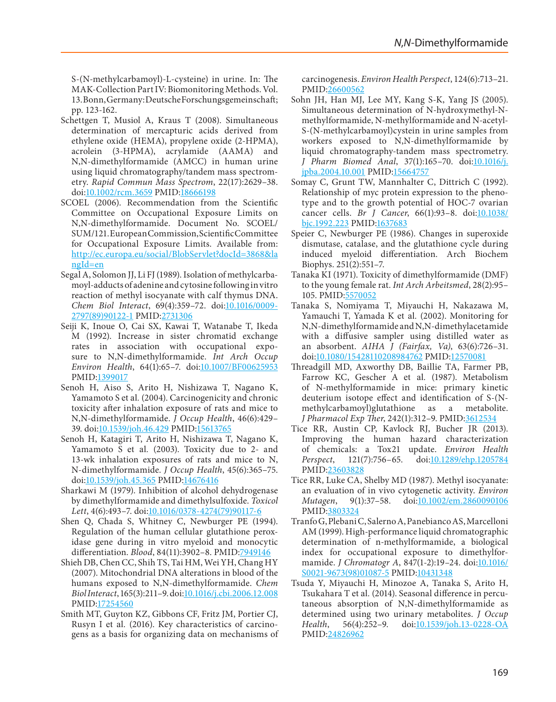S-(N-methylcarbamoyl)-L-cysteine) in urine. In: The MAK-Collection Part IV: Biomonitoring Methods. Vol. 13. Bonn, Germany: Deutsche Forschungsgemeinschaft; pp. 123-162.

- <span id="page-50-3"></span>Schettgen T, Musiol A, Kraus T (2008). Simultaneous determination of mercapturic acids derived from ethylene oxide (HEMA), propylene oxide (2-HPMA), acrolein (3-HPMA), acrylamide (AAMA) and N,N-dimethylformamide (AMCC) in human urine using liquid chromatography/tandem mass spectrometry. *Rapid Commun Mass Spectrom*, 22(17):2629–38. doi:[10.1002/rcm.3659](http://dx.doi.org/10.1002/rcm.3659) PMID[:18666198](http://www.ncbi.nlm.nih.gov/pubmed/18666198)
- <span id="page-50-0"></span>SCOEL (2006). Recommendation from the Scientific Committee on Occupational Exposure Limits on N,N-dimethylformamide. Document No. SCOEL/ SUM/121. European Commission, Scientific Committee for Occupational Exposure Limits. Available from: [http://ec.europa.eu/social/BlobServlet?docId=3868&la](http://ec.europa.eu/social/BlobServlet?docId=3868&langId=en) [ngId=en](http://ec.europa.eu/social/BlobServlet?docId=3868&langId=en)
- <span id="page-50-13"></span>Segal A, Solomon JJ, Li FJ (1989). Isolation of methylcarbamoyl-adducts of adenine and cytosine following in vitro reaction of methyl isocyanate with calf thymus DNA. Chem Biol Interact, 69(4):359-72. doi[:10.1016/0009-](http://dx.doi.org/10.1016/0009-2797(89)90122-1) [2797\(89\)90122-1](http://dx.doi.org/10.1016/0009-2797(89)90122-1) PMID:[2731306](http://www.ncbi.nlm.nih.gov/pubmed/2731306)
- <span id="page-50-14"></span>Seiji K, Inoue O, Cai SX, Kawai T, Watanabe T, Ikeda M (1992). Increase in sister chromatid exchange rates in association with occupational exposure to N,N-dimethylformamide. *Int Arch Occup Environ Health*, 64(1):65–7. doi:[10.1007/BF00625953](http://dx.doi.org/10.1007/BF00625953) PMID[:1399017](http://www.ncbi.nlm.nih.gov/pubmed/1399017)
- <span id="page-50-5"></span>Senoh H, Aiso S, Arito H, Nishizawa T, Nagano K, Yamamoto S et al*.* (2004). Carcinogenicity and chronic toxicity after inhalation exposure of rats and mice to N,N-dimethylformamide. *J Occup Health*, 46(6):429– 39. doi[:10.1539/joh.46.429](http://dx.doi.org/10.1539/joh.46.429) PMID:[15613765](http://www.ncbi.nlm.nih.gov/pubmed/15613765)
- <span id="page-50-19"></span>Senoh H, Katagiri T, Arito H, Nishizawa T, Nagano K, Yamamoto S et al*.* (2003). Toxicity due to 2- and 13-wk inhalation exposures of rats and mice to N, N-dimethylformamide. *J Occup Health*, 45(6):365–75. doi[:10.1539/joh.45.365](http://dx.doi.org/10.1539/joh.45.365) PMID:[14676416](http://www.ncbi.nlm.nih.gov/pubmed/14676416)
- <span id="page-50-9"></span>Sharkawi M (1979). Inhibition of alcohol dehydrogenase by dimethylformamide and dimethylsulfoxide. *Toxicol Lett*, 4(6):493–7. doi[:10.1016/0378-4274\(79\)90117-6](http://dx.doi.org/10.1016/0378-4274(79)90117-6)
- <span id="page-50-12"></span>Shen Q, Chada S, Whitney C, Newburger PE (1994). Regulation of the human cellular glutathione peroxidase gene during in vitro myeloid and monocytic differentiation. *Blood*, 84(11):3902–8. PMID:[7949146](http://www.ncbi.nlm.nih.gov/pubmed/7949146)
- <span id="page-50-4"></span>Shieh DB, Chen CC, Shih TS, Tai HM, Wei YH, Chang HY (2007). Mitochondrial DNA alterations in blood of the humans exposed to N,N-dimethylformamide. *Chem Biol Interact*, 165(3):211–9. doi[:10.1016/j.cbi.2006.12.008](http://dx.doi.org/10.1016/j.cbi.2006.12.008) PMID[:17254560](http://www.ncbi.nlm.nih.gov/pubmed/17254560)
- <span id="page-50-10"></span>Smith MT, Guyton KZ, Gibbons CF, Fritz JM, Portier CJ, Rusyn I et al*.* (2016). Key characteristics of carcinogens as a basis for organizing data on mechanisms of

carcinogenesis. *Environ Health Perspect*, 124(6):713–21. PMID:[26600562](http://www.ncbi.nlm.nih.gov/pubmed/26600562)

- <span id="page-50-7"></span>Sohn JH, Han MJ, Lee MY, Kang S-K, Yang JS (2005). Simultaneous determination of N-hydroxymethyl-Nmethylformamide, N-methylformamide and N-acetyl-S-(N-methylcarbamoyl)cystein in urine samples from workers exposed to N,N-dimethylformamide by liquid chromatography-tandem mass spectrometry. *J Pharm Biomed Anal*, 37(1):165–70. doi[:10.1016/j.](http://dx.doi.org/10.1016/j.jpba.2004.10.001) [jpba.2004.10.001](http://dx.doi.org/10.1016/j.jpba.2004.10.001) PMID[:15664757](http://www.ncbi.nlm.nih.gov/pubmed/15664757)
- <span id="page-50-16"></span>Somay C, Grunt TW, Mannhalter C, Dittrich C (1992). Relationship of myc protein expression to the phenotype and to the growth potential of HOC-7 ovarian cancer cells. *Br J Cancer*, 66(1):93–8. doi[:10.1038/](http://dx.doi.org/10.1038/bjc.1992.223) [bjc.1992.223](http://dx.doi.org/10.1038/bjc.1992.223) PMID[:1637683](http://www.ncbi.nlm.nih.gov/pubmed/1637683)
- <span id="page-50-11"></span>Speier C, Newburger PE (1986). Changes in superoxide dismutase, catalase, and the glutathione cycle during induced myeloid differentiation. Arch Biochem Biophys. 251(2):551–7.
- <span id="page-50-18"></span>Tanaka KI (1971). Toxicity of dimethylformamide (DMF) to the young female rat. *Int Arch Arbeitsmed*, 28(2):95– 105. PMID:[5570052](http://www.ncbi.nlm.nih.gov/pubmed/5570052)
- <span id="page-50-1"></span>Tanaka S, Nomiyama T, Miyauchi H, Nakazawa M, Yamauchi T, Yamada K et al*.* (2002). Monitoring for N,N-dimethylformamide and N,N-dimethylacetamide with a diffusive sampler using distilled water as an absorbent. *AIHA J (Fairfax, Va)*, 63(6):726–31. doi[:10.1080/15428110208984762](http://dx.doi.org/10.1080/15428110208984762) PMID:[12570081](http://www.ncbi.nlm.nih.gov/pubmed/12570081)
- <span id="page-50-8"></span>Threadgill MD, Axworthy DB, Baillie TA, Farmer PB, Farrow KC, Gescher A et al*.* (1987). Metabolism of N-methylformamide in mice: primary kinetic deuterium isotope effect and identification of S-(Nmethylcarbamoyl)glutathione as a metabolite. *J Pharmacol Exp Ther*, 242(1):312–9. PMID[:3612534](http://www.ncbi.nlm.nih.gov/pubmed/3612534)
- <span id="page-50-17"></span>Tice RR, Austin CP, Kavlock RJ, Bucher JR (2013). Improving the human hazard characterization of chemicals: a Tox21 update. *Environ Health Perspect*, 121(7):756–65. doi[:10.1289/ehp.1205784](http://dx.doi.org/10.1289/ehp.1205784) PMID:[23603828](http://www.ncbi.nlm.nih.gov/pubmed/23603828)
- <span id="page-50-15"></span>Tice RR, Luke CA, Shelby MD (1987). Methyl isocyanate: an evaluation of in vivo cytogenetic activity. *Environ Mutagen*, 9(1):37–58. doi[:10.1002/em.2860090106](http://dx.doi.org/10.1002/em.2860090106) PMID:[3803324](http://www.ncbi.nlm.nih.gov/pubmed/3803324)
- <span id="page-50-2"></span>Tranfo G, Plebani C, Salerno A, Panebianco AS, Marcelloni AM (1999). High-performance liquid chromatographic determination of n-methylformamide, a biological index for occupational exposure to dimethylformamide. *J Chromatogr A*, 847(1-2):19–24. doi:[10.1016/](http://dx.doi.org/10.1016/S0021-9673(98)01087-5) [S0021-9673\(98\)01087-5](http://dx.doi.org/10.1016/S0021-9673(98)01087-5) PMID:[10431348](http://www.ncbi.nlm.nih.gov/pubmed/10431348)
- <span id="page-50-6"></span>Tsuda Y, Miyauchi H, Minozoe A, Tanaka S, Arito H, Tsukahara T et al*.* (2014). Seasonal difference in percutaneous absorption of N,N-dimethylformamide as determined using two urinary metabolites. *J Occup Health*, 56(4):252–9. doi[:10.1539/joh.13-0228-OA](http://dx.doi.org/10.1539/joh.13-0228-OA) PMID:[24826962](http://www.ncbi.nlm.nih.gov/pubmed/24826962)